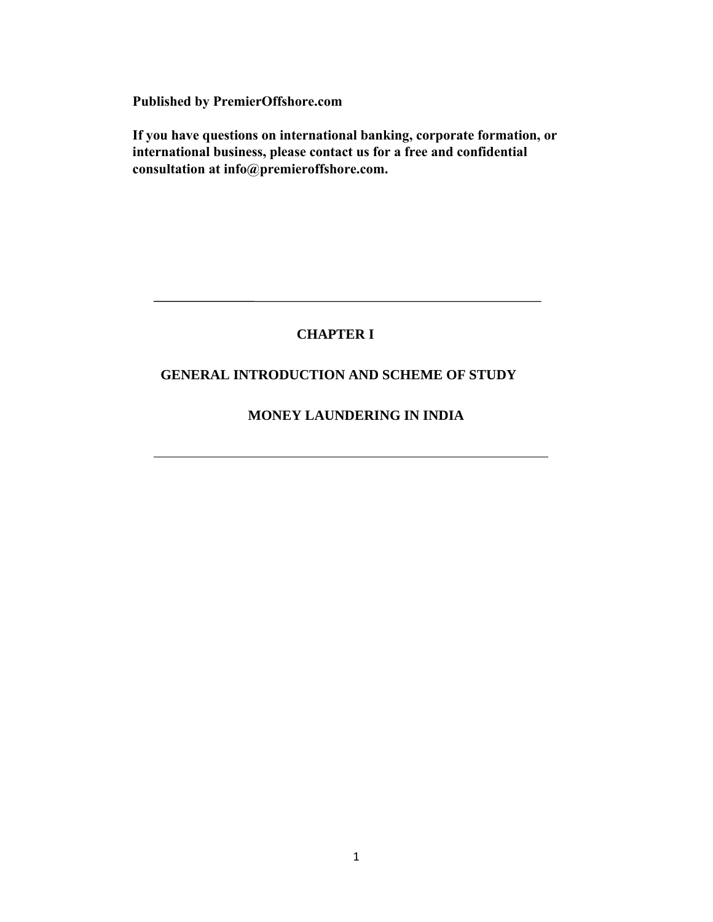**Published by PremierOffshore.com**

**If you have questions on international banking, corporate formation, or international business, please contact us for a free and confidential consultation at info@premieroffshore.com.** 

# **CHAPTER I**

# **GENERAL INTRODUCTION AND SCHEME OF STUDY**

## **MONEY LAUNDERING IN INDIA**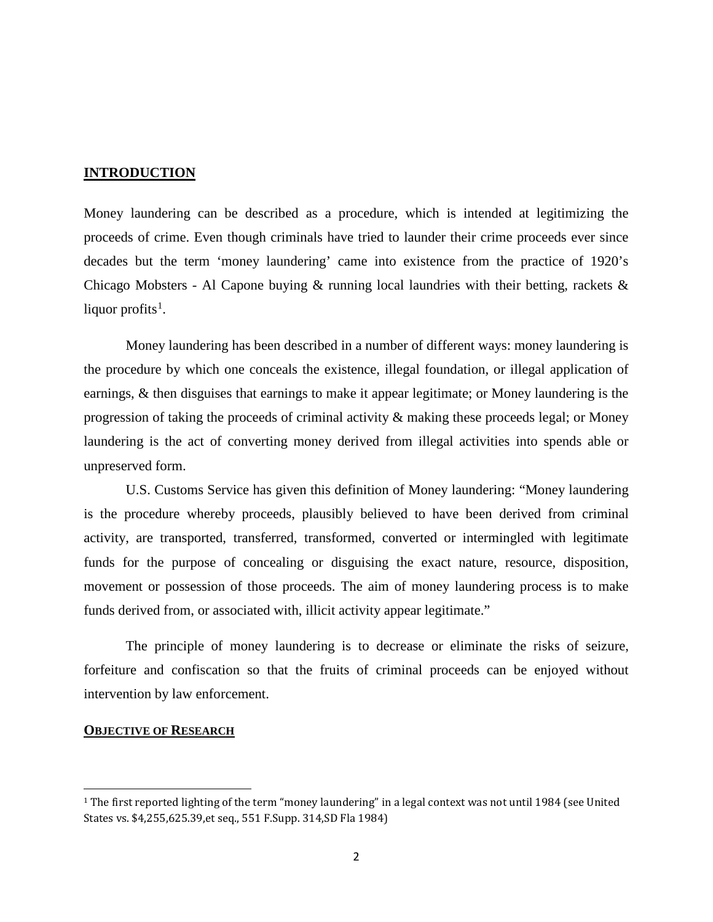## **INTRODUCTION**

Money laundering can be described as a procedure, which is intended at legitimizing the proceeds of crime. Even though criminals have tried to launder their crime proceeds ever since decades but the term 'money laundering' came into existence from the practice of 1920's Chicago Mobsters - Al Capone buying & running local laundries with their betting, rackets & liquor profits $^1$  $^1$ .

Money laundering has been described in a number of different ways: money laundering is the procedure by which one conceals the existence, illegal foundation, or illegal application of earnings, & then disguises that earnings to make it appear legitimate; or Money laundering is the progression of taking the proceeds of criminal activity & making these proceeds legal; or Money laundering is the act of converting money derived from illegal activities into spends able or unpreserved form.

U.S. Customs Service has given this definition of Money laundering: "Money laundering is the procedure whereby proceeds, plausibly believed to have been derived from criminal activity, are transported, transferred, transformed, converted or intermingled with legitimate funds for the purpose of concealing or disguising the exact nature, resource, disposition, movement or possession of those proceeds. The aim of money laundering process is to make funds derived from, or associated with, illicit activity appear legitimate."

The principle of money laundering is to decrease or eliminate the risks of seizure, forfeiture and confiscation so that the fruits of criminal proceeds can be enjoyed without intervention by law enforcement.

#### **OBJECTIVE OF RESEARCH**

 $\overline{a}$ 

<span id="page-1-0"></span><sup>1</sup> The first reported lighting of the term "money laundering" in a legal context was not until 1984 (see United States vs. \$4,255,625.39,et seq., 551 F.Supp. 314,SD Fla 1984)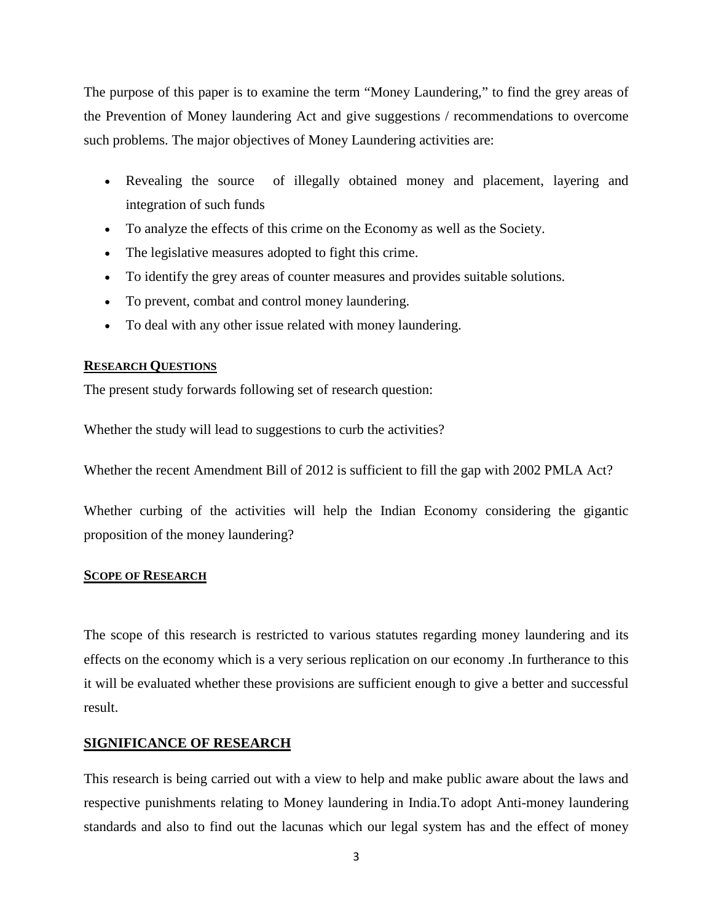The purpose of this paper is to examine the term "Money Laundering," to find the grey areas of the Prevention of Money laundering Act and give suggestions / recommendations to overcome such problems. The major objectives of Money Laundering activities are:

- Revealing the source of illegally obtained money and placement, layering and integration of such funds
- To analyze the effects of this crime on the Economy as well as the Society.
- The legislative measures adopted to fight this crime.
- To identify the grey areas of counter measures and provides suitable solutions.
- To prevent, combat and control money laundering.
- To deal with any other issue related with money laundering.

#### **RESEARCH QUESTIONS**

The present study forwards following set of research question:

Whether the study will lead to suggestions to curb the activities?

Whether the recent Amendment Bill of 2012 is sufficient to fill the gap with 2002 PMLA Act?

Whether curbing of the activities will help the Indian Economy considering the gigantic proposition of the money laundering?

#### **SCOPE OF RESEARCH**

The scope of this research is restricted to various statutes regarding money laundering and its effects on the economy which is a very serious replication on our economy .In furtherance to this it will be evaluated whether these provisions are sufficient enough to give a better and successful result.

## **SIGNIFICANCE OF RESEARCH**

This research is being carried out with a view to help and make public aware about the laws and respective punishments relating to Money laundering in India.To adopt Anti-money laundering standards and also to find out the lacunas which our legal system has and the effect of money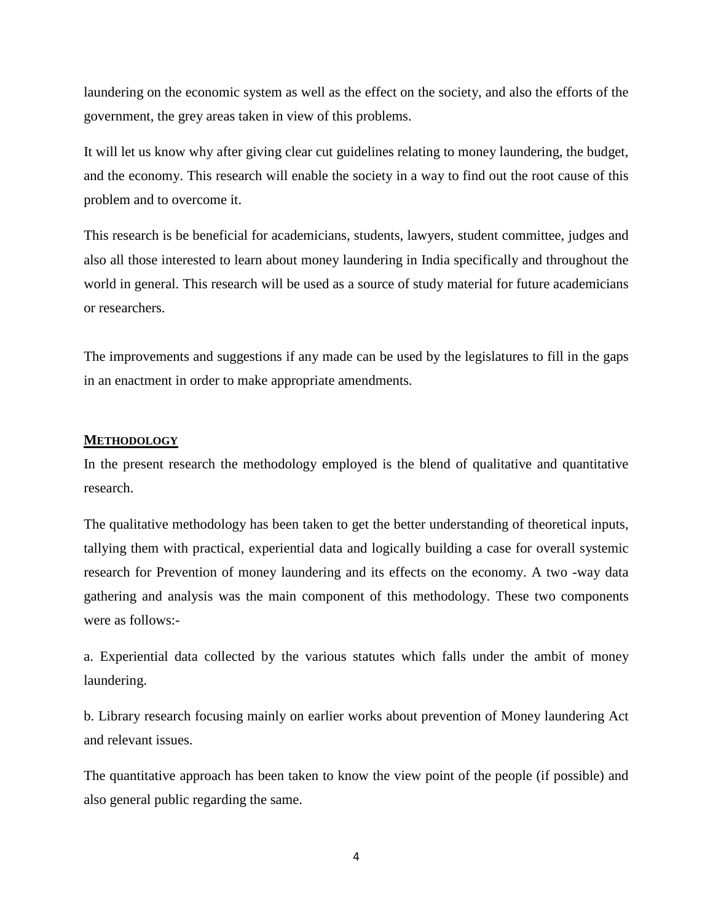laundering on the economic system as well as the effect on the society, and also the efforts of the government, the grey areas taken in view of this problems.

It will let us know why after giving clear cut guidelines relating to money laundering, the budget, and the economy. This research will enable the society in a way to find out the root cause of this problem and to overcome it.

This research is be beneficial for academicians, students, lawyers, student committee, judges and also all those interested to learn about money laundering in India specifically and throughout the world in general. This research will be used as a source of study material for future academicians or researchers.

The improvements and suggestions if any made can be used by the legislatures to fill in the gaps in an enactment in order to make appropriate amendments.

#### **METHODOLOGY**

In the present research the methodology employed is the blend of qualitative and quantitative research.

The qualitative methodology has been taken to get the better understanding of theoretical inputs, tallying them with practical, experiential data and logically building a case for overall systemic research for Prevention of money laundering and its effects on the economy. A two -way data gathering and analysis was the main component of this methodology. These two components were as follows:-

a. Experiential data collected by the various statutes which falls under the ambit of money laundering.

b. Library research focusing mainly on earlier works about prevention of Money laundering Act and relevant issues.

The quantitative approach has been taken to know the view point of the people (if possible) and also general public regarding the same.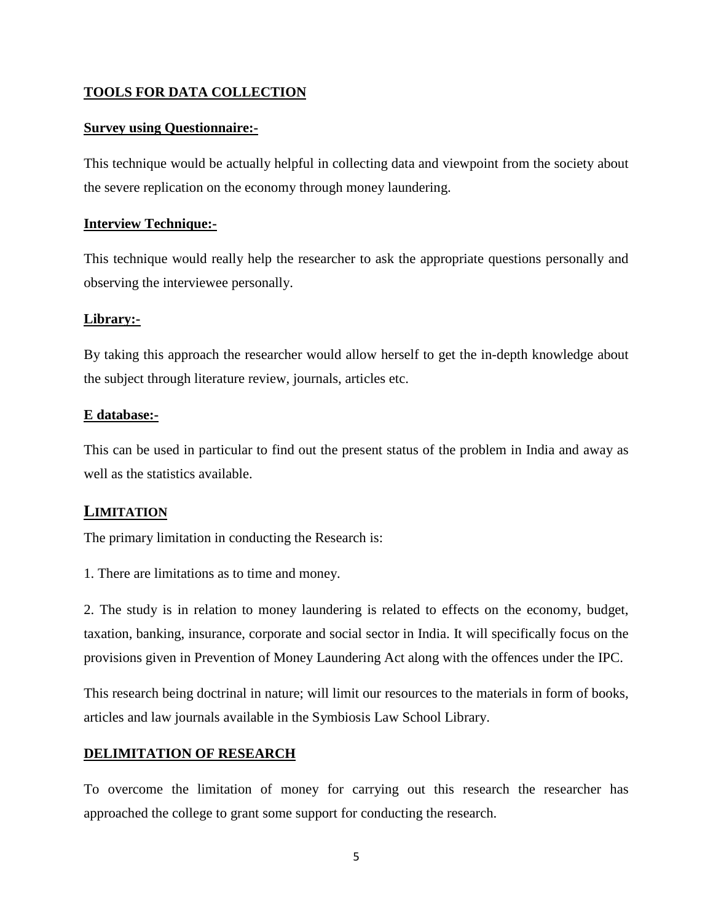## **TOOLS FOR DATA COLLECTION**

## **Survey using Questionnaire:-**

This technique would be actually helpful in collecting data and viewpoint from the society about the severe replication on the economy through money laundering.

## **Interview Technique:-**

This technique would really help the researcher to ask the appropriate questions personally and observing the interviewee personally.

## **Library:-**

By taking this approach the researcher would allow herself to get the in-depth knowledge about the subject through literature review, journals, articles etc.

## **E database:-**

This can be used in particular to find out the present status of the problem in India and away as well as the statistics available.

# **LIMITATION**

The primary limitation in conducting the Research is:

1. There are limitations as to time and money.

2. The study is in relation to money laundering is related to effects on the economy, budget, taxation, banking, insurance, corporate and social sector in India. It will specifically focus on the provisions given in Prevention of Money Laundering Act along with the offences under the IPC.

This research being doctrinal in nature; will limit our resources to the materials in form of books, articles and law journals available in the Symbiosis Law School Library.

## **DELIMITATION OF RESEARCH**

To overcome the limitation of money for carrying out this research the researcher has approached the college to grant some support for conducting the research.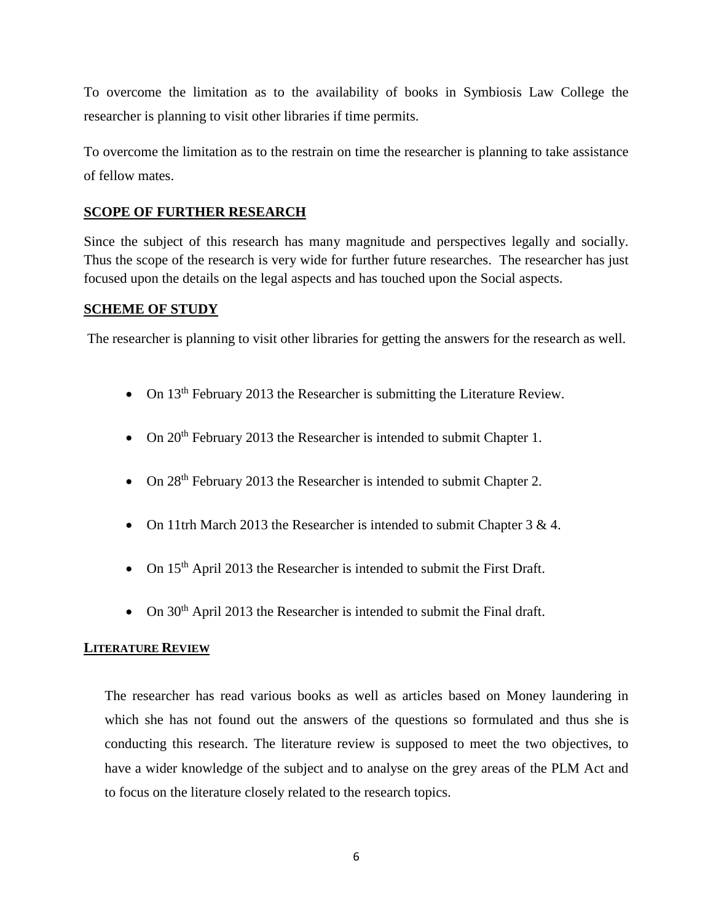To overcome the limitation as to the availability of books in Symbiosis Law College the researcher is planning to visit other libraries if time permits.

To overcome the limitation as to the restrain on time the researcher is planning to take assistance of fellow mates.

## **SCOPE OF FURTHER RESEARCH**

Since the subject of this research has many magnitude and perspectives legally and socially. Thus the scope of the research is very wide for further future researches. The researcher has just focused upon the details on the legal aspects and has touched upon the Social aspects.

## **SCHEME OF STUDY**

The researcher is planning to visit other libraries for getting the answers for the research as well.

- On  $13<sup>th</sup>$  February 2013 the Researcher is submitting the Literature Review.
- On 20<sup>th</sup> February 2013 the Researcher is intended to submit Chapter 1.
- On 28<sup>th</sup> February 2013 the Researcher is intended to submit Chapter 2.
- On 11trh March 2013 the Researcher is intended to submit Chapter 3 & 4.
- On  $15<sup>th</sup>$  April 2013 the Researcher is intended to submit the First Draft.
- On 30<sup>th</sup> April 2013 the Researcher is intended to submit the Final draft.

## **LITERATURE REVIEW**

The researcher has read various books as well as articles based on Money laundering in which she has not found out the answers of the questions so formulated and thus she is conducting this research. The literature review is supposed to meet the two objectives, to have a wider knowledge of the subject and to analyse on the grey areas of the PLM Act and to focus on the literature closely related to the research topics.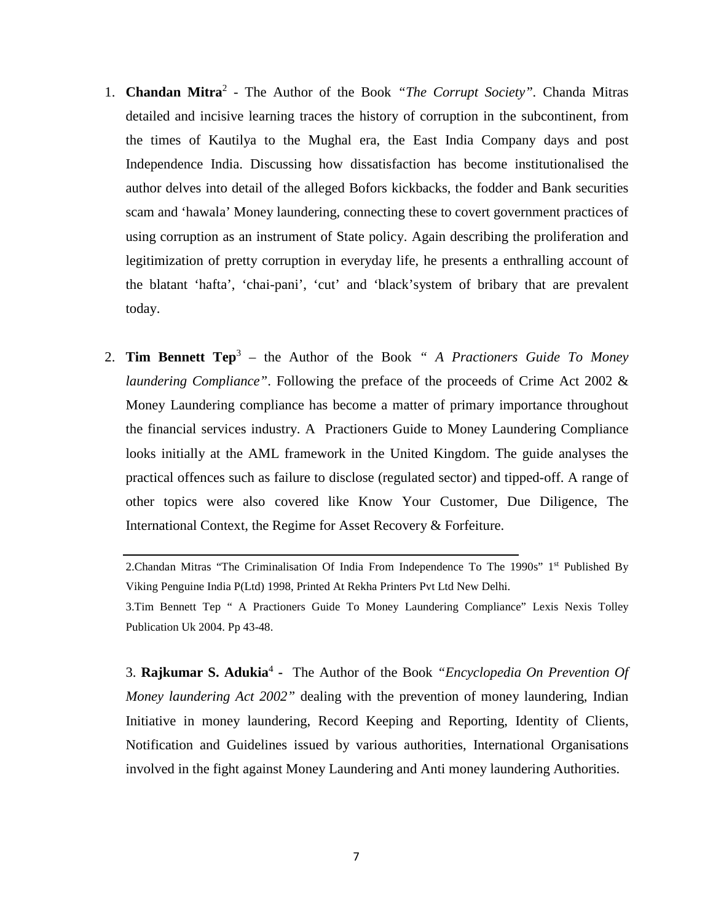- 1. **Chandan Mitra**<sup>2</sup> The Author of the Book *"The Corrupt Society".* Chanda Mitras detailed and incisive learning traces the history of corruption in the subcontinent, from the times of Kautilya to the Mughal era, the East India Company days and post Independence India. Discussing how dissatisfaction has become institutionalised the author delves into detail of the alleged Bofors kickbacks, the fodder and Bank securities scam and 'hawala' Money laundering, connecting these to covert government practices of using corruption as an instrument of State policy. Again describing the proliferation and legitimization of pretty corruption in everyday life, he presents a enthralling account of the blatant 'hafta', 'chai-pani', 'cut' and 'black'system of bribary that are prevalent today.
- 2. **Tim Bennett Tep**<sup>3</sup> the Author of the Book *" A Practioners Guide To Money laundering Compliance"*. Following the preface of the proceeds of Crime Act 2002 & Money Laundering compliance has become a matter of primary importance throughout the financial services industry. A Practioners Guide to Money Laundering Compliance looks initially at the AML framework in the United Kingdom. The guide analyses the practical offences such as failure to disclose (regulated sector) and tipped-off. A range of other topics were also covered like Know Your Customer, Due Diligence, The International Context, the Regime for Asset Recovery & Forfeiture.

2. Chandan Mitras "The Criminalisation Of India From Independence To The 1990s" 1<sup>st</sup> Published By Viking Penguine India P(Ltd) 1998, Printed At Rekha Printers Pvt Ltd New Delhi.

3.Tim Bennett Tep " A Practioners Guide To Money Laundering Compliance" Lexis Nexis Tolley Publication Uk 2004. Pp 43-48.

3. **Rajkumar S. Adukia**<sup>4</sup>  **-** The Author of the Book *"Encyclopedia On Prevention Of Money laundering Act 2002"* dealing with the prevention of money laundering, Indian Initiative in money laundering, Record Keeping and Reporting, Identity of Clients, Notification and Guidelines issued by various authorities, International Organisations involved in the fight against Money Laundering and Anti money laundering Authorities.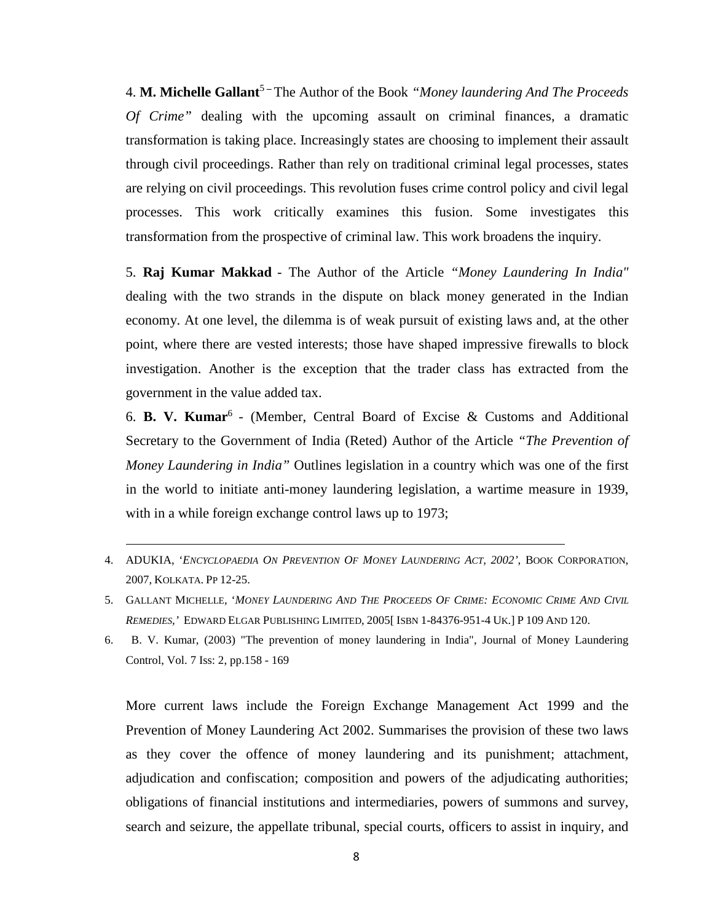4. **M. Michelle Gallant<sup>5</sup>** – The Author of the Book *"Money laundering And The Proceeds Of Crime"* dealing with the upcoming assault on criminal finances, a dramatic transformation is taking place. Increasingly states are choosing to implement their assault through civil proceedings. Rather than rely on traditional criminal legal processes, states are relying on civil proceedings. This revolution fuses crime control policy and civil legal processes. This work critically examines this fusion. Some investigates this transformation from the prospective of criminal law. This work broadens the inquiry.

5. **Raj Kumar Makkad** - The Author of the Article *"Money Laundering In India"*  dealing with the two strands in the dispute on black money generated in the Indian economy. At one level, the dilemma is of weak pursuit of existing laws and, at the other point, where there are vested interests; those have shaped impressive firewalls to block investigation. Another is the exception that the trader class has extracted from the government in the value added tax.

6. **[B. V. Kumar](http://www.emeraldinsight.com/search.htm?ct=all&st1=B.+V.+Kumar&fd1=aut&PHPSESSID=m367oe96lrfqfmpinae0e2tc92)**<sup>6</sup> - (Member, Central Board of Excise & Customs and Additional Secretary to the Government of India (Reted) Author of the Article *"The Prevention of Money Laundering in India"* Outlines legislation in a country which was one of the first in the world to initiate anti-money laundering legislation, a wartime measure in 1939, with in a while foreign exchange control laws up to 1973;

- 4. ADUKIA, '*ENCYCLOPAEDIA ON PREVENTION OF MONEY LAUNDERING ACT, 2002'*, BOOK CORPORATION, 2007, KOLKATA. PP 12-25.
- 5. GALLANT MICHELLE, '*MONEY LAUNDERING AND THE PROCEEDS OF CRIME: ECONOMIC CRIME AND CIVIL REMEDIES,'* EDWARD ELGAR PUBLISHING LIMITED, 2005[ ISBN 1-84376-951-4 UK.] P 109 AND 120.
- 6. B. V. Kumar, (2003) "The prevention of money laundering in India", Journal of Money Laundering Control, Vol. 7 Iss: 2, pp.158 - 169

More current laws include the Foreign Exchange Management Act 1999 and the Prevention of Money Laundering Act 2002. Summarises the provision of these two laws as they cover the offence of money laundering and its punishment; attachment, adjudication and confiscation; composition and powers of the adjudicating authorities; obligations of financial institutions and intermediaries, powers of summons and survey, search and seizure, the appellate tribunal, special courts, officers to assist in inquiry, and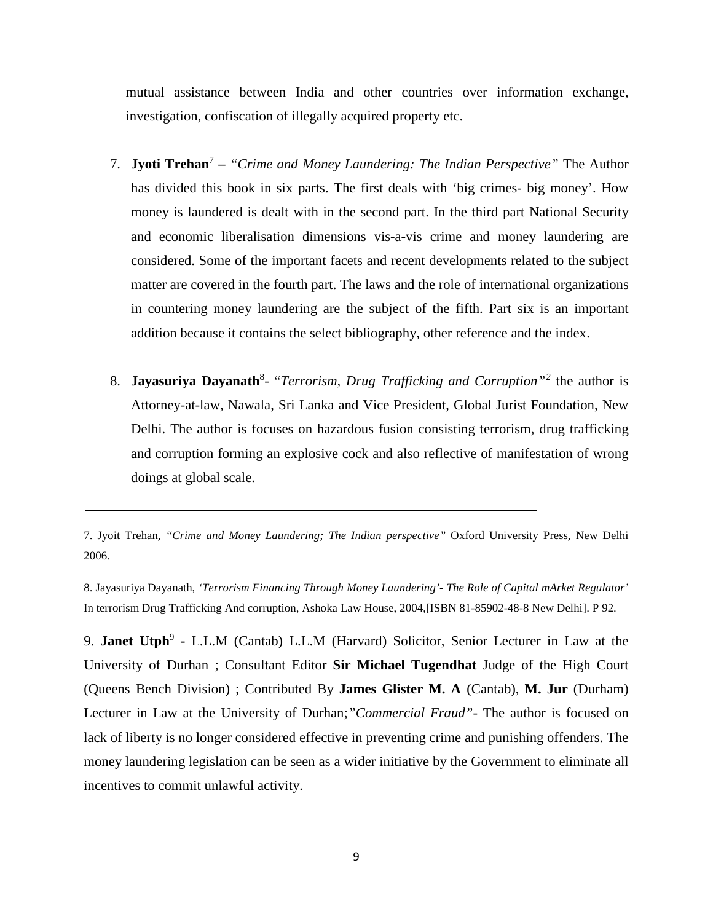mutual assistance between India and other countries over information exchange, investigation, confiscation of illegally acquired property etc.

- 7. **Jyoti Trehan**<sup>7</sup> *"Crime and Money Laundering: The Indian Perspective"* The Author has divided this book in six parts. The first deals with 'big crimes- big money'. How money is laundered is dealt with in the second part. In the third part National Security and economic liberalisation dimensions vis-a-vis crime and money laundering are considered. Some of the important facets and recent developments related to the subject matter are covered in the fourth part. The laws and the role of international organizations in countering money laundering are the subject of the fifth. Part six is an important addition because it contains the select bibliography, other reference and the index.
- 8. Jayasuriya Dayanath<sup>8</sup>- "Terrorism, Drug Trafficking and Corruption"<sup>[2](#page-8-0)</sup> the author is Attorney-at-law, Nawala, Sri Lanka and Vice President, Global Jurist Foundation, New Delhi. The author is focuses on hazardous fusion consisting terrorism, drug trafficking and corruption forming an explosive cock and also reflective of manifestation of wrong doings at global scale.

8. Jayasuriya Dayanath, *'Terrorism Financing Through Money Laundering'- The Role of Capital mArket Regulator'* In terrorism Drug Trafficking And corruption, Ashoka Law House, 2004,[ISBN 81-85902-48-8 New Delhi]. P 92.

<span id="page-8-0"></span>9. **Janet Utph<sup>9</sup>** - L.L.M (Cantab) L.L.M (Harvard) Solicitor, Senior Lecturer in Law at the University of Durhan ; Consultant Editor **Sir Michael Tugendhat** Judge of the High Court (Queens Bench Division) ; Contributed By **James Glister M. A** (Cantab), **M. Jur** (Durham) Lecturer in Law at the University of Durhan;*"Commercial Fraud"-* The author is focused on lack of liberty is no longer considered effective in preventing crime and punishing offenders. The money laundering legislation can be seen as a wider initiative by the Government to eliminate all incentives to commit unlawful activity.

<sup>7.</sup> Jyoit Trehan*, "Crime and Money Laundering; The Indian perspective"* Oxford University Press, New Delhi 2006.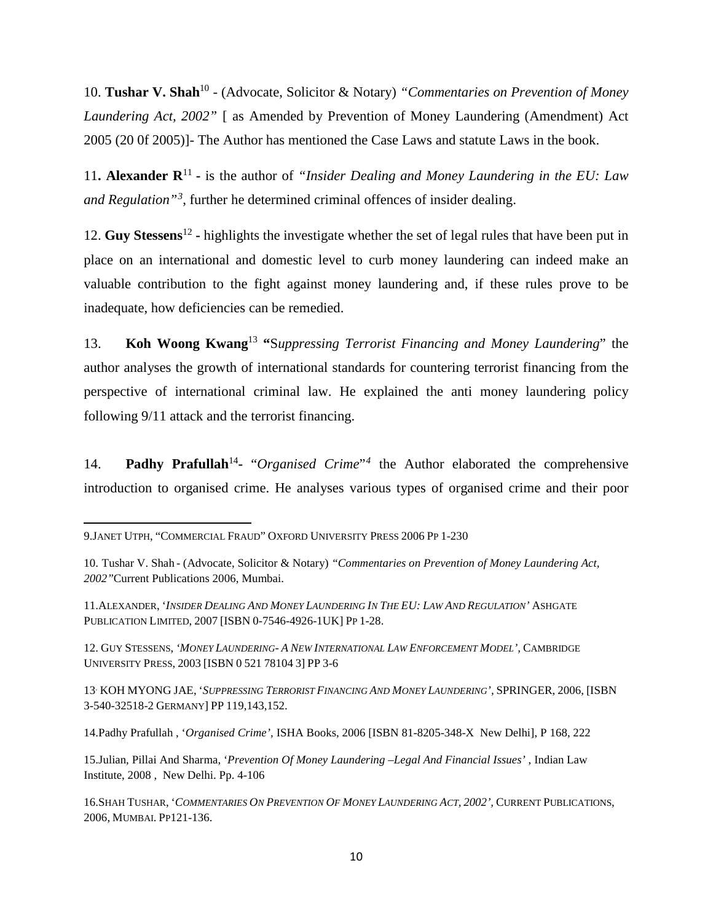10. **Tushar V. Shah**<sup>10</sup> - (Advocate, Solicitor & Notary) *"Commentaries on Prevention of Money Laundering Act, 2002"* [ as Amended by Prevention of Money Laundering (Amendment) Act 2005 (20 0f 2005)]- The Author has mentioned the Case Laws and statute Laws in the book.

11. **Alexander**  $\mathbb{R}^{11}$  **-** is the author of *"Insider Dealing and Money Laundering in the EU: Law and Regulation"[3](#page-9-0)* , further he determined criminal offences of insider dealing.

12. **Guy Stessens**<sup>12</sup> **-** highlights the investigate whether the set of legal rules that have been put in place on an international and domestic level to curb money laundering can indeed make an valuable contribution to the fight against money laundering and, if these rules prove to be inadequate, how deficiencies can be remedied.

13. **Koh Woong Kwang**<sup>13</sup> **"**S*uppressing Terrorist Financing and Money Laundering*" the author analyses the growth of international standards for countering terrorist financing from the perspective of international criminal law. He explained the anti money laundering policy following 9/11 attack and the terrorist financing.

14. **Padhy Prafullah**<sup>14</sup>**-** "*Organised Crime*"*[4](#page-9-1)* the Author elaborated the comprehensive introduction to organised crime. He analyses various types of organised crime and their poor

 $\overline{\phantom{a}}$ 

12. GUY STESSENS, *'MONEY LAUNDERING- A NEW INTERNATIONAL LAW ENFORCEMENT MODEL',* CAMBRIDGE UNIVERSITY PRESS, 2003 [ISBN 0 521 78104 3] PP 3-6

<span id="page-9-1"></span>13. KOH MYONG JAE, '*SUPPRESSING TERRORIST FINANCING AND MONEY LAUNDERING',* SPRINGER, 2006, [ISBN 3-540-32518-2 GERMANY] PP 119,143,152.

15.Julian, Pillai And Sharma, '*Prevention Of Money Laundering –Legal And Financial Issues'* , Indian Law Institute, 2008 , New Delhi. Pp. 4-106

<span id="page-9-0"></span><sup>9.</sup>JANET UTPH, "COMMERCIAL FRAUD" OXFORD UNIVERSITY PRESS 2006 PP 1-230

<sup>10.</sup> Tushar V. Shah - (Advocate, Solicitor & Notary) *"Commentaries on Prevention of Money Laundering Act, 2002"*Current Publications 2006, Mumbai.

<sup>11.</sup>ALEXANDER, '*INSIDER DEALING AND MONEY LAUNDERING IN THE EU: LAW AND REGULATION'* ASHGATE PUBLICATION LIMITED, 2007 [ISBN 0-7546-4926-1UK] PP 1-28.

<sup>14.</sup>Padhy Prafullah , '*Organised Crime',* ISHA Books, 2006 [ISBN 81-8205-348-X New Delhi], P 168, 222

<sup>16.</sup>SHAH TUSHAR, '*COMMENTARIES ON PREVENTION OF MONEY LAUNDERING ACT, 2002',* CURRENT PUBLICATIONS, 2006, MUMBAI. PP121-136.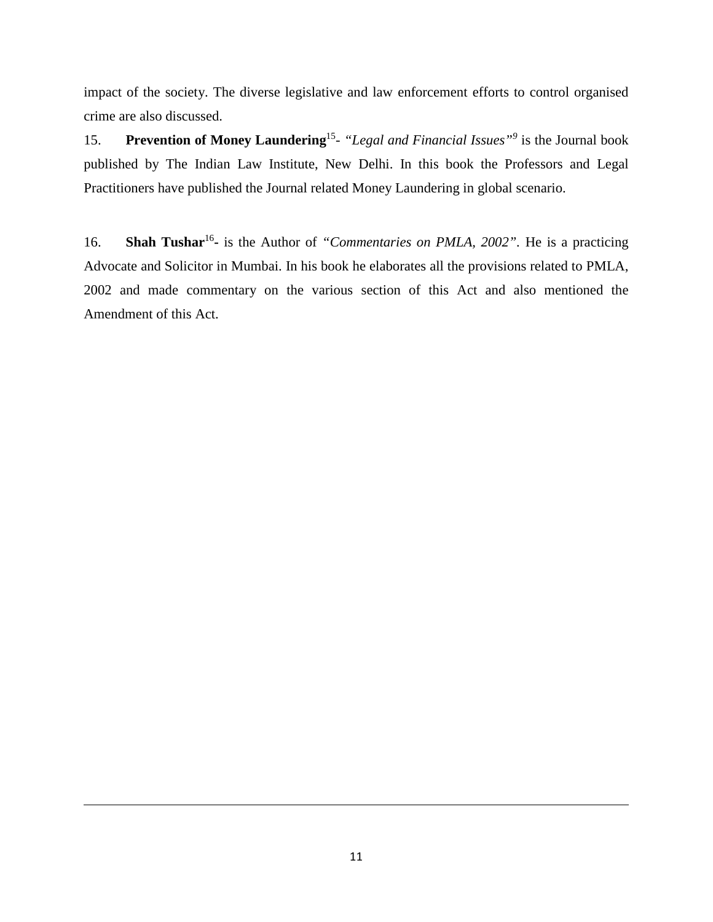impact of the society. The diverse legislative and law enforcement efforts to control organised crime are also discussed.

15. **Prevention of Money Laundering**15- *"Legal and Financial Issues"<sup>9</sup>* is the Journal book published by The Indian Law Institute, New Delhi. In this book the Professors and Legal Practitioners have published the Journal related Money Laundering in global scenario.

16. **Shah Tushar**<sup>16</sup>**-** is the Author of *"Commentaries on PMLA, 2002".* He is a practicing Advocate and Solicitor in Mumbai. In his book he elaborates all the provisions related to PMLA, 2002 and made commentary on the various section of this Act and also mentioned the Amendment of this Act.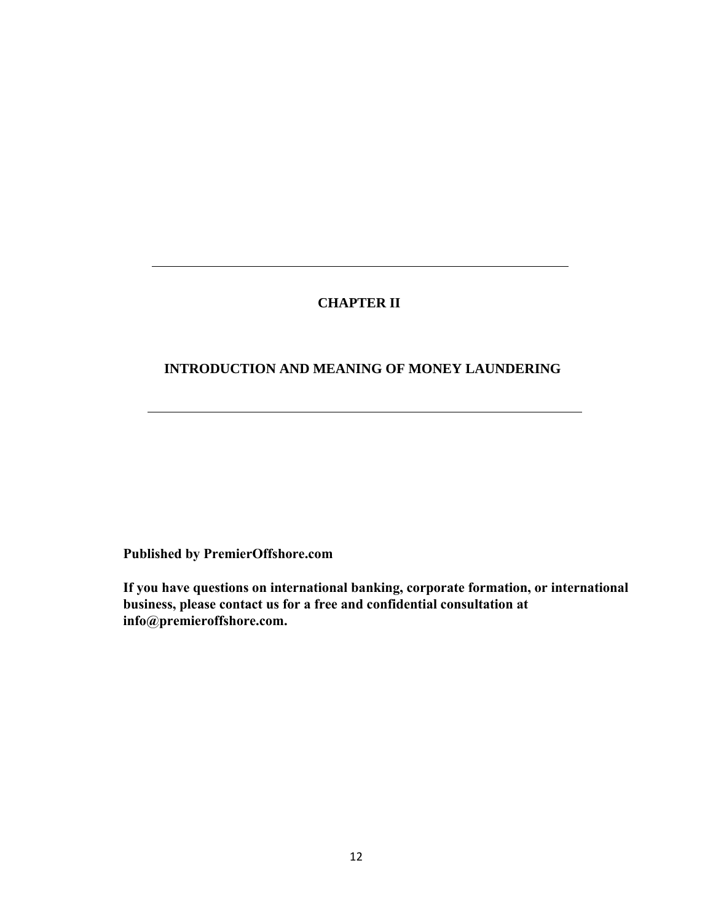## **CHAPTER II**

## **INTRODUCTION AND MEANING OF MONEY LAUNDERING**

**Published by PremierOffshore.com**

**If you have questions on international banking, corporate formation, or international business, please contact us for a free and confidential consultation at info@premieroffshore.com.**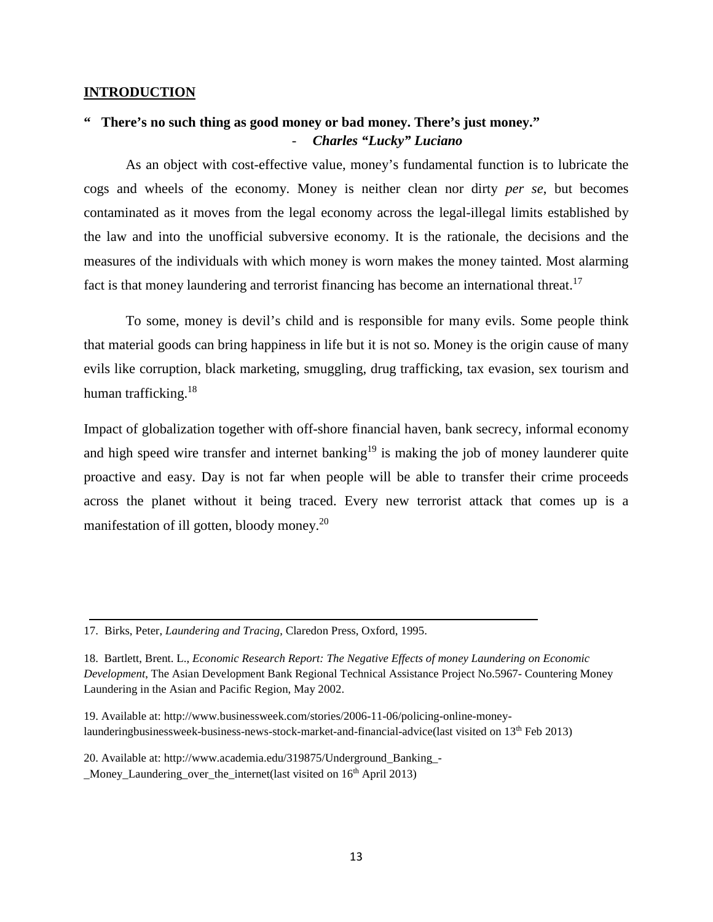#### **INTRODUCTION**

# **" There's no such thing as good money or bad money. There's just money."** - *Charles "Lucky" Luciano*

As an object with cost-effective value, money's fundamental function is to lubricate the cogs and wheels of the economy. Money is neither clean nor dirty *per se*, but becomes contaminated as it moves from the legal economy across the legal-illegal limits established by the law and into the unofficial subversive economy. It is the rationale, the decisions and the measures of the individuals with which money is worn makes the money tainted. Most alarming fact is that money laundering and terrorist financing has become an international threat.<sup>17</sup>

To some, money is devil's child and is responsible for many evils. Some people think that material goods can bring happiness in life but it is not so. Money is the origin cause of many evils like corruption, black marketing, smuggling, drug trafficking, tax evasion, sex tourism and human trafficking.<sup>18</sup>

Impact of globalization together with off-shore financial haven, bank secrecy, informal economy and high speed wire transfer and internet banking<sup>19</sup> is making the job of money launderer quite proactive and easy. Day is not far when people will be able to transfer their crime proceeds across the planet without it being traced. Every new terrorist attack that comes up is a manifestation of ill gotten, bloody money.<sup>20</sup>

19. Available at: [http://www.businessweek.com/stories/2006-11-06/policing-online-money](http://www.businessweek.com/stories/2006-11-06/policing-online-money-launderingbusinessweek-business-news-stock-market-and-financial-advice(last)[launderingbusinessweek-business-news-stock-market-and-financial-advice\(last](http://www.businessweek.com/stories/2006-11-06/policing-online-money-launderingbusinessweek-business-news-stock-market-and-financial-advice(last) visited on 13<sup>th</sup> Feb 2013)

20. Available at: [http://www.academia.edu/319875/Underground\\_Banking\\_-](http://www.academia.edu/319875/Underground_Banking_-_Money_Laundering_over_the_internet(last)

[\\_Money\\_Laundering\\_over\\_the\\_internet\(last](http://www.academia.edu/319875/Underground_Banking_-_Money_Laundering_over_the_internet(last) visited on 16th April 2013)

<sup>17.</sup> Birks, Peter, *Laundering and Tracing*, Claredon Press, Oxford, 1995.

<sup>18.</sup> Bartlett, Brent. L., *Economic Research Report: The Negative Effects of money Laundering on Economic Development*, The Asian Development Bank Regional Technical Assistance Project No.5967- Countering Money Laundering in the Asian and Pacific Region, May 2002.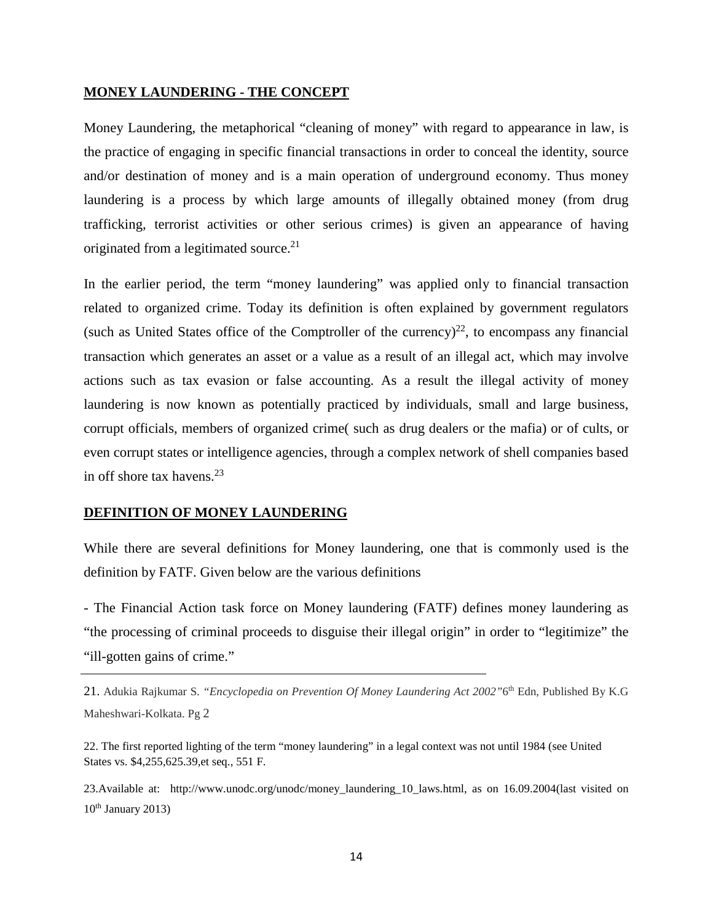#### **MONEY LAUNDERING - THE CONCEPT**

Money Laundering, the metaphorical "cleaning of money" with regard to appearance in law, is the practice of engaging in specific financial transactions in order to conceal the identity, source and/or destination of money and is a main operation of underground economy. Thus money laundering is a process by which large amounts of illegally obtained money (from drug trafficking, terrorist activities or other serious crimes) is given an appearance of having originated from a legitimated source.<sup>21</sup>

In the earlier period, the term "money laundering" was applied only to financial transaction related to organized crime. Today its definition is often explained by government regulators (such as United States office of the Comptroller of the currency) $^{22}$ , to encompass any financial transaction which generates an asset or a value as a result of an illegal act, which may involve actions such as tax evasion or false accounting. As a result the illegal activity of money laundering is now known as potentially practiced by individuals, small and large business, corrupt officials, members of organized crime( such as drug dealers or the mafia) or of cults, or even corrupt states or intelligence agencies, through a complex network of shell companies based in off shore tax havens. $23$ 

## **DEFINITION OF MONEY LAUNDERING**

While there are several definitions for Money laundering, one that is commonly used is the definition by FATF. Given below are the various definitions

- The Financial Action task force on Money laundering (FATF) defines money laundering as "the processing of criminal proceeds to disguise their illegal origin" in order to "legitimize" the "ill-gotten gains of crime."

21. Adukia Rajkumar S. *"Encyclopedia on Prevention Of Money Laundering Act 2002"*6th Edn, Published By K.G Maheshwari-Kolkata. Pg 2

22. The first reported lighting of the term "money laundering" in a legal context was not until 1984 (see United States vs. \$4,255,625.39,et seq., 551 F.

23.Available at: [http://www.unodc.org/unodc/money\\_laundering\\_10\\_laws.html,](http://www.unodc.org/unodc/money_laundering_10_laws.html) as on 16.09.2004(last visited on  $10<sup>th</sup>$  January 2013)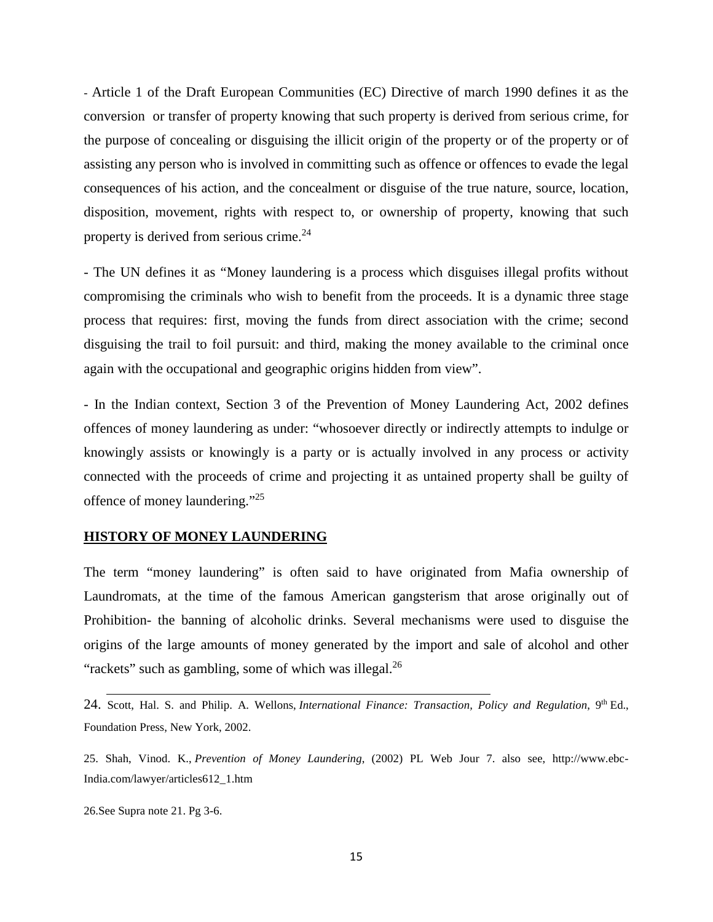- Article 1 of the Draft European Communities (EC) Directive of march 1990 defines it as the conversion or transfer of property knowing that such property is derived from serious crime, for the purpose of concealing or disguising the illicit origin of the property or of the property or of assisting any person who is involved in committing such as offence or offences to evade the legal consequences of his action, and the concealment or disguise of the true nature, source, location, disposition, movement, rights with respect to, or ownership of property, knowing that such property is derived from serious crime.<sup>24</sup>

- The UN defines it as "Money laundering is a process which disguises illegal profits without compromising the criminals who wish to benefit from the proceeds. It is a dynamic three stage process that requires: first, moving the funds from direct association with the crime; second disguising the trail to foil pursuit: and third, making the money available to the criminal once again with the occupational and geographic origins hidden from view".

- In the Indian context, Section 3 of the Prevention of Money Laundering Act, 2002 defines offences of money laundering as under: "whosoever directly or indirectly attempts to indulge or knowingly assists or knowingly is a party or is actually involved in any process or activity connected with the proceeds of crime and projecting it as untained property shall be guilty of offence of money laundering."25

#### **HISTORY OF MONEY LAUNDERING**

The term "money laundering" is often said to have originated from Mafia ownership of Laundromats, at the time of the famous American gangsterism that arose originally out of Prohibition- the banning of alcoholic drinks. Several mechanisms were used to disguise the origins of the large amounts of money generated by the import and sale of alcohol and other "rackets" such as gambling, some of which was illegal. $^{26}$ 

24. Scott, Hal. S. and Philip. A. Wellons, *International Finance: Transaction, Policy and Regulation*, 9<sup>th</sup> Ed., Foundation Press, New York, 2002.

25. Shah, Vinod. K., *Prevention of Money Laundering*, (2002) PL Web Jour 7. also see, [http://www.ebc-](http://www.ebc-india.com/lawyer/articles612_1.htm)[India.com/lawyer/articles612\\_1.htm](http://www.ebc-india.com/lawyer/articles612_1.htm)

26.See Supra note 21. Pg 3-6.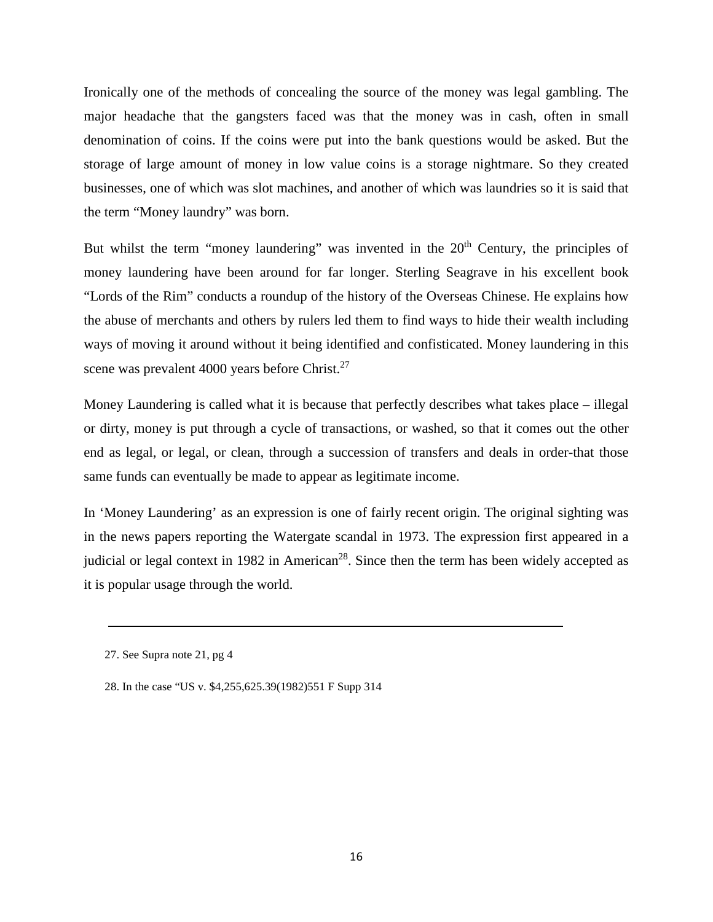Ironically one of the methods of concealing the source of the money was legal gambling. The major headache that the gangsters faced was that the money was in cash, often in small denomination of coins. If the coins were put into the bank questions would be asked. But the storage of large amount of money in low value coins is a storage nightmare. So they created businesses, one of which was slot machines, and another of which was laundries so it is said that the term "Money laundry" was born.

But whilst the term "money laundering" was invented in the  $20<sup>th</sup>$  Century, the principles of money laundering have been around for far longer. Sterling Seagrave in his excellent book "Lords of the Rim" conducts a roundup of the history of the Overseas Chinese. He explains how the abuse of merchants and others by rulers led them to find ways to hide their wealth including ways of moving it around without it being identified and confisticated. Money laundering in this scene was prevalent 4000 years before Christ.<sup>27</sup>

Money Laundering is called what it is because that perfectly describes what takes place – illegal or dirty, money is put through a cycle of transactions, or washed, so that it comes out the other end as legal, or legal, or clean, through a succession of transfers and deals in order-that those same funds can eventually be made to appear as legitimate income.

In 'Money Laundering' as an expression is one of fairly recent origin. The original sighting was in the news papers reporting the Watergate scandal in 1973. The expression first appeared in a judicial or legal context in 1982 in American<sup>28</sup>. Since then the term has been widely accepted as it is popular usage through the world.

<sup>27.</sup> See Supra note 21, pg 4

<sup>28.</sup> In the case "US v. \$4,255,625.39(1982)551 F Supp 314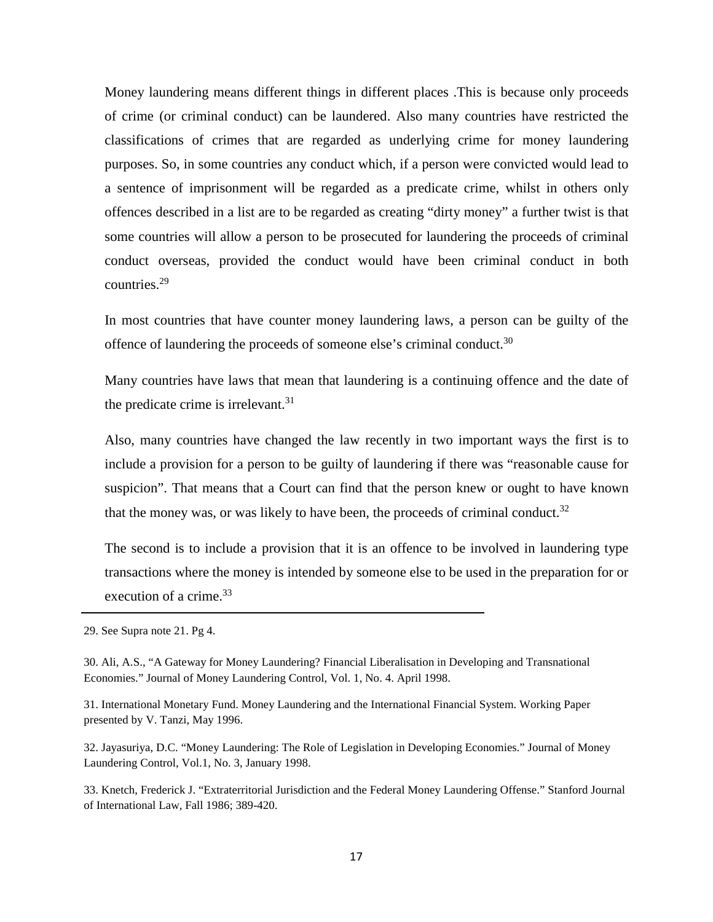Money laundering means different things in different places .This is because only proceeds of crime (or criminal conduct) can be laundered. Also many countries have restricted the classifications of crimes that are regarded as underlying crime for money laundering purposes. So, in some countries any conduct which, if a person were convicted would lead to a sentence of imprisonment will be regarded as a predicate crime, whilst in others only offences described in a list are to be regarded as creating "dirty money" a further twist is that some countries will allow a person to be prosecuted for laundering the proceeds of criminal conduct overseas, provided the conduct would have been criminal conduct in both countries.29

In most countries that have counter money laundering laws, a person can be guilty of the offence of laundering the proceeds of someone else's criminal conduct.<sup>30</sup>

Many countries have laws that mean that laundering is a continuing offence and the date of the predicate crime is irrelevant. $31$ 

Also, many countries have changed the law recently in two important ways the first is to include a provision for a person to be guilty of laundering if there was "reasonable cause for suspicion". That means that a Court can find that the person knew or ought to have known that the money was, or was likely to have been, the proceeds of criminal conduct.<sup>32</sup>

The second is to include a provision that it is an offence to be involved in laundering type transactions where the money is intended by someone else to be used in the preparation for or execution of a crime. $33$ 

29. See Supra note 21. Pg 4.

30. Ali, A.S., "A Gateway for Money Laundering? Financial Liberalisation in Developing and Transnational Economies." Journal of Money Laundering Control, Vol. 1, No. 4. April 1998.

31. International Monetary Fund. Money Laundering and the International Financial System. Working Paper presented by V. Tanzi, May 1996.

32. Jayasuriya, D.C. "Money Laundering: The Role of Legislation in Developing Economies." Journal of Money Laundering Control, Vol.1, No. 3, January 1998.

33. Knetch, Frederick J. "Extraterritorial Jurisdiction and the Federal Money Laundering Offense." Stanford Journal of International Law, Fall 1986; 389-420.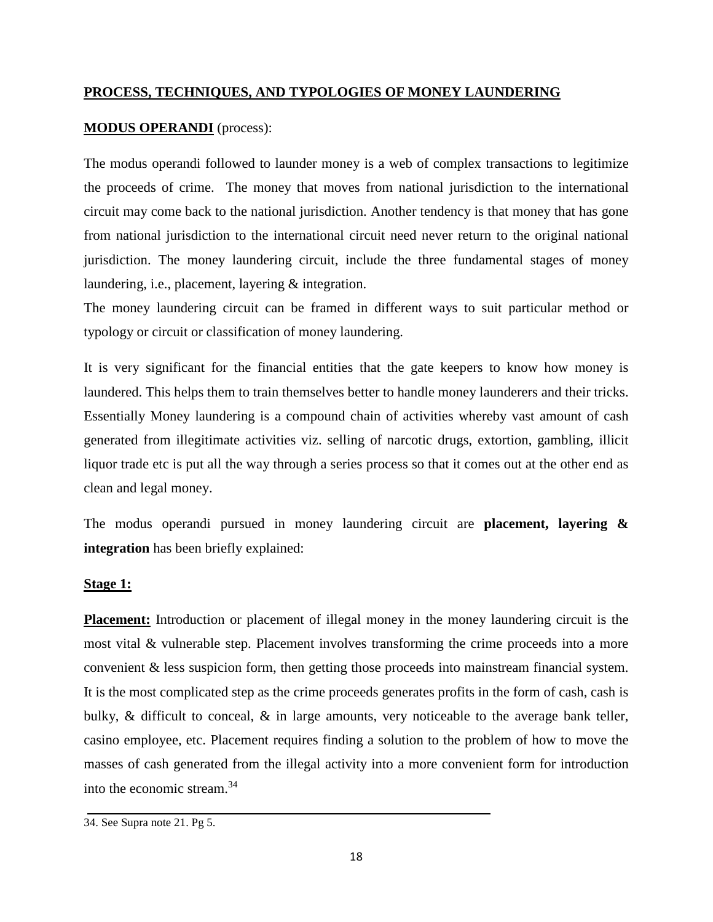## **PROCESS, TECHNIQUES, AND TYPOLOGIES OF MONEY LAUNDERING**

## **MODUS OPERANDI** (process):

The modus operandi followed to launder money is a web of complex transactions to legitimize the proceeds of crime. The money that moves from national jurisdiction to the international circuit may come back to the national jurisdiction. Another tendency is that money that has gone from national jurisdiction to the international circuit need never return to the original national jurisdiction. The money laundering circuit, include the three fundamental stages of money laundering, i.e., placement, layering & integration.

The money laundering circuit can be framed in different ways to suit particular method or typology or circuit or classification of money laundering.

It is very significant for the financial entities that the gate keepers to know how money is laundered. This helps them to train themselves better to handle money launderers and their tricks. Essentially Money laundering is a compound chain of activities whereby vast amount of cash generated from illegitimate activities viz. selling of narcotic drugs, extortion, gambling, illicit liquor trade etc is put all the way through a series process so that it comes out at the other end as clean and legal money.

The modus operandi pursued in money laundering circuit are **placement, layering & integration** has been briefly explained:

## **Stage 1:**

**Placement:** Introduction or placement of illegal money in the money laundering circuit is the most vital & vulnerable step. Placement involves transforming the crime proceeds into a more convenient & less suspicion form, then getting those proceeds into mainstream financial system. It is the most complicated step as the crime proceeds generates profits in the form of cash, cash is bulky,  $\&$  difficult to conceal,  $\&$  in large amounts, very noticeable to the average bank teller, casino employee, etc. Placement requires finding a solution to the problem of how to move the masses of cash generated from the illegal activity into a more convenient form for introduction into the economic stream.34

<sup>34.</sup> See Supra note 21. Pg 5.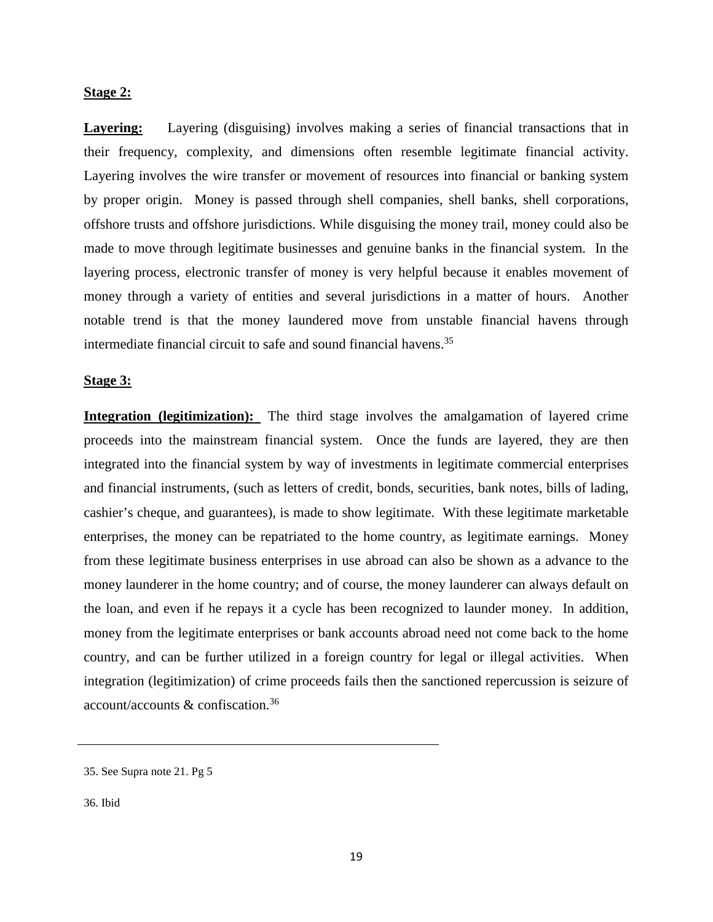## **Stage 2:**

**Layering:** Layering (disguising) involves making a series of financial transactions that in their frequency, complexity, and dimensions often resemble legitimate financial activity. Layering involves the wire transfer or movement of resources into financial or banking system by proper origin. Money is passed through shell companies, shell banks, shell corporations, offshore trusts and offshore jurisdictions. While disguising the money trail, money could also be made to move through legitimate businesses and genuine banks in the financial system. In the layering process, electronic transfer of money is very helpful because it enables movement of money through a variety of entities and several jurisdictions in a matter of hours. Another notable trend is that the money laundered move from unstable financial havens through intermediate financial circuit to safe and sound financial havens.<sup>35</sup>

#### **Stage 3:**

**Integration (legitimization):** The third stage involves the amalgamation of layered crime proceeds into the mainstream financial system. Once the funds are layered, they are then integrated into the financial system by way of investments in legitimate commercial enterprises and financial instruments, (such as letters of credit, bonds, securities, bank notes, bills of lading, cashier's cheque, and guarantees), is made to show legitimate. With these legitimate marketable enterprises, the money can be repatriated to the home country, as legitimate earnings. Money from these legitimate business enterprises in use abroad can also be shown as a advance to the money launderer in the home country; and of course, the money launderer can always default on the loan, and even if he repays it a cycle has been recognized to launder money. In addition, money from the legitimate enterprises or bank accounts abroad need not come back to the home country, and can be further utilized in a foreign country for legal or illegal activities. When integration (legitimization) of crime proceeds fails then the sanctioned repercussion is seizure of account/accounts & confiscation.36

<sup>35.</sup> See Supra note 21. Pg 5

<sup>36.</sup> Ibid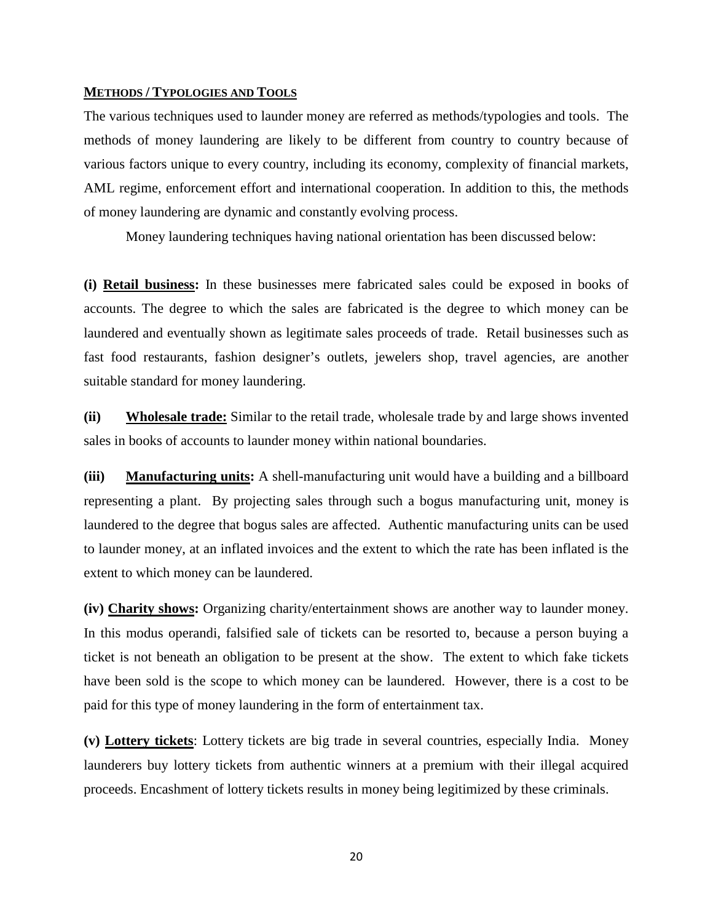#### **METHODS / TYPOLOGIES AND TOOLS**

The various techniques used to launder money are referred as methods/typologies and tools. The methods of money laundering are likely to be different from country to country because of various factors unique to every country, including its economy, complexity of financial markets, AML regime, enforcement effort and international cooperation. In addition to this, the methods of money laundering are dynamic and constantly evolving process.

Money laundering techniques having national orientation has been discussed below:

**(i) Retail business:** In these businesses mere fabricated sales could be exposed in books of accounts. The degree to which the sales are fabricated is the degree to which money can be laundered and eventually shown as legitimate sales proceeds of trade. Retail businesses such as fast food restaurants, fashion designer's outlets, jewelers shop, travel agencies, are another suitable standard for money laundering.

**(ii) Wholesale trade:** Similar to the retail trade, wholesale trade by and large shows invented sales in books of accounts to launder money within national boundaries.

**(iii) Manufacturing units:** A shell-manufacturing unit would have a building and a billboard representing a plant. By projecting sales through such a bogus manufacturing unit, money is laundered to the degree that bogus sales are affected. Authentic manufacturing units can be used to launder money, at an inflated invoices and the extent to which the rate has been inflated is the extent to which money can be laundered.

**(iv) Charity shows:** Organizing charity/entertainment shows are another way to launder money. In this modus operandi, falsified sale of tickets can be resorted to, because a person buying a ticket is not beneath an obligation to be present at the show. The extent to which fake tickets have been sold is the scope to which money can be laundered. However, there is a cost to be paid for this type of money laundering in the form of entertainment tax.

**(v) Lottery tickets**: Lottery tickets are big trade in several countries, especially India. Money launderers buy lottery tickets from authentic winners at a premium with their illegal acquired proceeds. Encashment of lottery tickets results in money being legitimized by these criminals.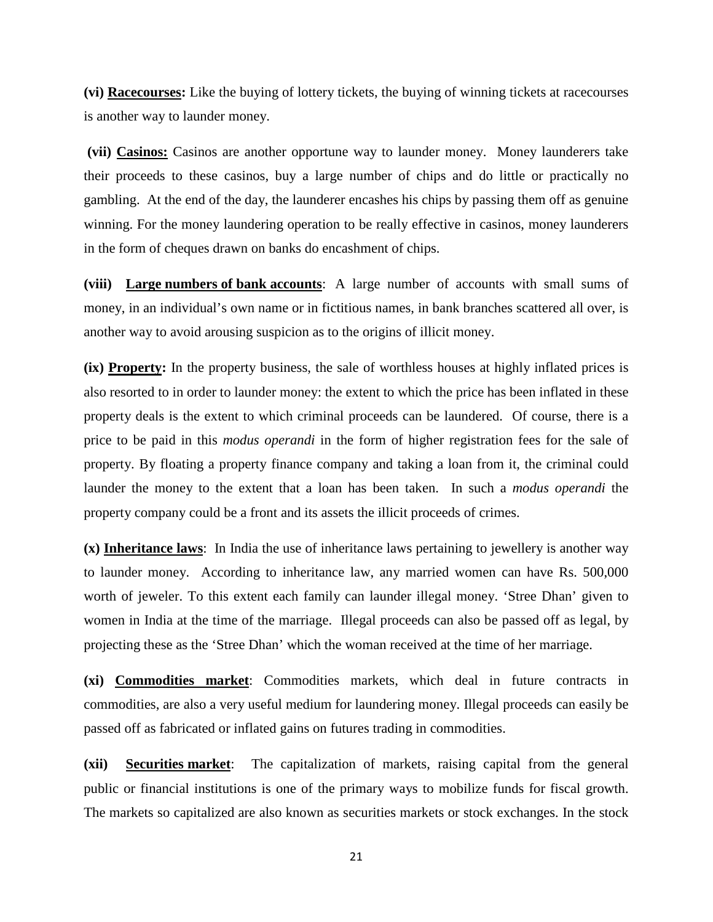**(vi) Racecourses:** Like the buying of lottery tickets, the buying of winning tickets at racecourses is another way to launder money.

**(vii) Casinos:** Casinos are another opportune way to launder money. Money launderers take their proceeds to these casinos, buy a large number of chips and do little or practically no gambling. At the end of the day, the launderer encashes his chips by passing them off as genuine winning. For the money laundering operation to be really effective in casinos, money launderers in the form of cheques drawn on banks do encashment of chips.

**(viii) Large numbers of bank accounts**: A large number of accounts with small sums of money, in an individual's own name or in fictitious names, in bank branches scattered all over, is another way to avoid arousing suspicion as to the origins of illicit money.

**(ix) Property:** In the property business, the sale of worthless houses at highly inflated prices is also resorted to in order to launder money: the extent to which the price has been inflated in these property deals is the extent to which criminal proceeds can be laundered. Of course, there is a price to be paid in this *modus operandi* in the form of higher registration fees for the sale of property. By floating a property finance company and taking a loan from it, the criminal could launder the money to the extent that a loan has been taken. In such a *modus operandi* the property company could be a front and its assets the illicit proceeds of crimes.

**(x) Inheritance laws**: In India the use of inheritance laws pertaining to jewellery is another way to launder money. According to inheritance law, any married women can have Rs. 500,000 worth of jeweler. To this extent each family can launder illegal money. 'Stree Dhan' given to women in India at the time of the marriage. Illegal proceeds can also be passed off as legal, by projecting these as the 'Stree Dhan' which the woman received at the time of her marriage.

**(xi) Commodities market**: Commodities markets, which deal in future contracts in commodities, are also a very useful medium for laundering money. Illegal proceeds can easily be passed off as fabricated or inflated gains on futures trading in commodities.

**(xii) Securities market**: The capitalization of markets, raising capital from the general public or financial institutions is one of the primary ways to mobilize funds for fiscal growth. The markets so capitalized are also known as securities markets or stock exchanges. In the stock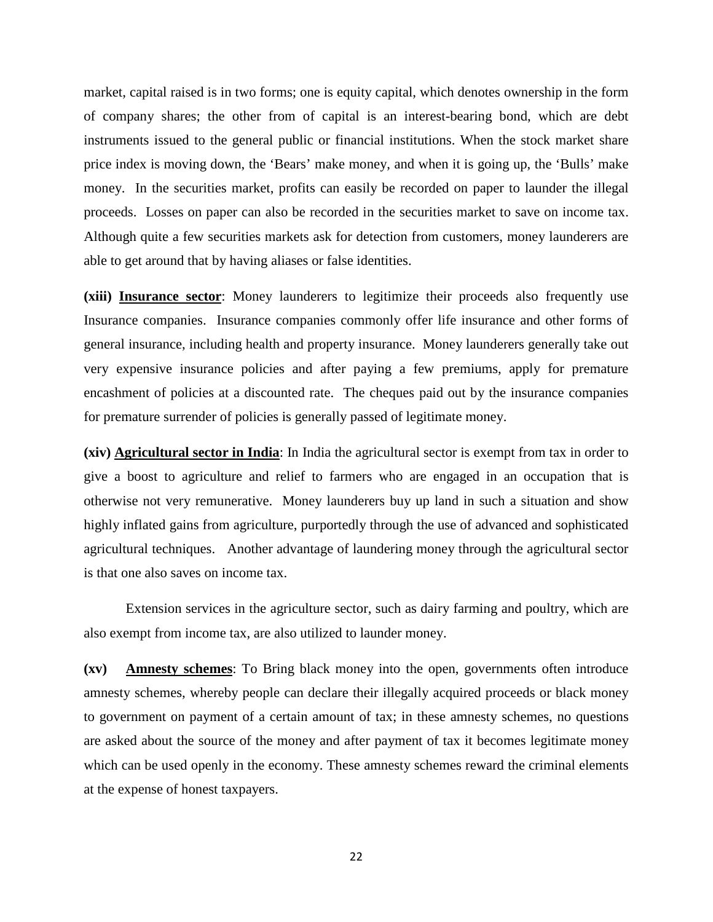market, capital raised is in two forms; one is equity capital, which denotes ownership in the form of company shares; the other from of capital is an interest-bearing bond, which are debt instruments issued to the general public or financial institutions. When the stock market share price index is moving down, the 'Bears' make money, and when it is going up, the 'Bulls' make money. In the securities market, profits can easily be recorded on paper to launder the illegal proceeds. Losses on paper can also be recorded in the securities market to save on income tax. Although quite a few securities markets ask for detection from customers, money launderers are able to get around that by having aliases or false identities.

**(xiii) Insurance sector**: Money launderers to legitimize their proceeds also frequently use Insurance companies. Insurance companies commonly offer life insurance and other forms of general insurance, including health and property insurance. Money launderers generally take out very expensive insurance policies and after paying a few premiums, apply for premature encashment of policies at a discounted rate. The cheques paid out by the insurance companies for premature surrender of policies is generally passed of legitimate money.

**(xiv) Agricultural sector in India**: In India the agricultural sector is exempt from tax in order to give a boost to agriculture and relief to farmers who are engaged in an occupation that is otherwise not very remunerative. Money launderers buy up land in such a situation and show highly inflated gains from agriculture, purportedly through the use of advanced and sophisticated agricultural techniques. Another advantage of laundering money through the agricultural sector is that one also saves on income tax.

Extension services in the agriculture sector, such as dairy farming and poultry, which are also exempt from income tax, are also utilized to launder money.

**(xv) Amnesty schemes**: To Bring black money into the open, governments often introduce amnesty schemes, whereby people can declare their illegally acquired proceeds or black money to government on payment of a certain amount of tax; in these amnesty schemes, no questions are asked about the source of the money and after payment of tax it becomes legitimate money which can be used openly in the economy. These amnesty schemes reward the criminal elements at the expense of honest taxpayers.

22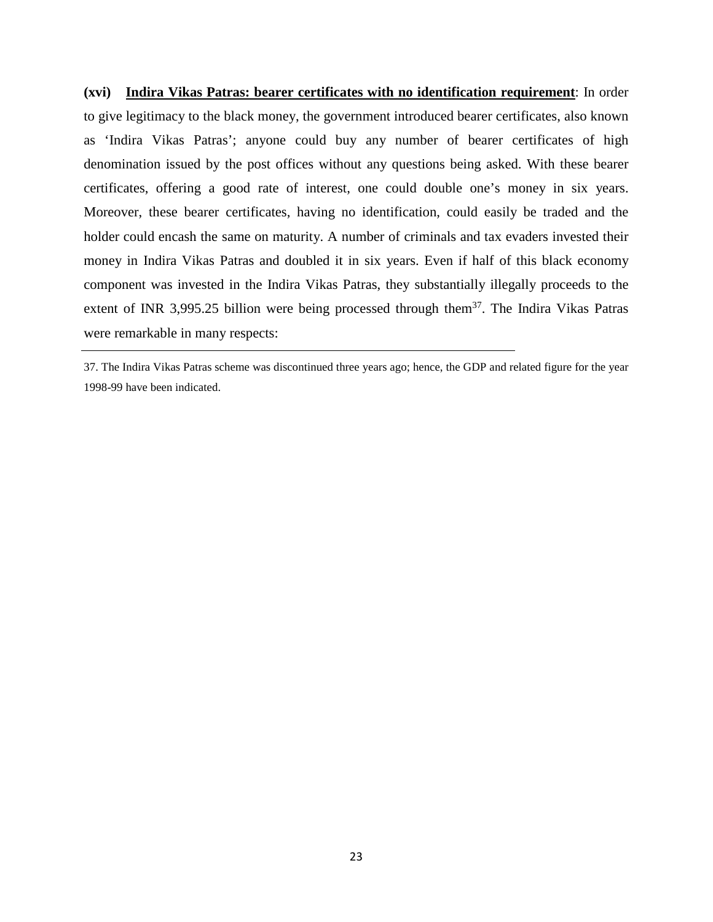**(xvi) Indira Vikas Patras: bearer certificates with no identification requirement**: In order to give legitimacy to the black money, the government introduced bearer certificates, also known as 'Indira Vikas Patras'; anyone could buy any number of bearer certificates of high denomination issued by the post offices without any questions being asked. With these bearer certificates, offering a good rate of interest, one could double one's money in six years. Moreover, these bearer certificates, having no identification, could easily be traded and the holder could encash the same on maturity. A number of criminals and tax evaders invested their money in Indira Vikas Patras and doubled it in six years. Even if half of this black economy component was invested in the Indira Vikas Patras, they substantially illegally proceeds to the extent of INR 3,995.25 billion were being processed through them<sup>37</sup>. The Indira Vikas Patras were remarkable in many respects:

<sup>37.</sup> The Indira Vikas Patras scheme was discontinued three years ago; hence, the GDP and related figure for the year 1998-99 have been indicated.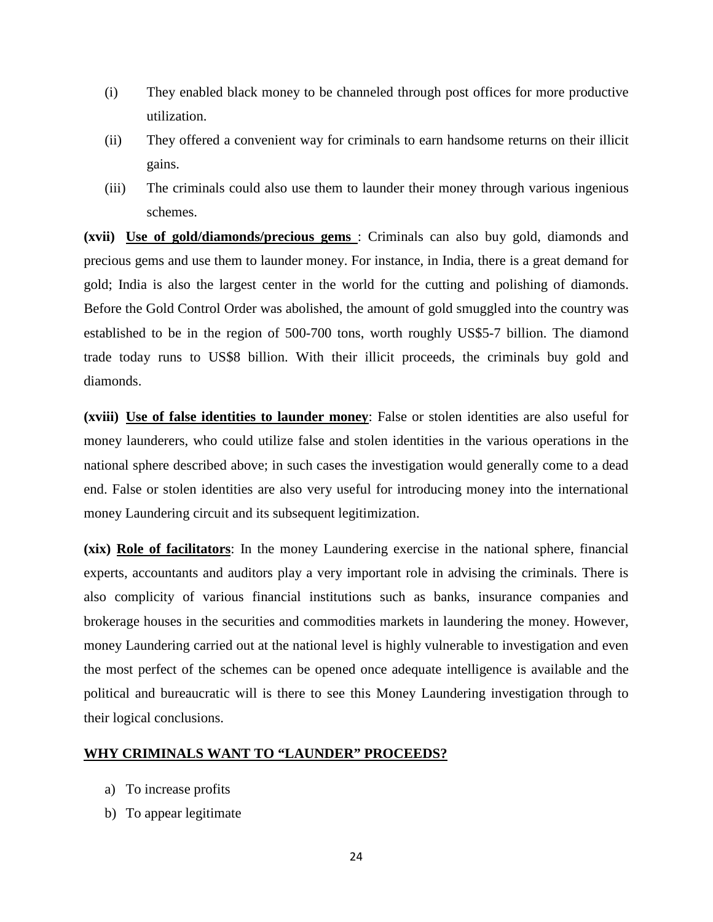- (i) They enabled black money to be channeled through post offices for more productive utilization.
- (ii) They offered a convenient way for criminals to earn handsome returns on their illicit gains.
- (iii) The criminals could also use them to launder their money through various ingenious schemes.

**(xvii) Use of gold/diamonds/precious gems** : Criminals can also buy gold, diamonds and precious gems and use them to launder money. For instance, in India, there is a great demand for gold; India is also the largest center in the world for the cutting and polishing of diamonds. Before the Gold Control Order was abolished, the amount of gold smuggled into the country was established to be in the region of 500-700 tons, worth roughly US\$5-7 billion. The diamond trade today runs to US\$8 billion. With their illicit proceeds, the criminals buy gold and diamonds.

**(xviii) Use of false identities to launder money**: False or stolen identities are also useful for money launderers, who could utilize false and stolen identities in the various operations in the national sphere described above; in such cases the investigation would generally come to a dead end. False or stolen identities are also very useful for introducing money into the international money Laundering circuit and its subsequent legitimization.

**(xix) Role of facilitators**: In the money Laundering exercise in the national sphere, financial experts, accountants and auditors play a very important role in advising the criminals. There is also complicity of various financial institutions such as banks, insurance companies and brokerage houses in the securities and commodities markets in laundering the money. However, money Laundering carried out at the national level is highly vulnerable to investigation and even the most perfect of the schemes can be opened once adequate intelligence is available and the political and bureaucratic will is there to see this Money Laundering investigation through to their logical conclusions.

## **WHY CRIMINALS WANT TO "LAUNDER" PROCEEDS?**

- a) To increase profits
- b) To appear legitimate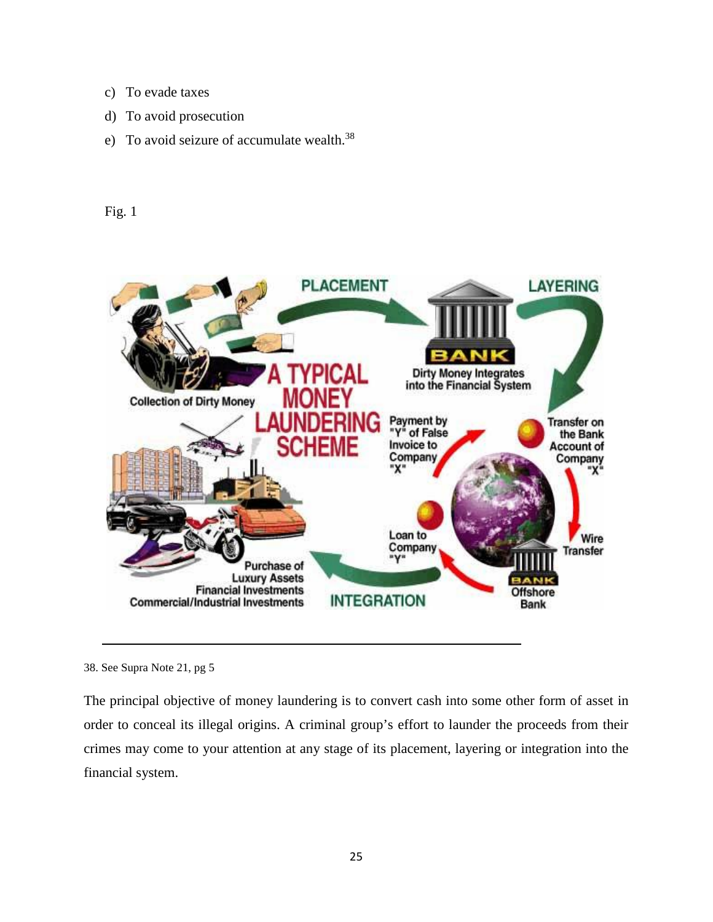- c) To evade taxes
- d) To avoid prosecution
- e) To avoid seizure of accumulate wealth.<sup>38</sup>

## Fig. 1



<sup>38.</sup> See Supra Note 21, pg 5

The principal objective of money laundering is to convert cash into some other form of asset in order to conceal its illegal origins. A criminal group's effort to launder the proceeds from their crimes may come to your attention at any stage of its placement, layering or integration into the financial system.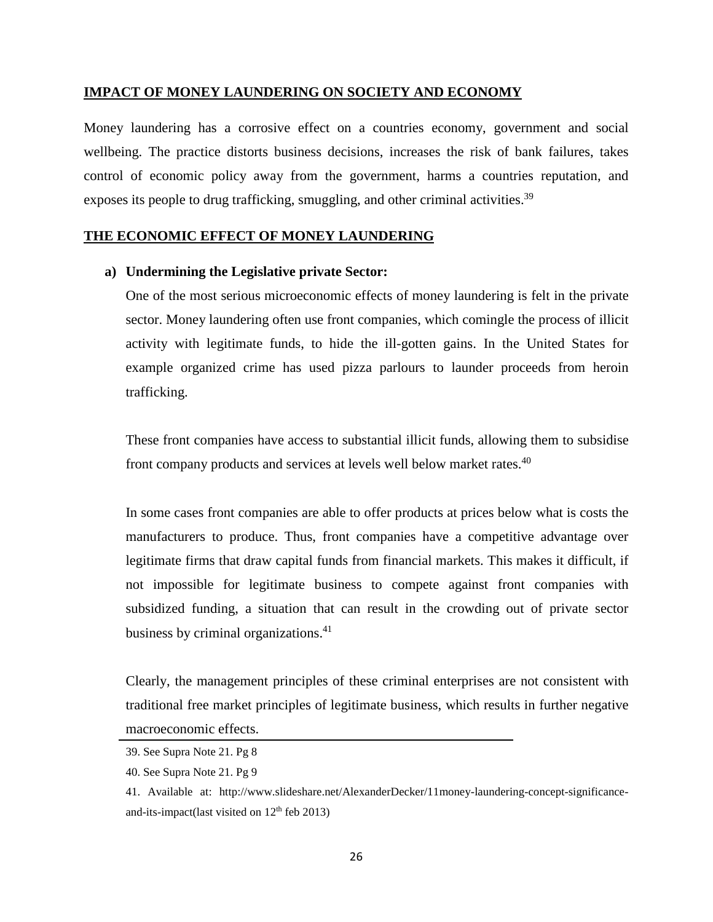## **IMPACT OF MONEY LAUNDERING ON SOCIETY AND ECONOMY**

Money laundering has a corrosive effect on a countries economy, government and social wellbeing. The practice distorts business decisions, increases the risk of bank failures, takes control of economic policy away from the government, harms a countries reputation, and exposes its people to drug trafficking, smuggling, and other criminal activities.<sup>39</sup>

## **THE ECONOMIC EFFECT OF MONEY LAUNDERING**

## **a) Undermining the Legislative private Sector:**

One of the most serious microeconomic effects of money laundering is felt in the private sector. Money laundering often use front companies, which comingle the process of illicit activity with legitimate funds, to hide the ill-gotten gains. In the United States for example organized crime has used pizza parlours to launder proceeds from heroin trafficking.

These front companies have access to substantial illicit funds, allowing them to subsidise front company products and services at levels well below market rates.<sup>40</sup>

In some cases front companies are able to offer products at prices below what is costs the manufacturers to produce. Thus, front companies have a competitive advantage over legitimate firms that draw capital funds from financial markets. This makes it difficult, if not impossible for legitimate business to compete against front companies with subsidized funding, a situation that can result in the crowding out of private sector business by criminal organizations.<sup>41</sup>

Clearly, the management principles of these criminal enterprises are not consistent with traditional free market principles of legitimate business, which results in further negative macroeconomic effects.

<sup>39.</sup> See Supra Note 21. Pg 8

<sup>40.</sup> See Supra Note 21. Pg 9

<sup>41.</sup> Available at: [http://www.slideshare.net/AlexanderDecker/11money-laundering-concept-significance](http://www.slideshare.net/AlexanderDecker/11money-laundering-concept-significance-and-its-impact(last)[and-its-impact\(last](http://www.slideshare.net/AlexanderDecker/11money-laundering-concept-significance-and-its-impact(last) visited on 12th feb 2013)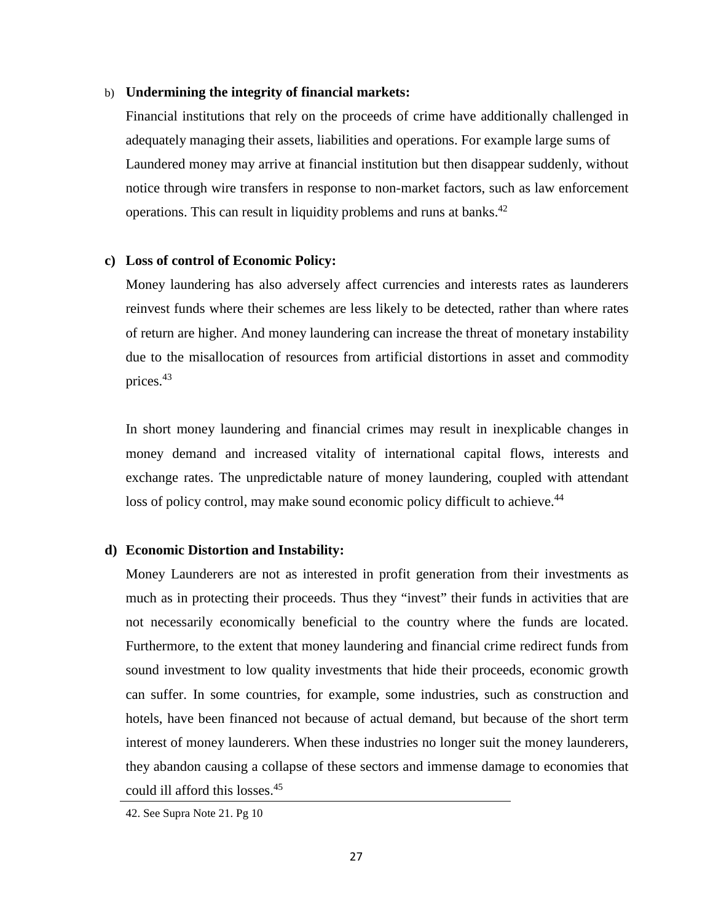#### b) **Undermining the integrity of financial markets:**

Financial institutions that rely on the proceeds of crime have additionally challenged in adequately managing their assets, liabilities and operations. For example large sums of Laundered money may arrive at financial institution but then disappear suddenly, without notice through wire transfers in response to non-market factors, such as law enforcement operations. This can result in liquidity problems and runs at banks.<sup>42</sup>

#### **c) Loss of control of Economic Policy:**

Money laundering has also adversely affect currencies and interests rates as launderers reinvest funds where their schemes are less likely to be detected, rather than where rates of return are higher. And money laundering can increase the threat of monetary instability due to the misallocation of resources from artificial distortions in asset and commodity prices.43

In short money laundering and financial crimes may result in inexplicable changes in money demand and increased vitality of international capital flows, interests and exchange rates. The unpredictable nature of money laundering, coupled with attendant loss of policy control, may make sound economic policy difficult to achieve.<sup>44</sup>

## **d) Economic Distortion and Instability:**

Money Launderers are not as interested in profit generation from their investments as much as in protecting their proceeds. Thus they "invest" their funds in activities that are not necessarily economically beneficial to the country where the funds are located. Furthermore, to the extent that money laundering and financial crime redirect funds from sound investment to low quality investments that hide their proceeds, economic growth can suffer. In some countries, for example, some industries, such as construction and hotels, have been financed not because of actual demand, but because of the short term interest of money launderers. When these industries no longer suit the money launderers, they abandon causing a collapse of these sectors and immense damage to economies that could ill afford this losses.<sup>45</sup>

<sup>42.</sup> See Supra Note 21. Pg 10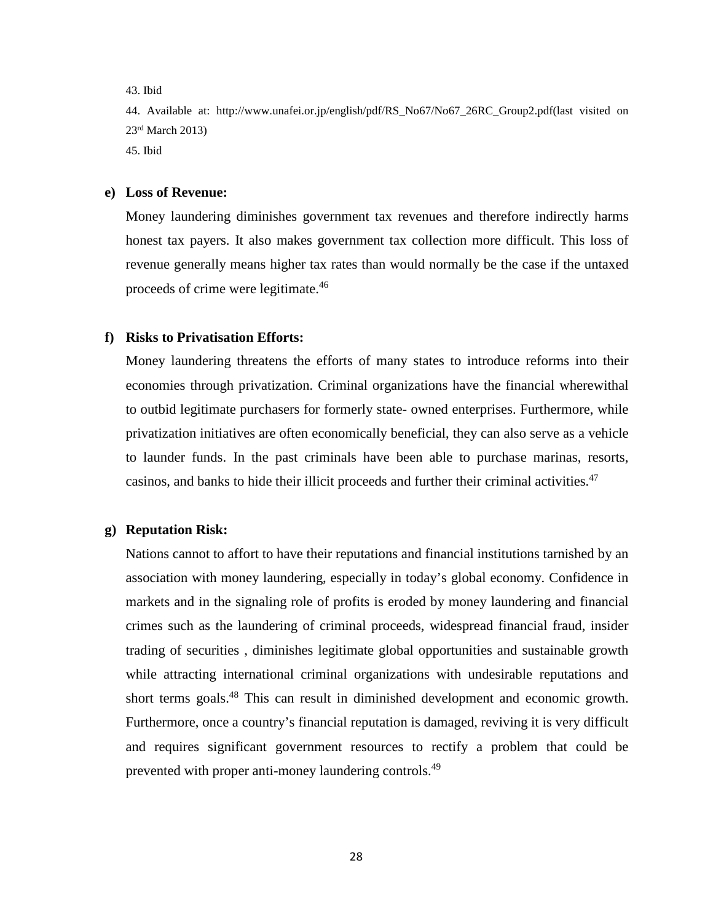43. Ibid

44. Available at: [http://www.unafei.or.jp/english/pdf/RS\\_No67/No67\\_26RC\\_Group2.pdf\(last](http://www.unafei.or.jp/english/pdf/RS_No67/No67_26RC_Group2.pdf(last) visited on 23rd March 2013) 45. Ibid

**e) Loss of Revenue:**

Money laundering diminishes government tax revenues and therefore indirectly harms honest tax payers. It also makes government tax collection more difficult. This loss of revenue generally means higher tax rates than would normally be the case if the untaxed proceeds of crime were legitimate.<sup>46</sup>

#### **f) Risks to Privatisation Efforts:**

Money laundering threatens the efforts of many states to introduce reforms into their economies through privatization. Criminal organizations have the financial wherewithal to outbid legitimate purchasers for formerly state- owned enterprises. Furthermore, while privatization initiatives are often economically beneficial, they can also serve as a vehicle to launder funds. In the past criminals have been able to purchase marinas, resorts, casinos, and banks to hide their illicit proceeds and further their criminal activities.<sup>47</sup>

#### **g) Reputation Risk:**

Nations cannot to affort to have their reputations and financial institutions tarnished by an association with money laundering, especially in today's global economy. Confidence in markets and in the signaling role of profits is eroded by money laundering and financial crimes such as the laundering of criminal proceeds, widespread financial fraud, insider trading of securities , diminishes legitimate global opportunities and sustainable growth while attracting international criminal organizations with undesirable reputations and short terms goals.<sup>48</sup> This can result in diminished development and economic growth. Furthermore, once a country's financial reputation is damaged, reviving it is very difficult and requires significant government resources to rectify a problem that could be prevented with proper anti-money laundering controls.49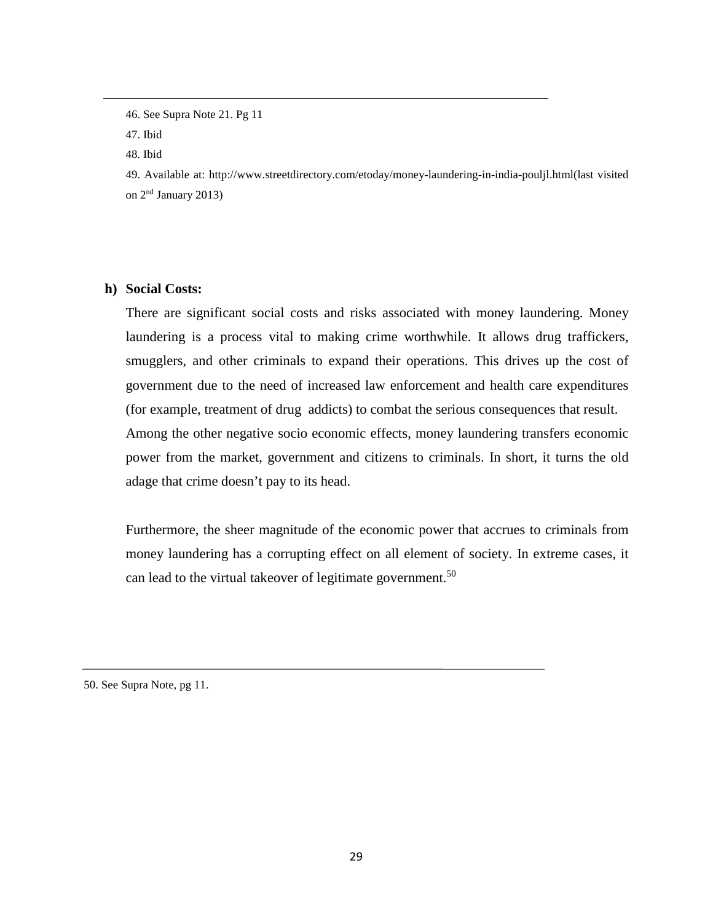46. See Supra Note 21. Pg 11

47. Ibid

48. Ibid

49. Available at: [http://www.streetdirectory.com/etoday/money-laundering-in-india-pouljl.html\(last](http://www.streetdirectory.com/etoday/money-laundering-in-india-pouljl.html(last) visited on 2nd January 2013)

**h) Social Costs:**

There are significant social costs and risks associated with money laundering. Money laundering is a process vital to making crime worthwhile. It allows drug traffickers, smugglers, and other criminals to expand their operations. This drives up the cost of government due to the need of increased law enforcement and health care expenditures (for example, treatment of drug addicts) to combat the serious consequences that result. Among the other negative socio economic effects, money laundering transfers economic power from the market, government and citizens to criminals. In short, it turns the old adage that crime doesn't pay to its head.

Furthermore, the sheer magnitude of the economic power that accrues to criminals from money laundering has a corrupting effect on all element of society. In extreme cases, it can lead to the virtual takeover of legitimate government.<sup>50</sup>

50. See Supra Note, pg 11.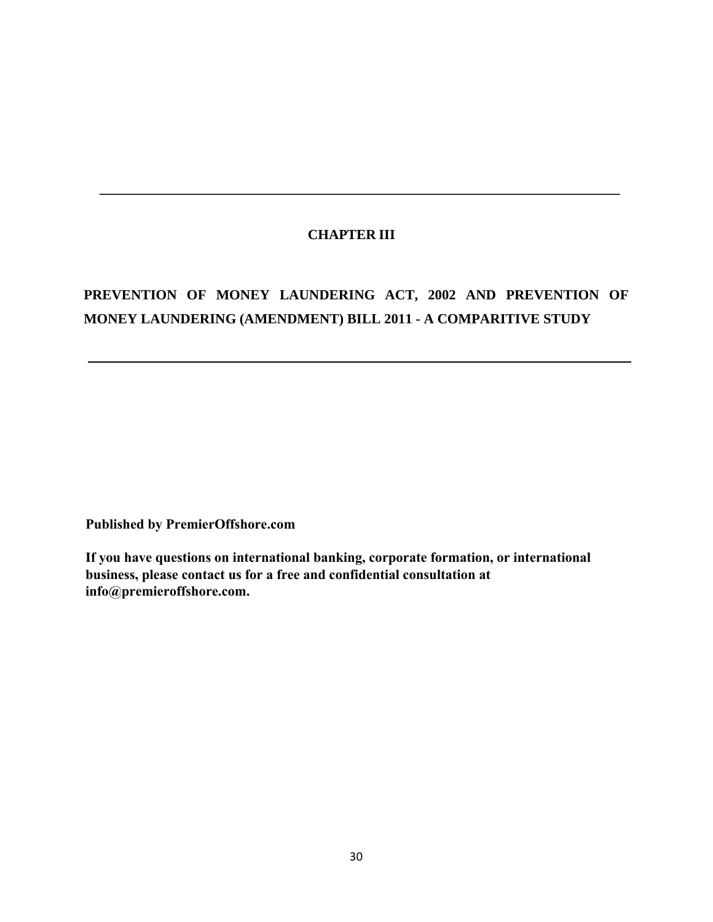# **CHAPTER III**

# **PREVENTION OF MONEY LAUNDERING ACT, 2002 AND PREVENTION OF MONEY LAUNDERING (AMENDMENT) BILL 2011 - A COMPARITIVE STUDY**

**Published by PremierOffshore.com**

**If you have questions on international banking, corporate formation, or international business, please contact us for a free and confidential consultation at info@premieroffshore.com.**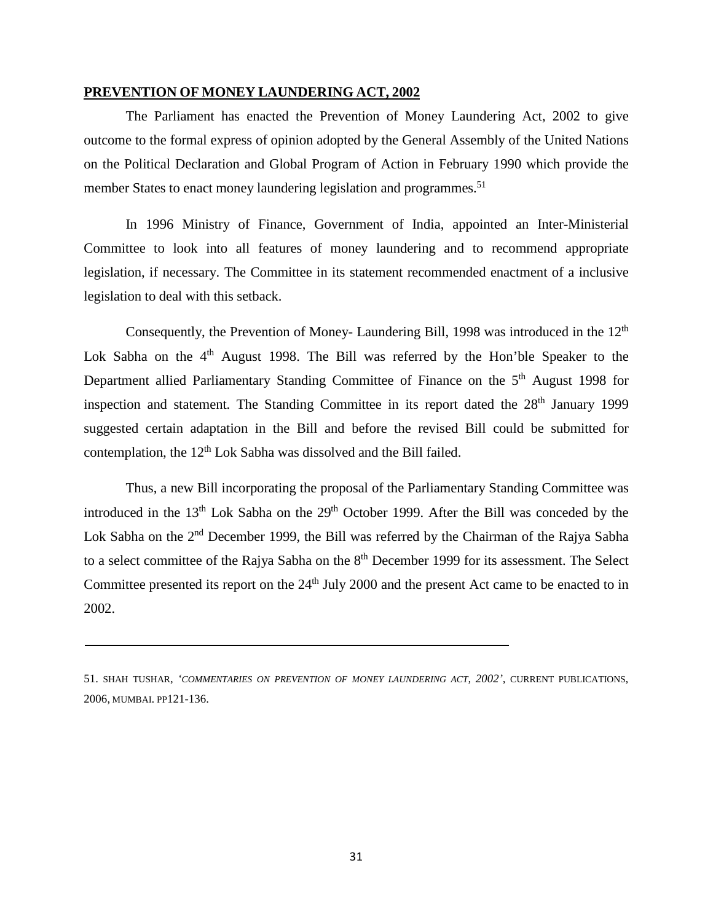#### **PREVENTION OF MONEY LAUNDERING ACT, 2002**

The Parliament has enacted the Prevention of Money Laundering Act, 2002 to give outcome to the formal express of opinion adopted by the General Assembly of the United Nations on the Political Declaration and Global Program of Action in February 1990 which provide the member States to enact money laundering legislation and programmes.<sup>51</sup>

In 1996 Ministry of Finance, Government of India, appointed an Inter-Ministerial Committee to look into all features of money laundering and to recommend appropriate legislation, if necessary. The Committee in its statement recommended enactment of a inclusive legislation to deal with this setback.

Consequently, the Prevention of Money- Laundering Bill, 1998 was introduced in the 12<sup>th</sup> Lok Sabha on the  $4<sup>th</sup>$  August 1998. The Bill was referred by the Hon'ble Speaker to the Department allied Parliamentary Standing Committee of Finance on the 5<sup>th</sup> August 1998 for inspection and statement. The Standing Committee in its report dated the  $28<sup>th</sup>$  January 1999 suggested certain adaptation in the Bill and before the revised Bill could be submitted for contemplation, the 12<sup>th</sup> Lok Sabha was dissolved and the Bill failed.

Thus, a new Bill incorporating the proposal of the Parliamentary Standing Committee was introduced in the  $13<sup>th</sup>$  Lok Sabha on the  $29<sup>th</sup>$  October 1999. After the Bill was conceded by the Lok Sabha on the 2<sup>nd</sup> December 1999, the Bill was referred by the Chairman of the Rajya Sabha to a select committee of the Rajya Sabha on the 8<sup>th</sup> December 1999 for its assessment. The Select Committee presented its report on the  $24<sup>th</sup>$  July 2000 and the present Act came to be enacted to in 2002.

<sup>51.</sup> SHAH TUSHAR, *'COMMENTARIES ON PREVENTION OF MONEY LAUNDERING ACT, 2002',* CURRENT PUBLICATIONS, 2006, MUMBAI. PP121-136.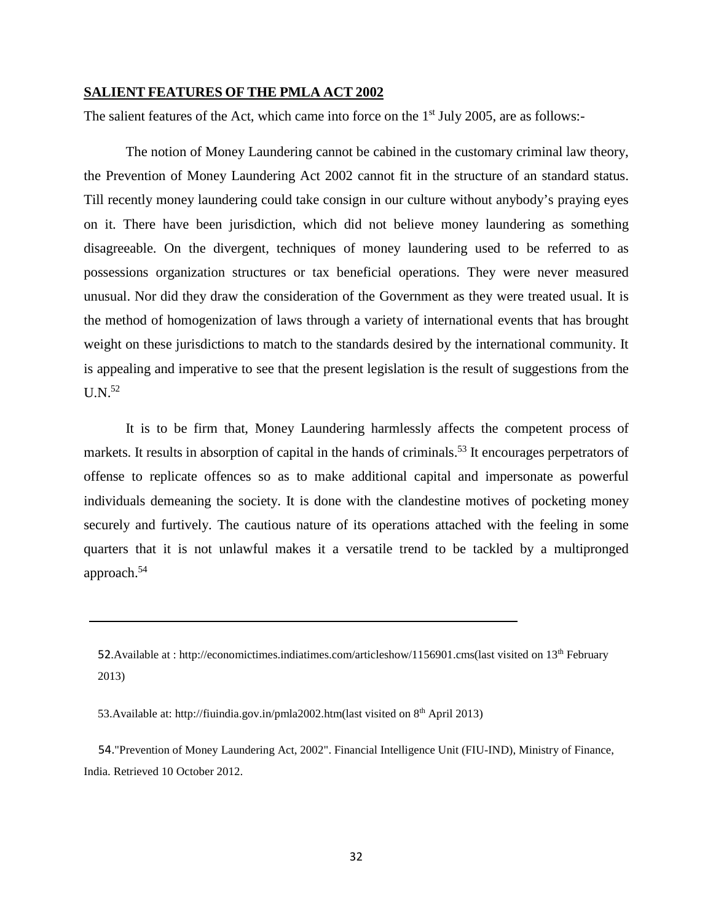#### **SALIENT FEATURES OF THE PMLA ACT 2002**

The salient features of the Act, which came into force on the  $1<sup>st</sup>$  July 2005, are as follows:-

The notion of Money Laundering cannot be cabined in the customary criminal law theory, the Prevention of Money Laundering Act 2002 cannot fit in the structure of an standard status. Till recently money laundering could take consign in our culture without anybody's praying eyes on it. There have been jurisdiction, which did not believe money laundering as something disagreeable. On the divergent, techniques of money laundering used to be referred to as possessions organization structures or tax beneficial operations. They were never measured unusual. Nor did they draw the consideration of the Government as they were treated usual. It is the method of homogenization of laws through a variety of international events that has brought weight on these jurisdictions to match to the standards desired by the international community. It is appealing and imperative to see that the present legislation is the result of suggestions from the  $U.N.<sup>52</sup>$ 

It is to be firm that, Money Laundering harmlessly affects the competent process of markets. It results in absorption of capital in the hands of criminals.<sup>53</sup> It encourages perpetrators of offense to replicate offences so as to make additional capital and impersonate as powerful individuals demeaning the society. It is done with the clandestine motives of pocketing money securely and furtively. The cautious nature of its operations attached with the feeling in some quarters that it is not unlawful makes it a versatile trend to be tackled by a multipronged approach.54

53.Available at: [http://fiuindia.gov.in/pmla2002.htm\(last](http://fiuindia.gov.in/pmla2002.htm(last) visited on 8th April 2013)

 54.["Prevention of Money Laundering Act, 2002".](http://fiuindia.gov.in/downloads/PMLA_2002.pdf) Financial Intelligence Unit (FIU-IND), Ministry of Finance, India. Retrieved 10 October 2012.

<sup>52.</sup>Available at : [http://economictimes.indiatimes.com/articleshow/1156901.cms\(last](http://economictimes.indiatimes.com/articleshow/1156901.cms(last) visited on 13<sup>th</sup> February 2013)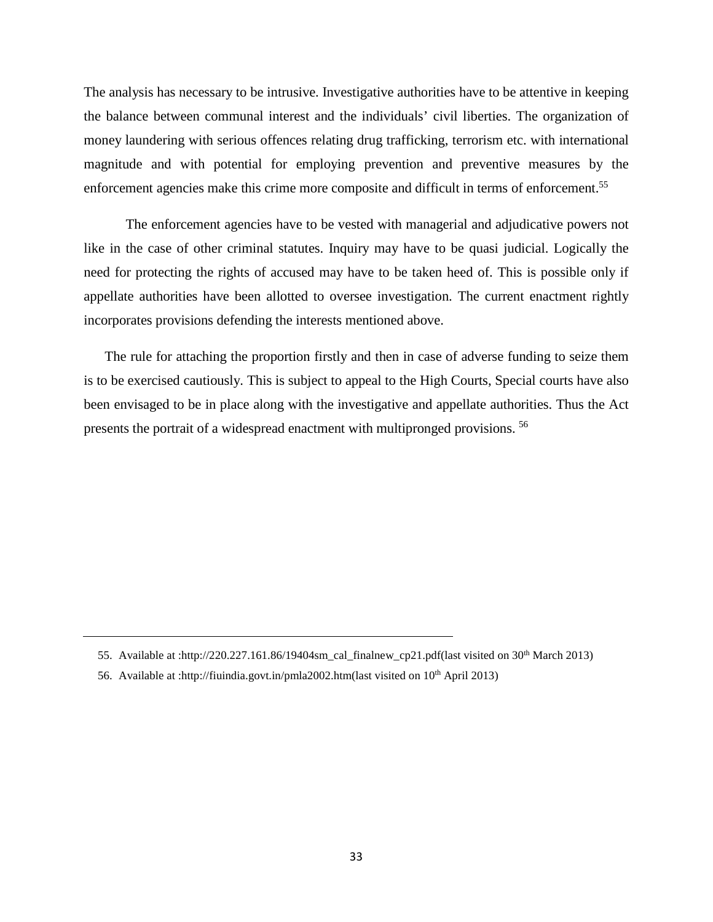The analysis has necessary to be intrusive. Investigative authorities have to be attentive in keeping the balance between communal interest and the individuals' civil liberties. The organization of money laundering with serious offences relating drug trafficking, terrorism etc. with international magnitude and with potential for employing prevention and preventive measures by the enforcement agencies make this crime more composite and difficult in terms of enforcement.<sup>55</sup>

The enforcement agencies have to be vested with managerial and adjudicative powers not like in the case of other criminal statutes. Inquiry may have to be quasi judicial. Logically the need for protecting the rights of accused may have to be taken heed of. This is possible only if appellate authorities have been allotted to oversee investigation. The current enactment rightly incorporates provisions defending the interests mentioned above.

The rule for attaching the proportion firstly and then in case of adverse funding to seize them is to be exercised cautiously. This is subject to appeal to the High Courts, Special courts have also been envisaged to be in place along with the investigative and appellate authorities. Thus the Act presents the portrait of a widespread enactment with multipronged provisions. 56

<sup>55.</sup> Available at [:http://220.227.161.86/19404sm\\_cal\\_finalnew\\_cp21.pdf\(](http://220.227.161.86/19404sm_cal_finalnew_cp21.pdf)last visited on 30th March 2013)

<sup>56.</sup> Available at :http://fiuindia.govt.in/pmla2002.htm(last visited on 10<sup>th</sup> April 2013)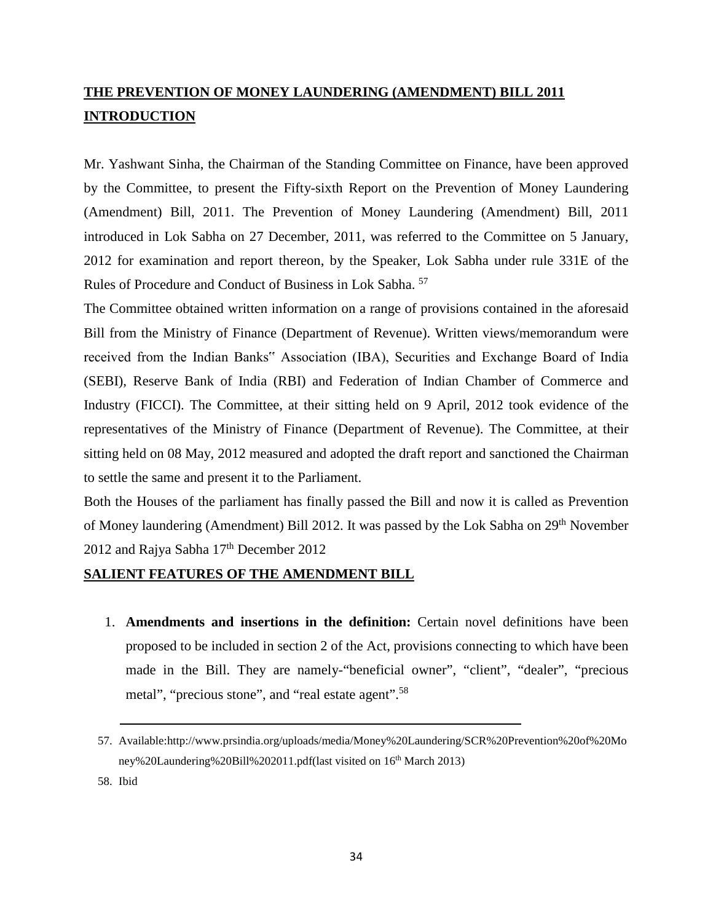# **THE PREVENTION OF MONEY LAUNDERING (AMENDMENT) BILL 2011 INTRODUCTION**

Mr. Yashwant Sinha, the Chairman of the Standing Committee on Finance, have been approved by the Committee, to present the Fifty-sixth Report on the Prevention of Money Laundering (Amendment) Bill, 2011. The Prevention of Money Laundering (Amendment) Bill, 2011 introduced in Lok Sabha on 27 December, 2011, was referred to the Committee on 5 January, 2012 for examination and report thereon, by the Speaker, Lok Sabha under rule 331E of the Rules of Procedure and Conduct of Business in Lok Sabha. 57

The Committee obtained written information on a range of provisions contained in the aforesaid Bill from the Ministry of Finance (Department of Revenue). Written views/memorandum were received from the Indian Banks" Association (IBA), Securities and Exchange Board of India (SEBI), Reserve Bank of India (RBI) and Federation of Indian Chamber of Commerce and Industry (FICCI). The Committee, at their sitting held on 9 April, 2012 took evidence of the representatives of the Ministry of Finance (Department of Revenue). The Committee, at their sitting held on 08 May, 2012 measured and adopted the draft report and sanctioned the Chairman to settle the same and present it to the Parliament.

Both the Houses of the parliament has finally passed the Bill and now it is called as Prevention of Money laundering (Amendment) Bill 2012. It was passed by the Lok Sabha on 29<sup>th</sup> November 2012 and Rajya Sabha 17<sup>th</sup> December 2012

#### **SALIENT FEATURES OF THE AMENDMENT BILL**

1. **Amendments and insertions in the definition:** Certain novel definitions have been proposed to be included in section 2 of the Act, provisions connecting to which have been made in the Bill. They are namely-"beneficial owner", "client", "dealer", "precious metal", "precious stone", and "real estate agent".<sup>58</sup>

58. Ibid

<sup>57.</sup> Available[:http://www.prsindia.org/uploads/media/Money%20Laundering/SCR%20Prevention%20of%20Mo](http://www.prsindia.org/uploads/media/Money%20Laundering/SCR%20Prevention%20of%20Money%20Laundering%20Bill%202011.pdf) [ney%20Laundering%20Bill%202011.pdf](http://www.prsindia.org/uploads/media/Money%20Laundering/SCR%20Prevention%20of%20Money%20Laundering%20Bill%202011.pdf)[\(last](http://indiagovernance.gov.in/news.php?id=1851(last) visited on 16<sup>th</sup> March 2013)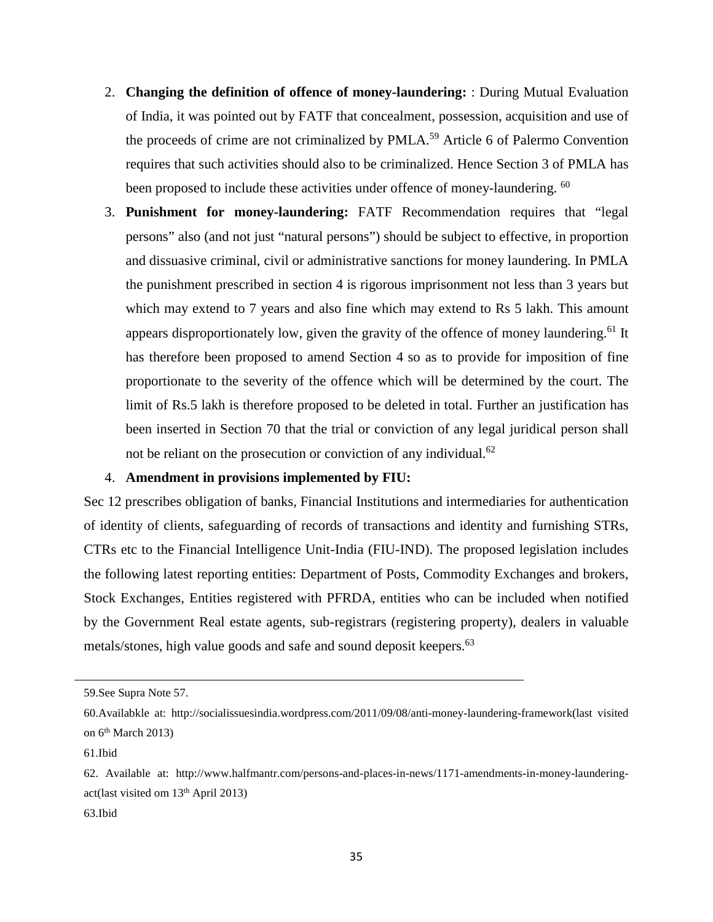- 2. **Changing the definition of offence of money-laundering:** : During Mutual Evaluation of India, it was pointed out by FATF that concealment, possession, acquisition and use of the proceeds of crime are not criminalized by PMLA.<sup>59</sup> Article 6 of Palermo Convention requires that such activities should also to be criminalized. Hence Section 3 of PMLA has been proposed to include these activities under offence of money-laundering. <sup>60</sup>
- 3. **Punishment for money-laundering:** FATF Recommendation requires that "legal persons" also (and not just "natural persons") should be subject to effective, in proportion and dissuasive criminal, civil or administrative sanctions for money laundering. In PMLA the punishment prescribed in section 4 is rigorous imprisonment not less than 3 years but which may extend to 7 years and also fine which may extend to Rs 5 lakh. This amount appears disproportionately low, given the gravity of the offence of money laundering.<sup>61</sup> It has therefore been proposed to amend Section 4 so as to provide for imposition of fine proportionate to the severity of the offence which will be determined by the court. The limit of Rs.5 lakh is therefore proposed to be deleted in total. Further an justification has been inserted in Section 70 that the trial or conviction of any legal juridical person shall not be reliant on the prosecution or conviction of any individual.<sup>62</sup>

#### 4. **Amendment in provisions implemented by FIU:**

Sec 12 prescribes obligation of banks, Financial Institutions and intermediaries for authentication of identity of clients, safeguarding of records of transactions and identity and furnishing STRs, CTRs etc to the Financial Intelligence Unit-India (FIU-IND). The proposed legislation includes the following latest reporting entities: Department of Posts, Commodity Exchanges and brokers, Stock Exchanges, Entities registered with PFRDA, entities who can be included when notified by the Government Real estate agents, sub-registrars (registering property), dealers in valuable metals/stones, high value goods and safe and sound deposit keepers.<sup>63</sup>

<sup>59.</sup>See Supra Note 57.

<sup>60.</sup>Availabkle at: [http://socialissuesindia.wordpress.com/2011/09/08/anti-money-laundering-framework\(last](http://socialissuesindia.wordpress.com/2011/09/08/anti-money-laundering-framework(last) visited on  $6<sup>th</sup>$  March 2013)

<sup>61.</sup>Ibid

<sup>62.</sup> Available at: [http://www.halfmantr.com/persons-and-places-in-news/1171-amendments-in-money-laundering](http://www.halfmantr.com/persons-and-places-in-news/1171-amendments-in-money-laundering-act)[act\(](http://www.halfmantr.com/persons-and-places-in-news/1171-amendments-in-money-laundering-act)last visited om 13th April 2013)

<sup>63.</sup>Ibid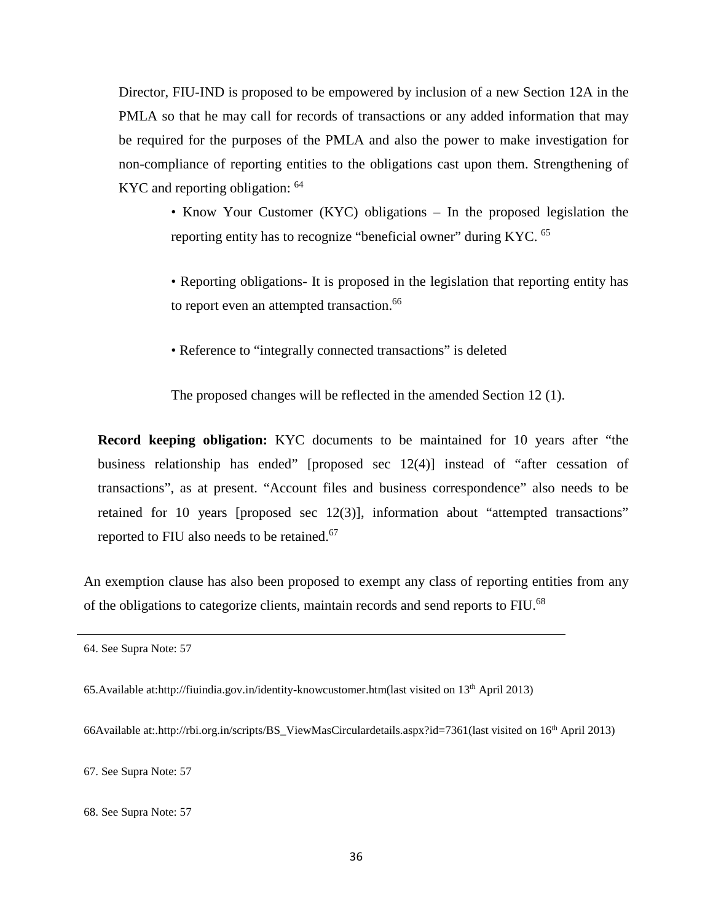Director, FIU-IND is proposed to be empowered by inclusion of a new Section 12A in the PMLA so that he may call for records of transactions or any added information that may be required for the purposes of the PMLA and also the power to make investigation for non-compliance of reporting entities to the obligations cast upon them. Strengthening of KYC and reporting obligation: <sup>64</sup>

• Know Your Customer (KYC) obligations – In the proposed legislation the reporting entity has to recognize "beneficial owner" during KYC. <sup>65</sup>

• Reporting obligations- It is proposed in the legislation that reporting entity has to report even an attempted transaction.<sup>66</sup>

• Reference to "integrally connected transactions" is deleted

The proposed changes will be reflected in the amended Section 12 (1).

**Record keeping obligation:** KYC documents to be maintained for 10 years after "the business relationship has ended" [proposed sec 12(4)] instead of "after cessation of transactions", as at present. "Account files and business correspondence" also needs to be retained for 10 years [proposed sec 12(3)], information about "attempted transactions" reported to FIU also needs to be retained.<sup>67</sup>

An exemption clause has also been proposed to exempt any class of reporting entities from any of the obligations to categorize clients, maintain records and send reports to FIU.<sup>68</sup>

66Available at:[.http://rbi.org.in/scripts/BS\\_ViewMasCirculardetails.aspx?id=7361\(](http://rbi.org.in/scripts/BS_ViewMasCirculardetails.aspx?id=7361)last visited on 16th April 2013)

67. See Supra Note: 57

<sup>64.</sup> See Supra Note: 57

<sup>65.</sup>Available at[:http://fiuindia.gov.in/identity-knowcustomer.htm\(](http://fiuindia.gov.in/identity-knowcustomer.htm)last visited on 13th April 2013)

<sup>68.</sup> See Supra Note: 57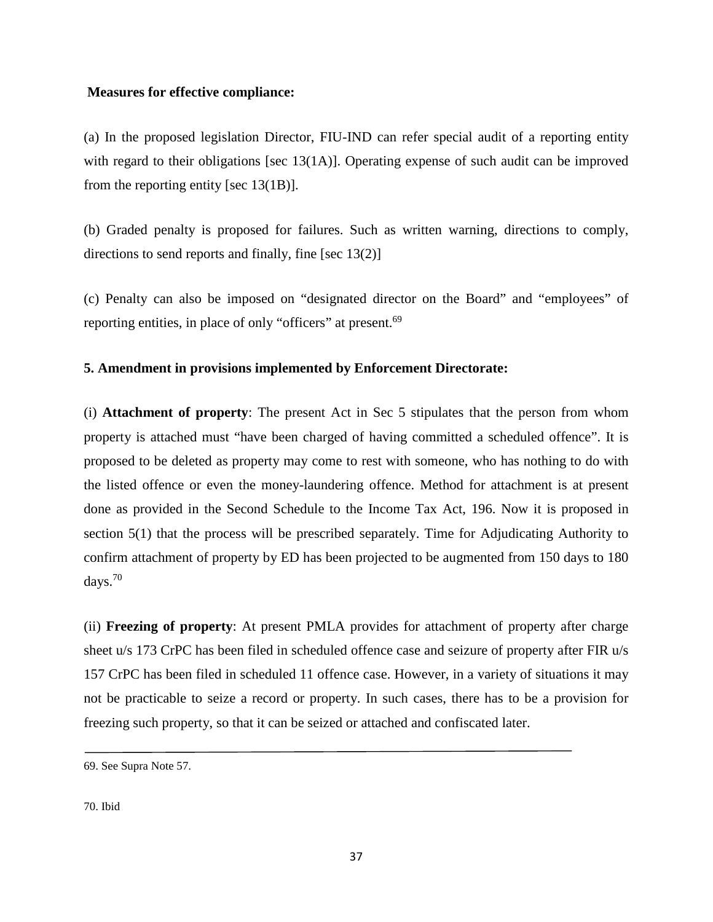### **Measures for effective compliance:**

(a) In the proposed legislation Director, FIU-IND can refer special audit of a reporting entity with regard to their obligations [sec 13(1A)]. Operating expense of such audit can be improved from the reporting entity [sec 13(1B)].

(b) Graded penalty is proposed for failures. Such as written warning, directions to comply, directions to send reports and finally, fine [sec 13(2)]

(c) Penalty can also be imposed on "designated director on the Board" and "employees" of reporting entities, in place of only "officers" at present.<sup>69</sup>

# **5. Amendment in provisions implemented by Enforcement Directorate:**

(i) **Attachment of property**: The present Act in Sec 5 stipulates that the person from whom property is attached must "have been charged of having committed a scheduled offence". It is proposed to be deleted as property may come to rest with someone, who has nothing to do with the listed offence or even the money-laundering offence. Method for attachment is at present done as provided in the Second Schedule to the Income Tax Act, 196. Now it is proposed in section 5(1) that the process will be prescribed separately. Time for Adjudicating Authority to confirm attachment of property by ED has been projected to be augmented from 150 days to 180 days. 70

(ii) **Freezing of property**: At present PMLA provides for attachment of property after charge sheet u/s 173 CrPC has been filed in scheduled offence case and seizure of property after FIR u/s 157 CrPC has been filed in scheduled 11 offence case. However, in a variety of situations it may not be practicable to seize a record or property. In such cases, there has to be a provision for freezing such property, so that it can be seized or attached and confiscated later.

<sup>69.</sup> See Supra Note 57.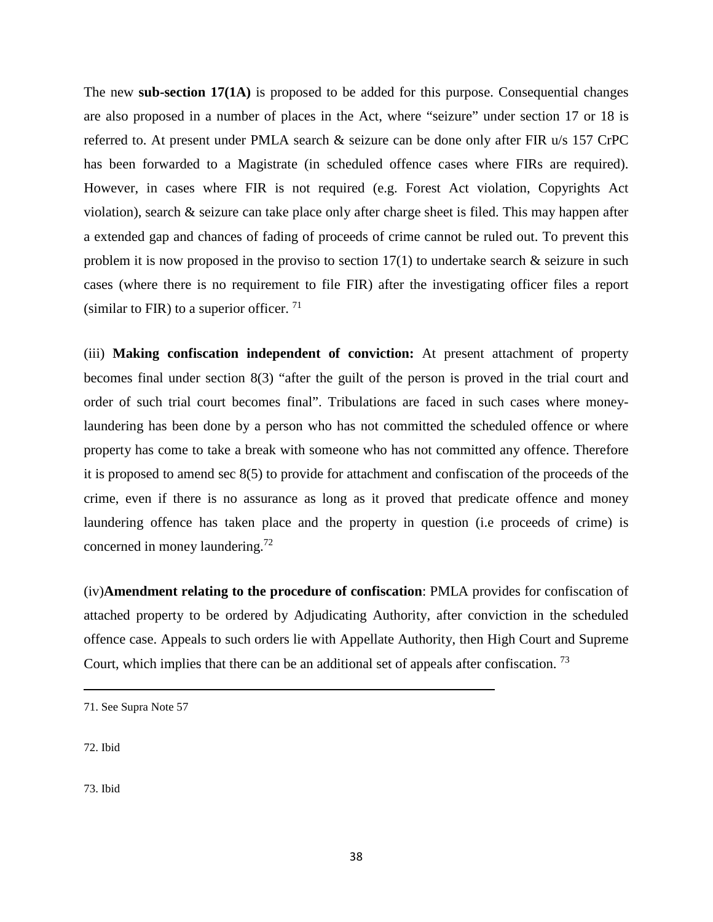The new **sub-section 17(1A)** is proposed to be added for this purpose. Consequential changes are also proposed in a number of places in the Act, where "seizure" under section 17 or 18 is referred to. At present under PMLA search & seizure can be done only after FIR u/s 157 CrPC has been forwarded to a Magistrate (in scheduled offence cases where FIRs are required). However, in cases where FIR is not required (e.g. Forest Act violation, Copyrights Act violation), search & seizure can take place only after charge sheet is filed. This may happen after a extended gap and chances of fading of proceeds of crime cannot be ruled out. To prevent this problem it is now proposed in the proviso to section  $17(1)$  to undertake search  $\&$  seizure in such cases (where there is no requirement to file FIR) after the investigating officer files a report (similar to FIR) to a superior officer.  $71$ 

(iii) **Making confiscation independent of conviction:** At present attachment of property becomes final under section 8(3) "after the guilt of the person is proved in the trial court and order of such trial court becomes final". Tribulations are faced in such cases where moneylaundering has been done by a person who has not committed the scheduled offence or where property has come to take a break with someone who has not committed any offence. Therefore it is proposed to amend sec 8(5) to provide for attachment and confiscation of the proceeds of the crime, even if there is no assurance as long as it proved that predicate offence and money laundering offence has taken place and the property in question (i.e proceeds of crime) is concerned in money laundering.<sup>72</sup>

(iv)**Amendment relating to the procedure of confiscation**: PMLA provides for confiscation of attached property to be ordered by Adjudicating Authority, after conviction in the scheduled offence case. Appeals to such orders lie with Appellate Authority, then High Court and Supreme Court, which implies that there can be an additional set of appeals after confiscation. <sup>73</sup>

72. Ibid

<sup>71.</sup> See Supra Note 57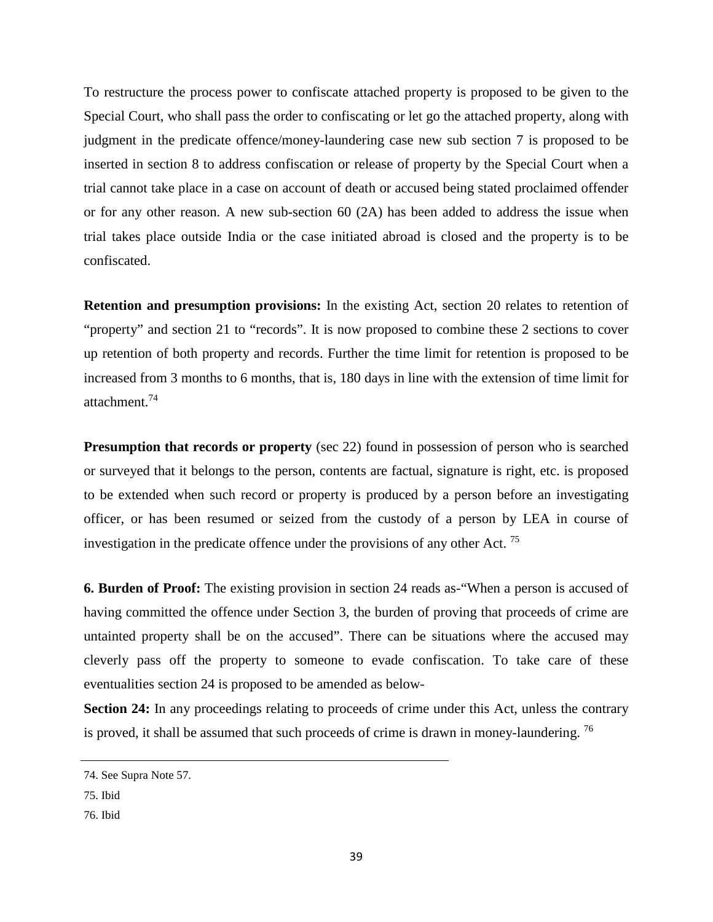To restructure the process power to confiscate attached property is proposed to be given to the Special Court, who shall pass the order to confiscating or let go the attached property, along with judgment in the predicate offence/money-laundering case new sub section 7 is proposed to be inserted in section 8 to address confiscation or release of property by the Special Court when a trial cannot take place in a case on account of death or accused being stated proclaimed offender or for any other reason. A new sub-section  $60 \text{ (2A)}$  has been added to address the issue when trial takes place outside India or the case initiated abroad is closed and the property is to be confiscated.

**Retention and presumption provisions:** In the existing Act, section 20 relates to retention of "property" and section 21 to "records". It is now proposed to combine these 2 sections to cover up retention of both property and records. Further the time limit for retention is proposed to be increased from 3 months to 6 months, that is, 180 days in line with the extension of time limit for attachment.74

**Presumption that records or property** (sec 22) found in possession of person who is searched or surveyed that it belongs to the person, contents are factual, signature is right, etc. is proposed to be extended when such record or property is produced by a person before an investigating officer, or has been resumed or seized from the custody of a person by LEA in course of investigation in the predicate offence under the provisions of any other Act.<sup>75</sup>

**6. Burden of Proof:** The existing provision in section 24 reads as-"When a person is accused of having committed the offence under Section 3, the burden of proving that proceeds of crime are untainted property shall be on the accused". There can be situations where the accused may cleverly pass off the property to someone to evade confiscation. To take care of these eventualities section 24 is proposed to be amended as below-

**Section 24:** In any proceedings relating to proceeds of crime under this Act, unless the contrary is proved, it shall be assumed that such proceeds of crime is drawn in money-laundering.  $^{76}$ 

<sup>74.</sup> See Supra Note 57.

<sup>75.</sup> Ibid

<sup>76.</sup> Ibid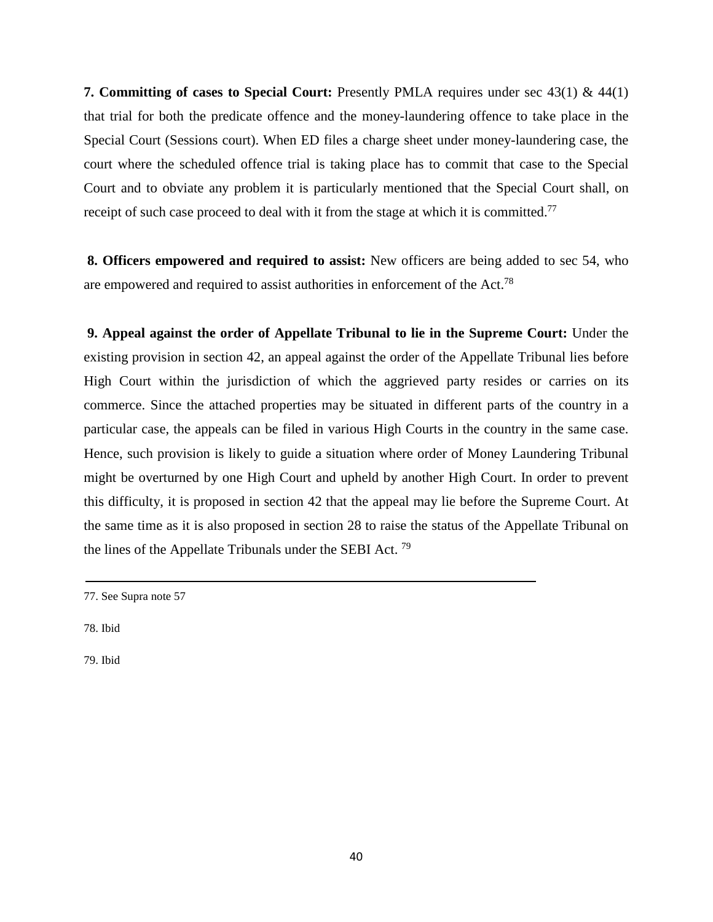**7. Committing of cases to Special Court:** Presently PMLA requires under sec 43(1) & 44(1) that trial for both the predicate offence and the money-laundering offence to take place in the Special Court (Sessions court). When ED files a charge sheet under money-laundering case, the court where the scheduled offence trial is taking place has to commit that case to the Special Court and to obviate any problem it is particularly mentioned that the Special Court shall, on receipt of such case proceed to deal with it from the stage at which it is committed.<sup>77</sup>

**8. Officers empowered and required to assist:** New officers are being added to sec 54, who are empowered and required to assist authorities in enforcement of the Act.<sup>78</sup>

**9. Appeal against the order of Appellate Tribunal to lie in the Supreme Court:** Under the existing provision in section 42, an appeal against the order of the Appellate Tribunal lies before High Court within the jurisdiction of which the aggrieved party resides or carries on its commerce. Since the attached properties may be situated in different parts of the country in a particular case, the appeals can be filed in various High Courts in the country in the same case. Hence, such provision is likely to guide a situation where order of Money Laundering Tribunal might be overturned by one High Court and upheld by another High Court. In order to prevent this difficulty, it is proposed in section 42 that the appeal may lie before the Supreme Court. At the same time as it is also proposed in section 28 to raise the status of the Appellate Tribunal on the lines of the Appellate Tribunals under the SEBI Act.  $^{79}$ 

<sup>77.</sup> See Supra note 57

<sup>78.</sup> Ibid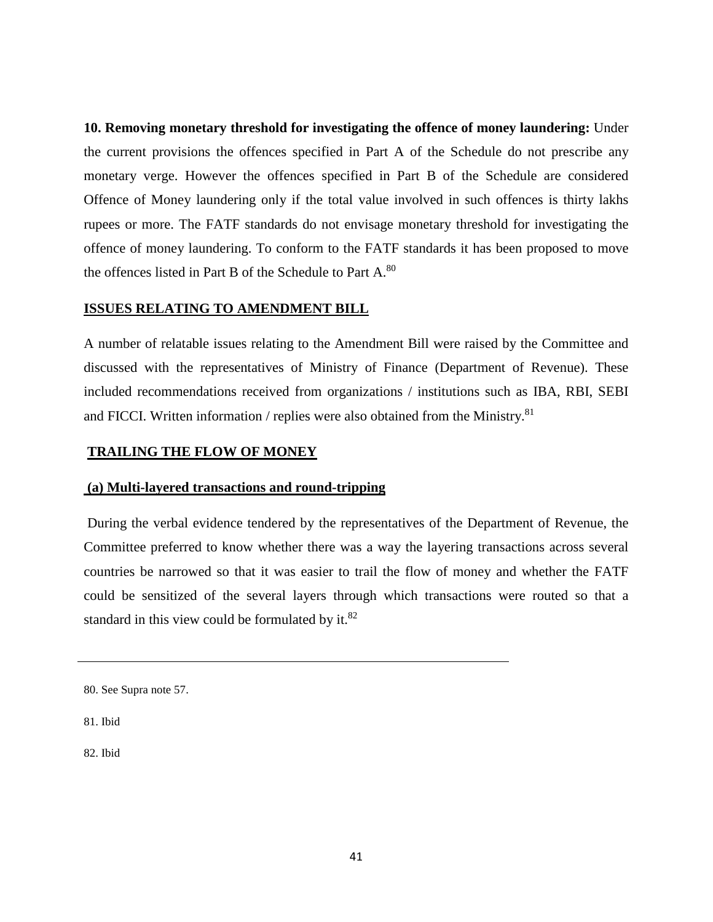**10. Removing monetary threshold for investigating the offence of money laundering:** Under the current provisions the offences specified in Part A of the Schedule do not prescribe any monetary verge. However the offences specified in Part B of the Schedule are considered Offence of Money laundering only if the total value involved in such offences is thirty lakhs rupees or more. The FATF standards do not envisage monetary threshold for investigating the offence of money laundering. To conform to the FATF standards it has been proposed to move the offences listed in Part B of the Schedule to Part A.<sup>80</sup>

### **ISSUES RELATING TO AMENDMENT BILL**

A number of relatable issues relating to the Amendment Bill were raised by the Committee and discussed with the representatives of Ministry of Finance (Department of Revenue). These included recommendations received from organizations / institutions such as IBA, RBI, SEBI and FICCI. Written information / replies were also obtained from the Ministry.<sup>81</sup>

#### **TRAILING THE FLOW OF MONEY**

#### **(a) Multi-layered transactions and round-tripping**

During the verbal evidence tendered by the representatives of the Department of Revenue, the Committee preferred to know whether there was a way the layering transactions across several countries be narrowed so that it was easier to trail the flow of money and whether the FATF could be sensitized of the several layers through which transactions were routed so that a standard in this view could be formulated by it. $82$ 

81. Ibid

<sup>80.</sup> See Supra note 57.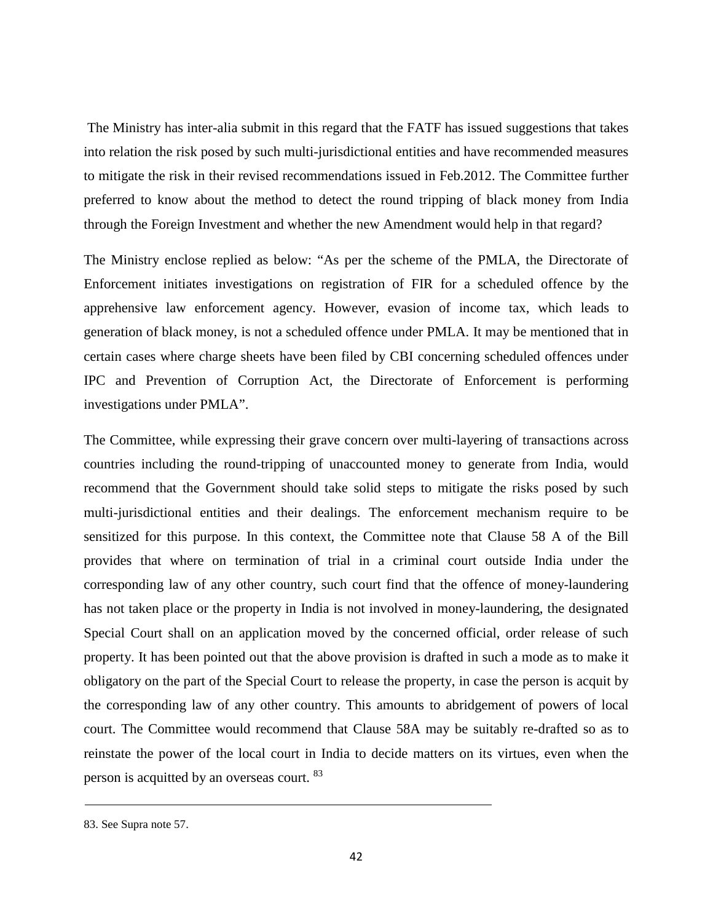The Ministry has inter-alia submit in this regard that the FATF has issued suggestions that takes into relation the risk posed by such multi-jurisdictional entities and have recommended measures to mitigate the risk in their revised recommendations issued in Feb.2012. The Committee further preferred to know about the method to detect the round tripping of black money from India through the Foreign Investment and whether the new Amendment would help in that regard?

The Ministry enclose replied as below: "As per the scheme of the PMLA, the Directorate of Enforcement initiates investigations on registration of FIR for a scheduled offence by the apprehensive law enforcement agency. However, evasion of income tax, which leads to generation of black money, is not a scheduled offence under PMLA. It may be mentioned that in certain cases where charge sheets have been filed by CBI concerning scheduled offences under IPC and Prevention of Corruption Act, the Directorate of Enforcement is performing investigations under PMLA".

The Committee, while expressing their grave concern over multi-layering of transactions across countries including the round-tripping of unaccounted money to generate from India, would recommend that the Government should take solid steps to mitigate the risks posed by such multi-jurisdictional entities and their dealings. The enforcement mechanism require to be sensitized for this purpose. In this context, the Committee note that Clause 58 A of the Bill provides that where on termination of trial in a criminal court outside India under the corresponding law of any other country, such court find that the offence of money-laundering has not taken place or the property in India is not involved in money-laundering, the designated Special Court shall on an application moved by the concerned official, order release of such property. It has been pointed out that the above provision is drafted in such a mode as to make it obligatory on the part of the Special Court to release the property, in case the person is acquit by the corresponding law of any other country. This amounts to abridgement of powers of local court. The Committee would recommend that Clause 58A may be suitably re-drafted so as to reinstate the power of the local court in India to decide matters on its virtues, even when the person is acquitted by an overseas court. <sup>83</sup>

<sup>83.</sup> See Supra note 57.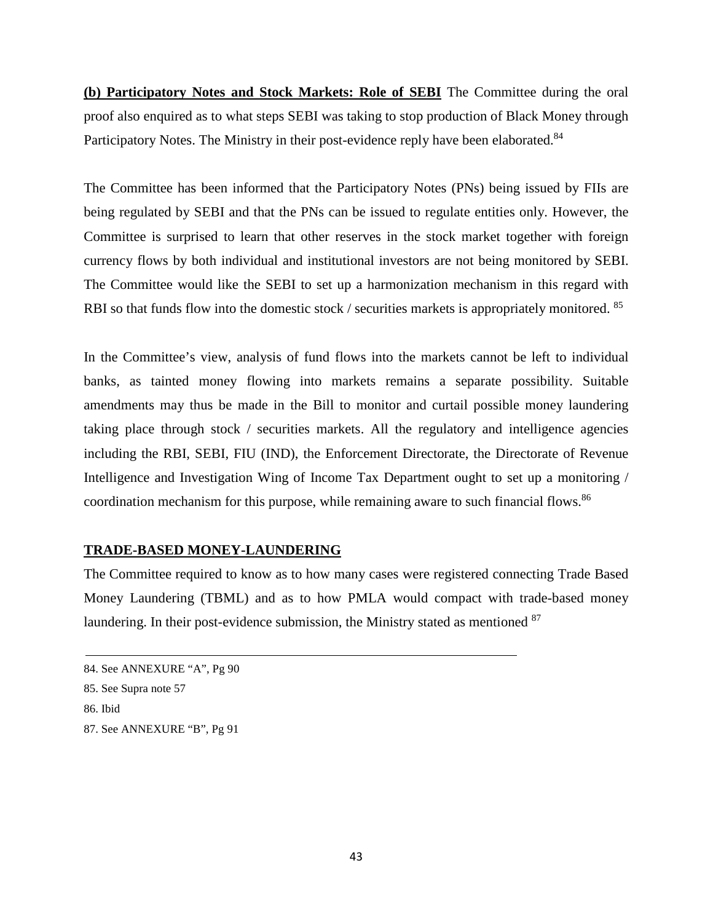**(b) Participatory Notes and Stock Markets: Role of SEBI** The Committee during the oral proof also enquired as to what steps SEBI was taking to stop production of Black Money through Participatory Notes. The Ministry in their post-evidence reply have been elaborated.<sup>84</sup>

The Committee has been informed that the Participatory Notes (PNs) being issued by FIIs are being regulated by SEBI and that the PNs can be issued to regulate entities only. However, the Committee is surprised to learn that other reserves in the stock market together with foreign currency flows by both individual and institutional investors are not being monitored by SEBI. The Committee would like the SEBI to set up a harmonization mechanism in this regard with RBI so that funds flow into the domestic stock / securities markets is appropriately monitored. <sup>85</sup>

In the Committee's view, analysis of fund flows into the markets cannot be left to individual banks, as tainted money flowing into markets remains a separate possibility. Suitable amendments may thus be made in the Bill to monitor and curtail possible money laundering taking place through stock / securities markets. All the regulatory and intelligence agencies including the RBI, SEBI, FIU (IND), the Enforcement Directorate, the Directorate of Revenue Intelligence and Investigation Wing of Income Tax Department ought to set up a monitoring / coordination mechanism for this purpose, while remaining aware to such financial flows.<sup>86</sup>

## **TRADE-BASED MONEY-LAUNDERING**

The Committee required to know as to how many cases were registered connecting Trade Based Money Laundering (TBML) and as to how PMLA would compact with trade-based money laundering. In their post-evidence submission, the Ministry stated as mentioned <sup>87</sup>

<sup>84.</sup> See ANNEXURE "A", Pg 90

<sup>85.</sup> See Supra note 57

<sup>86.</sup> Ibid

<sup>87.</sup> See ANNEXURE "B", Pg 91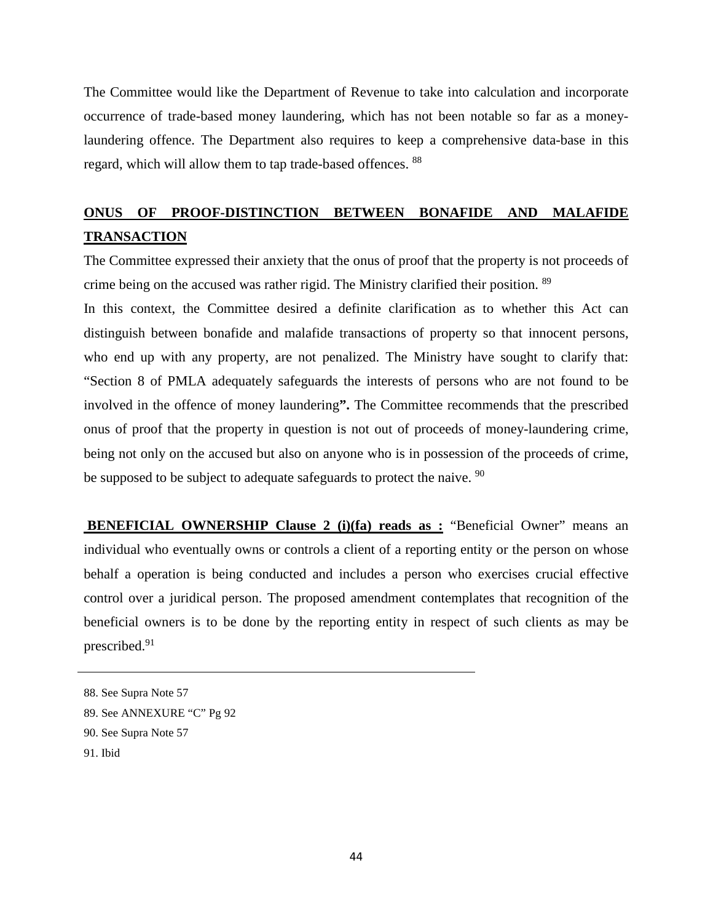The Committee would like the Department of Revenue to take into calculation and incorporate occurrence of trade-based money laundering, which has not been notable so far as a moneylaundering offence. The Department also requires to keep a comprehensive data-base in this regard, which will allow them to tap trade-based offences. <sup>88</sup>

# **ONUS OF PROOF-DISTINCTION BETWEEN BONAFIDE AND MALAFIDE TRANSACTION**

The Committee expressed their anxiety that the onus of proof that the property is not proceeds of crime being on the accused was rather rigid. The Ministry clarified their position. <sup>89</sup>

In this context, the Committee desired a definite clarification as to whether this Act can distinguish between bonafide and malafide transactions of property so that innocent persons, who end up with any property, are not penalized. The Ministry have sought to clarify that: "Section 8 of PMLA adequately safeguards the interests of persons who are not found to be involved in the offence of money laundering**".** The Committee recommends that the prescribed onus of proof that the property in question is not out of proceeds of money-laundering crime, being not only on the accused but also on anyone who is in possession of the proceeds of crime, be supposed to be subject to adequate safeguards to protect the naive. <sup>90</sup>

**BENEFICIAL OWNERSHIP Clause 2 (i)(fa) reads as :** "Beneficial Owner" means an individual who eventually owns or controls a client of a reporting entity or the person on whose behalf a operation is being conducted and includes a person who exercises crucial effective control over a juridical person. The proposed amendment contemplates that recognition of the beneficial owners is to be done by the reporting entity in respect of such clients as may be prescribed.<sup>91</sup>

<sup>88.</sup> See Supra Note 57

<sup>89.</sup> See ANNEXURE "C" Pg 92

<sup>90.</sup> See Supra Note 57

<sup>91.</sup> Ibid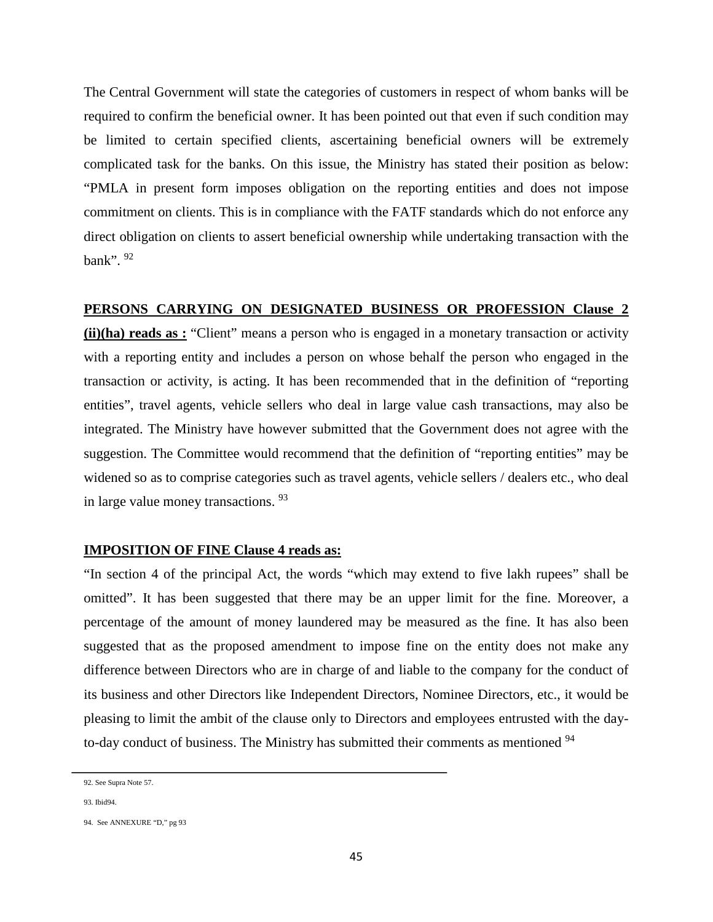The Central Government will state the categories of customers in respect of whom banks will be required to confirm the beneficial owner. It has been pointed out that even if such condition may be limited to certain specified clients, ascertaining beneficial owners will be extremely complicated task for the banks. On this issue, the Ministry has stated their position as below: "PMLA in present form imposes obligation on the reporting entities and does not impose commitment on clients. This is in compliance with the FATF standards which do not enforce any direct obligation on clients to assert beneficial ownership while undertaking transaction with the bank". 92

#### **PERSONS CARRYING ON DESIGNATED BUSINESS OR PROFESSION Clause 2**

**(ii)(ha) reads as :** "Client" means a person who is engaged in a monetary transaction or activity with a reporting entity and includes a person on whose behalf the person who engaged in the transaction or activity, is acting. It has been recommended that in the definition of "reporting entities", travel agents, vehicle sellers who deal in large value cash transactions, may also be integrated. The Ministry have however submitted that the Government does not agree with the suggestion. The Committee would recommend that the definition of "reporting entities" may be widened so as to comprise categories such as travel agents, vehicle sellers / dealers etc., who deal in large value money transactions. 93

### **IMPOSITION OF FINE Clause 4 reads as:**

"In section 4 of the principal Act, the words "which may extend to five lakh rupees" shall be omitted". It has been suggested that there may be an upper limit for the fine. Moreover, a percentage of the amount of money laundered may be measured as the fine. It has also been suggested that as the proposed amendment to impose fine on the entity does not make any difference between Directors who are in charge of and liable to the company for the conduct of its business and other Directors like Independent Directors, Nominee Directors, etc., it would be pleasing to limit the ambit of the clause only to Directors and employees entrusted with the dayto-day conduct of business. The Ministry has submitted their comments as mentioned <sup>94</sup>

<sup>92.</sup> See Supra Note 57.

<sup>93.</sup> Ibid94.

<sup>94.</sup> See ANNEXURE "D," pg 93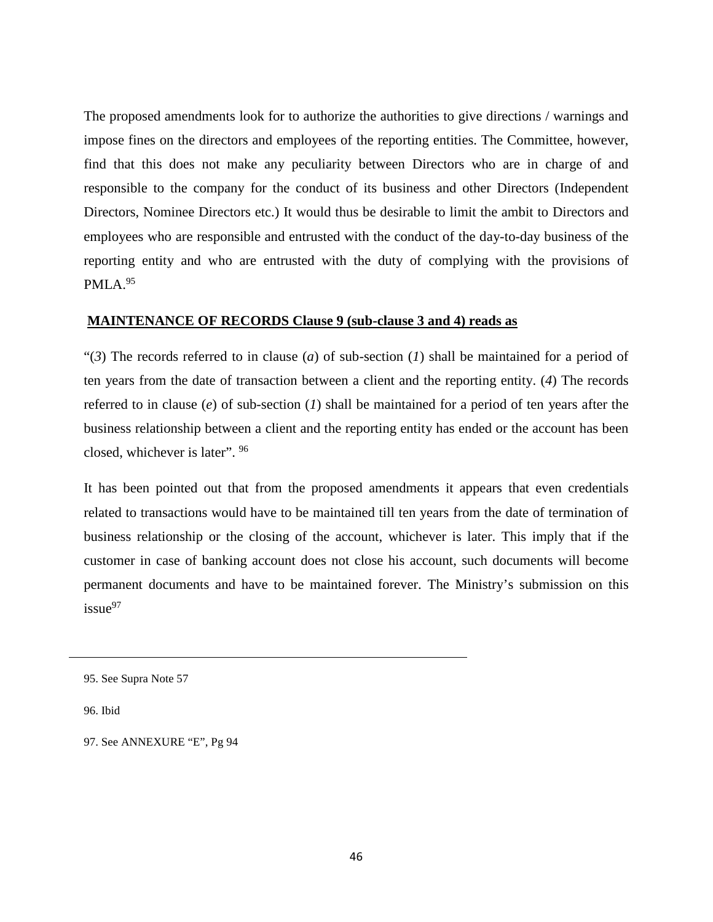The proposed amendments look for to authorize the authorities to give directions / warnings and impose fines on the directors and employees of the reporting entities. The Committee, however, find that this does not make any peculiarity between Directors who are in charge of and responsible to the company for the conduct of its business and other Directors (Independent Directors, Nominee Directors etc.) It would thus be desirable to limit the ambit to Directors and employees who are responsible and entrusted with the conduct of the day-to-day business of the reporting entity and who are entrusted with the duty of complying with the provisions of  $PMLA.<sup>95</sup>$ 

## **MAINTENANCE OF RECORDS Clause 9 (sub-clause 3 and 4) reads as**

"(*3*) The records referred to in clause (*a*) of sub-section (*1*) shall be maintained for a period of ten years from the date of transaction between a client and the reporting entity. (*4*) The records referred to in clause (*e*) of sub-section (*1*) shall be maintained for a period of ten years after the business relationship between a client and the reporting entity has ended or the account has been closed, whichever is later". <sup>96</sup>

It has been pointed out that from the proposed amendments it appears that even credentials related to transactions would have to be maintained till ten years from the date of termination of business relationship or the closing of the account, whichever is later. This imply that if the customer in case of banking account does not close his account, such documents will become permanent documents and have to be maintained forever. The Ministry's submission on this issue<sup>97</sup>

97. See ANNEXURE "E", Pg 94

<sup>95.</sup> See Supra Note 57

<sup>96.</sup> Ibid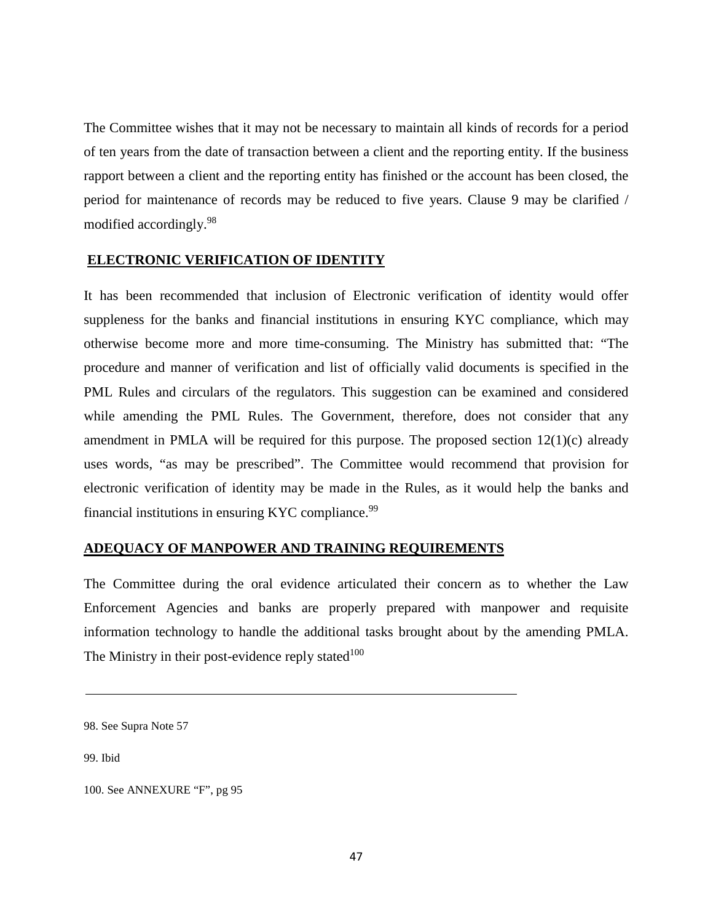The Committee wishes that it may not be necessary to maintain all kinds of records for a period of ten years from the date of transaction between a client and the reporting entity. If the business rapport between a client and the reporting entity has finished or the account has been closed, the period for maintenance of records may be reduced to five years. Clause 9 may be clarified / modified accordingly.98

## **ELECTRONIC VERIFICATION OF IDENTITY**

It has been recommended that inclusion of Electronic verification of identity would offer suppleness for the banks and financial institutions in ensuring KYC compliance, which may otherwise become more and more time-consuming. The Ministry has submitted that: "The procedure and manner of verification and list of officially valid documents is specified in the PML Rules and circulars of the regulators. This suggestion can be examined and considered while amending the PML Rules. The Government, therefore, does not consider that any amendment in PMLA will be required for this purpose. The proposed section  $12(1)(c)$  already uses words, "as may be prescribed". The Committee would recommend that provision for electronic verification of identity may be made in the Rules, as it would help the banks and financial institutions in ensuring KYC compliance. $99$ 

### **ADEQUACY OF MANPOWER AND TRAINING REQUIREMENTS**

The Committee during the oral evidence articulated their concern as to whether the Law Enforcement Agencies and banks are properly prepared with manpower and requisite information technology to handle the additional tasks brought about by the amending PMLA. The Ministry in their post-evidence reply stated $100$ 

<sup>98.</sup> See Supra Note 57

<sup>100.</sup> See ANNEXURE "F", pg 95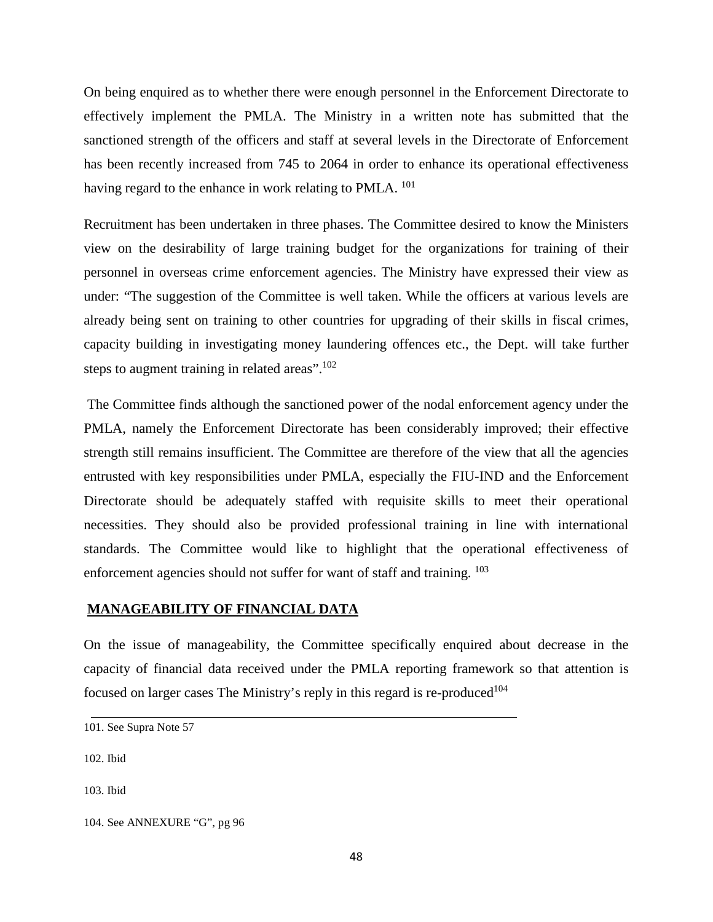On being enquired as to whether there were enough personnel in the Enforcement Directorate to effectively implement the PMLA. The Ministry in a written note has submitted that the sanctioned strength of the officers and staff at several levels in the Directorate of Enforcement has been recently increased from 745 to 2064 in order to enhance its operational effectiveness having regard to the enhance in work relating to PMLA. <sup>101</sup>

Recruitment has been undertaken in three phases. The Committee desired to know the Ministers view on the desirability of large training budget for the organizations for training of their personnel in overseas crime enforcement agencies. The Ministry have expressed their view as under: "The suggestion of the Committee is well taken. While the officers at various levels are already being sent on training to other countries for upgrading of their skills in fiscal crimes, capacity building in investigating money laundering offences etc., the Dept. will take further steps to augment training in related areas".<sup>102</sup>

The Committee finds although the sanctioned power of the nodal enforcement agency under the PMLA, namely the Enforcement Directorate has been considerably improved; their effective strength still remains insufficient. The Committee are therefore of the view that all the agencies entrusted with key responsibilities under PMLA, especially the FIU-IND and the Enforcement Directorate should be adequately staffed with requisite skills to meet their operational necessities. They should also be provided professional training in line with international standards. The Committee would like to highlight that the operational effectiveness of enforcement agencies should not suffer for want of staff and training. <sup>103</sup>

## **MANAGEABILITY OF FINANCIAL DATA**

On the issue of manageability, the Committee specifically enquired about decrease in the capacity of financial data received under the PMLA reporting framework so that attention is focused on larger cases The Ministry's reply in this regard is re-produced<sup>104</sup>

102. Ibid

<sup>101.</sup> See Supra Note 57

<sup>104.</sup> See ANNEXURE "G", pg 96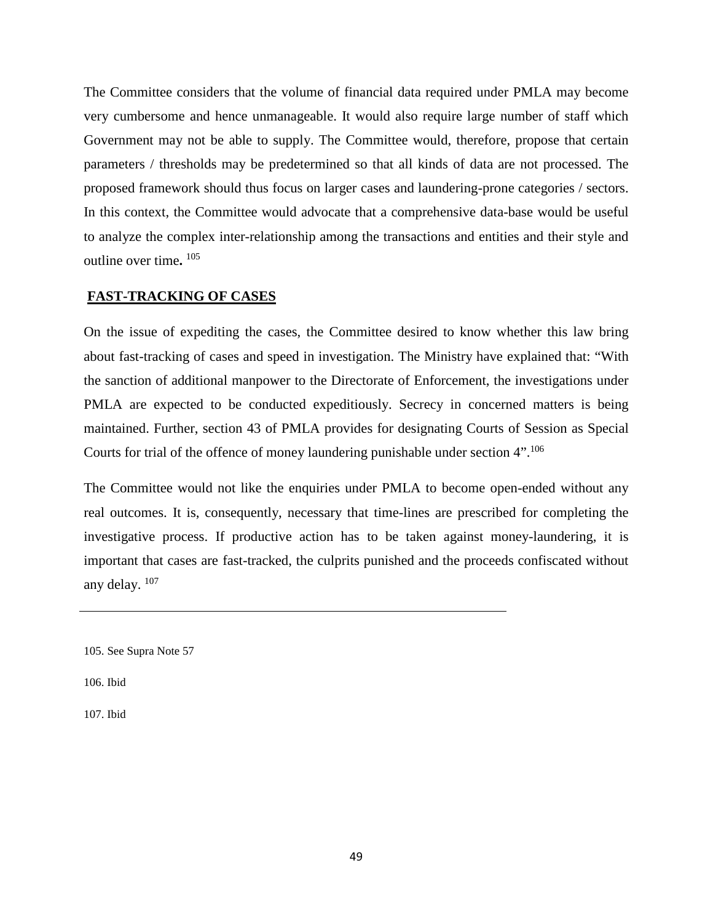The Committee considers that the volume of financial data required under PMLA may become very cumbersome and hence unmanageable. It would also require large number of staff which Government may not be able to supply. The Committee would, therefore, propose that certain parameters / thresholds may be predetermined so that all kinds of data are not processed. The proposed framework should thus focus on larger cases and laundering-prone categories / sectors. In this context, the Committee would advocate that a comprehensive data-base would be useful to analyze the complex inter-relationship among the transactions and entities and their style and outline over time**.** <sup>105</sup>

## **FAST-TRACKING OF CASES**

On the issue of expediting the cases, the Committee desired to know whether this law bring about fast-tracking of cases and speed in investigation. The Ministry have explained that: "With the sanction of additional manpower to the Directorate of Enforcement, the investigations under PMLA are expected to be conducted expeditiously. Secrecy in concerned matters is being maintained. Further, section 43 of PMLA provides for designating Courts of Session as Special Courts for trial of the offence of money laundering punishable under section 4".<sup>106</sup>

The Committee would not like the enquiries under PMLA to become open-ended without any real outcomes. It is, consequently, necessary that time-lines are prescribed for completing the investigative process. If productive action has to be taken against money-laundering, it is important that cases are fast-tracked, the culprits punished and the proceeds confiscated without any delay. 107

105. See Supra Note 57

106. Ibid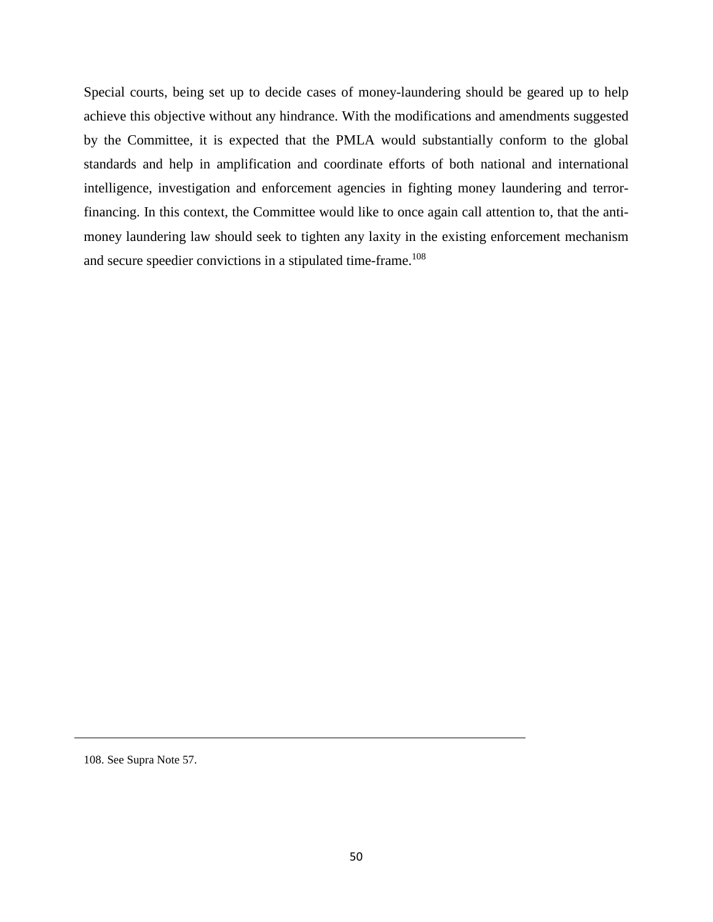Special courts, being set up to decide cases of money-laundering should be geared up to help achieve this objective without any hindrance. With the modifications and amendments suggested by the Committee, it is expected that the PMLA would substantially conform to the global standards and help in amplification and coordinate efforts of both national and international intelligence, investigation and enforcement agencies in fighting money laundering and terrorfinancing. In this context, the Committee would like to once again call attention to, that the antimoney laundering law should seek to tighten any laxity in the existing enforcement mechanism and secure speedier convictions in a stipulated time-frame.<sup>108</sup>

<sup>108.</sup> See Supra Note 57.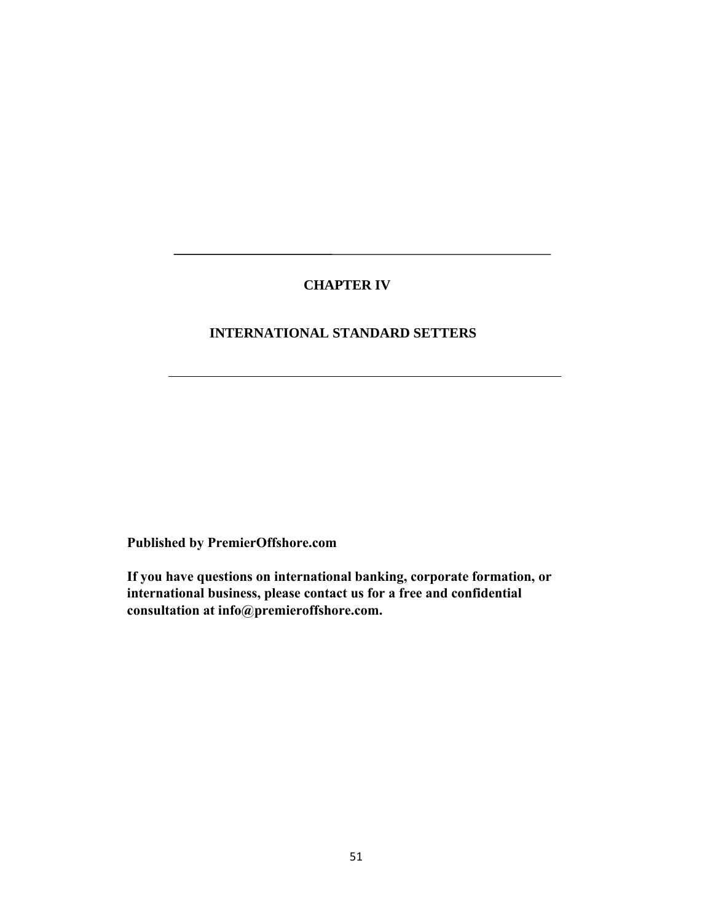# **CHAPTER IV**

# **INTERNATIONAL STANDARD SETTERS**

**Published by PremierOffshore.com**

**If you have questions on international banking, corporate formation, or international business, please contact us for a free and confidential consultation at info@premieroffshore.com.**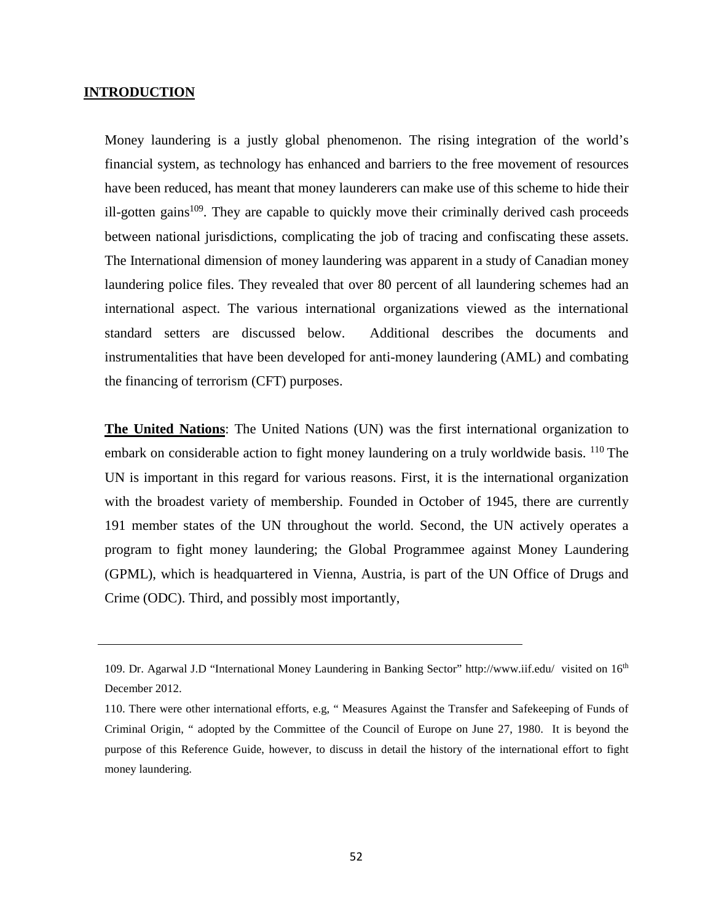#### **INTRODUCTION**

Money laundering is a justly global phenomenon. The rising integration of the world's financial system, as technology has enhanced and barriers to the free movement of resources have been reduced, has meant that money launderers can make use of this scheme to hide their ill-gotten gains<sup>109</sup>. They are capable to quickly move their criminally derived cash proceeds between national jurisdictions, complicating the job of tracing and confiscating these assets. The International dimension of money laundering was apparent in a study of Canadian money laundering police files. They revealed that over 80 percent of all laundering schemes had an international aspect. The various international organizations viewed as the international standard setters are discussed below. Additional describes the documents and instrumentalities that have been developed for anti-money laundering (AML) and combating the financing of terrorism (CFT) purposes.

**The United Nations**: The United Nations (UN) was the first international organization to embark on considerable action to fight money laundering on a truly worldwide basis. <sup>110</sup> The UN is important in this regard for various reasons. First, it is the international organization with the broadest variety of membership. Founded in October of 1945, there are currently 191 member states of the UN throughout the world. Second, the UN actively operates a program to fight money laundering; the Global Programmee against Money Laundering (GPML), which is headquartered in Vienna, Austria, is part of the UN Office of Drugs and Crime (ODC). Third, and possibly most importantly,

<sup>109.</sup> Dr. Agarwal J.D "International Money Laundering in Banking Sector"<http://www.iif.edu/>visited on 16th December 2012.

<sup>110.</sup> There were other international efforts, e.g, " Measures Against the Transfer and Safekeeping of Funds of Criminal Origin, " adopted by the Committee of the Council of Europe on June 27, 1980. It is beyond the purpose of this Reference Guide, however, to discuss in detail the history of the international effort to fight money laundering.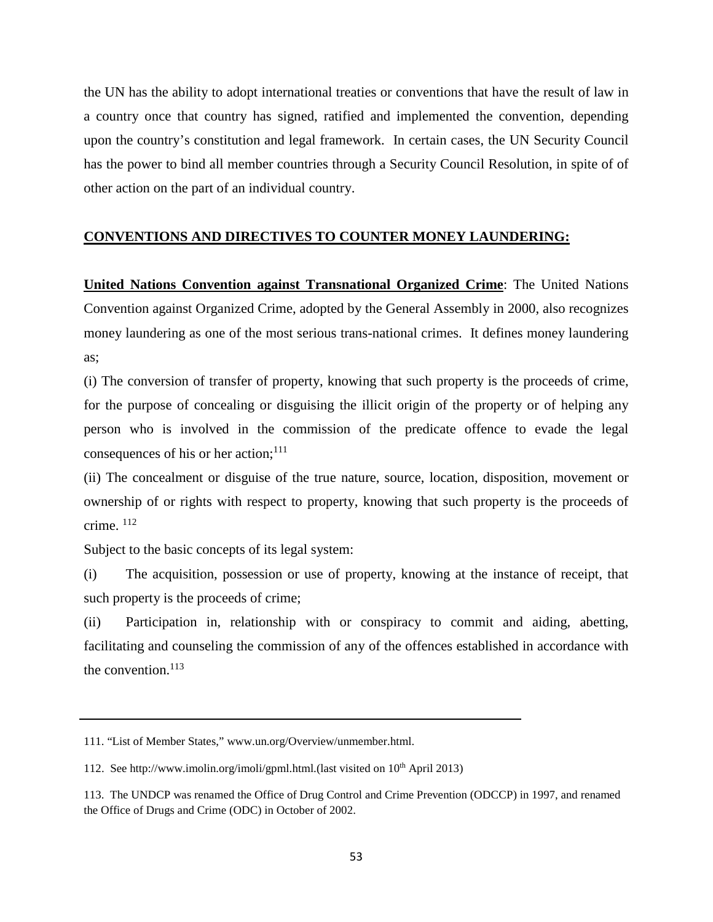the UN has the ability to adopt international treaties or conventions that have the result of law in a country once that country has signed, ratified and implemented the convention, depending upon the country's constitution and legal framework. In certain cases, the UN Security Council has the power to bind all member countries through a Security Council Resolution, in spite of of other action on the part of an individual country.

# **CONVENTIONS AND DIRECTIVES TO COUNTER MONEY LAUNDERING:**

**United Nations Convention against Transnational Organized Crime**: The United Nations Convention against Organized Crime, adopted by the General Assembly in 2000, also recognizes money laundering as one of the most serious trans-national crimes. It defines money laundering as;

(i) The conversion of transfer of property, knowing that such property is the proceeds of crime, for the purpose of concealing or disguising the illicit origin of the property or of helping any person who is involved in the commission of the predicate offence to evade the legal consequences of his or her action; $^{111}$ 

(ii) The concealment or disguise of the true nature, source, location, disposition, movement or ownership of or rights with respect to property, knowing that such property is the proceeds of crime. 112

Subject to the basic concepts of its legal system:

(i) The acquisition, possession or use of property, knowing at the instance of receipt, that such property is the proceeds of crime;

(ii) Participation in, relationship with or conspiracy to commit and aiding, abetting, facilitating and counseling the commission of any of the offences established in accordance with the convention. $113$ 

<sup>111. &</sup>quot;List of Member States," [www.un.org/Overview/unmember.html.](http://www.un.org/Overview/unmember.html)

<sup>112.</sup> Se[e http://www.imolin.org/imoli/gpml.html.\(last](http://www.imolin.org/imoli/gpml.html.(last) visited on  $10<sup>th</sup>$  April 2013)

<sup>113.</sup> The UNDCP was renamed the Office of Drug Control and Crime Prevention (ODCCP) in 1997, and renamed the Office of Drugs and Crime (ODC) in October of 2002.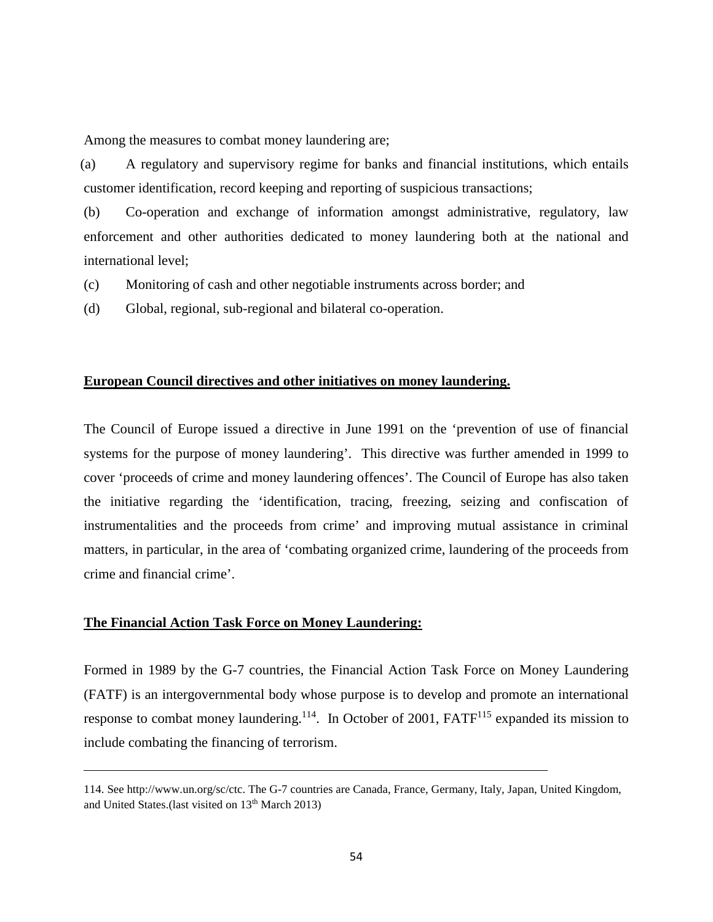Among the measures to combat money laundering are;

 (a) A regulatory and supervisory regime for banks and financial institutions, which entails customer identification, record keeping and reporting of suspicious transactions;

(b) Co-operation and exchange of information amongst administrative, regulatory, law enforcement and other authorities dedicated to money laundering both at the national and international level;

(c) Monitoring of cash and other negotiable instruments across border; and

(d) Global, regional, sub-regional and bilateral co-operation.

#### **European Council directives and other initiatives on money laundering.**

The Council of Europe issued a directive in June 1991 on the 'prevention of use of financial systems for the purpose of money laundering'. This directive was further amended in 1999 to cover 'proceeds of crime and money laundering offences'. The Council of Europe has also taken the initiative regarding the 'identification, tracing, freezing, seizing and confiscation of instrumentalities and the proceeds from crime' and improving mutual assistance in criminal matters, in particular, in the area of 'combating organized crime, laundering of the proceeds from crime and financial crime'.

## **The Financial Action Task Force on Money Laundering:**

Formed in 1989 by the G-7 countries, the Financial Action Task Force on Money Laundering (FATF) is an intergovernmental body whose purpose is to develop and promote an international response to combat money laundering.<sup>114</sup>. In October of 2001, FATF<sup>115</sup> expanded its mission to include combating the financing of terrorism.

<sup>114.</sup> See http://www.un.org/sc/ctc. The G-7 countries are Canada, France, Germany, Italy, Japan, United Kingdom, and United States.(last visited on 13th March 2013)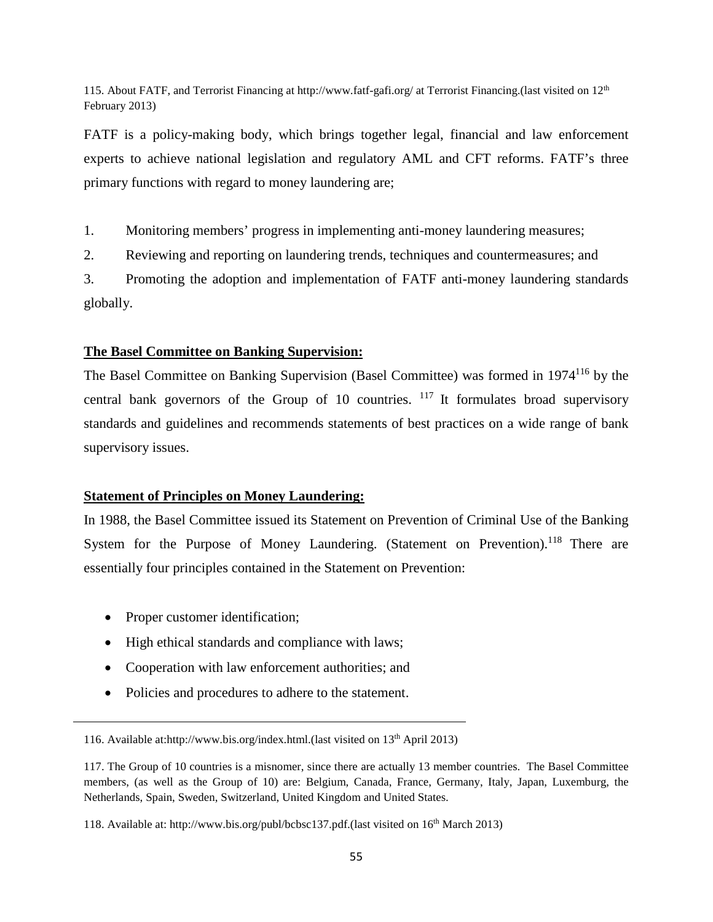115. About FATF, and Terrorist Financing at<http://www.fatf-gafi.org/> at Terrorist Financing.(last visited on 12<sup>th</sup> February 2013)

FATF is a policy-making body, which brings together legal, financial and law enforcement experts to achieve national legislation and regulatory AML and CFT reforms. FATF's three primary functions with regard to money laundering are;

1. Monitoring members' progress in implementing anti-money laundering measures;

2. Reviewing and reporting on laundering trends, techniques and countermeasures; and

3. Promoting the adoption and implementation of FATF anti-money laundering standards globally.

# **The Basel Committee on Banking Supervision:**

The Basel Committee on Banking Supervision (Basel Committee) was formed in 1974<sup>116</sup> by the central bank governors of the Group of 10 countries.  $117$  It formulates broad supervisory standards and guidelines and recommends statements of best practices on a wide range of bank supervisory issues.

# **Statement of Principles on Money Laundering:**

In 1988, the Basel Committee issued its Statement on Prevention of Criminal Use of the Banking System for the Purpose of Money Laundering. (Statement on Prevention).<sup>118</sup> There are essentially four principles contained in the Statement on Prevention:

- Proper customer identification;
- High ethical standards and compliance with laws;
- Cooperation with law enforcement authorities; and
- Policies and procedures to adhere to the statement.

<sup>116.</sup> Available at:http://www.bis.org/index.html.(last visited on 13<sup>th</sup> April 2013)

<sup>117.</sup> The Group of 10 countries is a misnomer, since there are actually 13 member countries. The Basel Committee members, (as well as the Group of 10) are: Belgium, Canada, France, Germany, Italy, Japan, Luxemburg, the Netherlands, Spain, Sweden, Switzerland, United Kingdom and United States.

<sup>118.</sup> Available at: [http://www.bis.org/publ/bcbsc137.pdf.\(last](http://www.bis.org/publ/bcbsc137.pdf.(last) visited on 16th March 2013)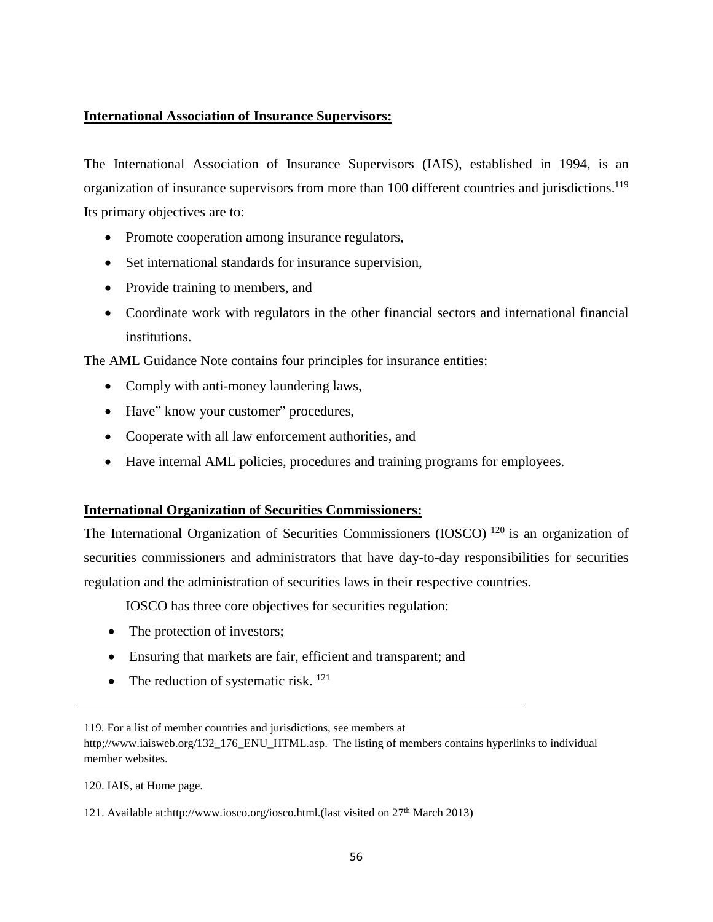## **International Association of Insurance Supervisors:**

The International Association of Insurance Supervisors (IAIS), established in 1994, is an organization of insurance supervisors from more than 100 different countries and jurisdictions.<sup>119</sup> Its primary objectives are to:

- Promote cooperation among insurance regulators,
- Set international standards for insurance supervision,
- Provide training to members, and
- Coordinate work with regulators in the other financial sectors and international financial institutions.

The AML Guidance Note contains four principles for insurance entities:

- Comply with anti-money laundering laws,
- Have" know your customer" procedures,
- Cooperate with all law enforcement authorities, and
- Have internal AML policies, procedures and training programs for employees.

## **International Organization of Securities Commissioners:**

The International Organization of Securities Commissioners (IOSCO)<sup>120</sup> is an organization of securities commissioners and administrators that have day-to-day responsibilities for securities regulation and the administration of securities laws in their respective countries.

IOSCO has three core objectives for securities regulation:

- The protection of investors;
- Ensuring that markets are fair, efficient and transparent; and
- The reduction of systematic risk.  $^{121}$

119. For a list of member countries and jurisdictions, see members at http;//www.iaisweb.org/132\_176\_ENU\_HTML.asp. The listing of members contains hyperlinks to individual member websites.

120. IAIS, at Home page.

121. Available at:http://www.iosco.org/iosco.html.(last visited on 27th March 2013)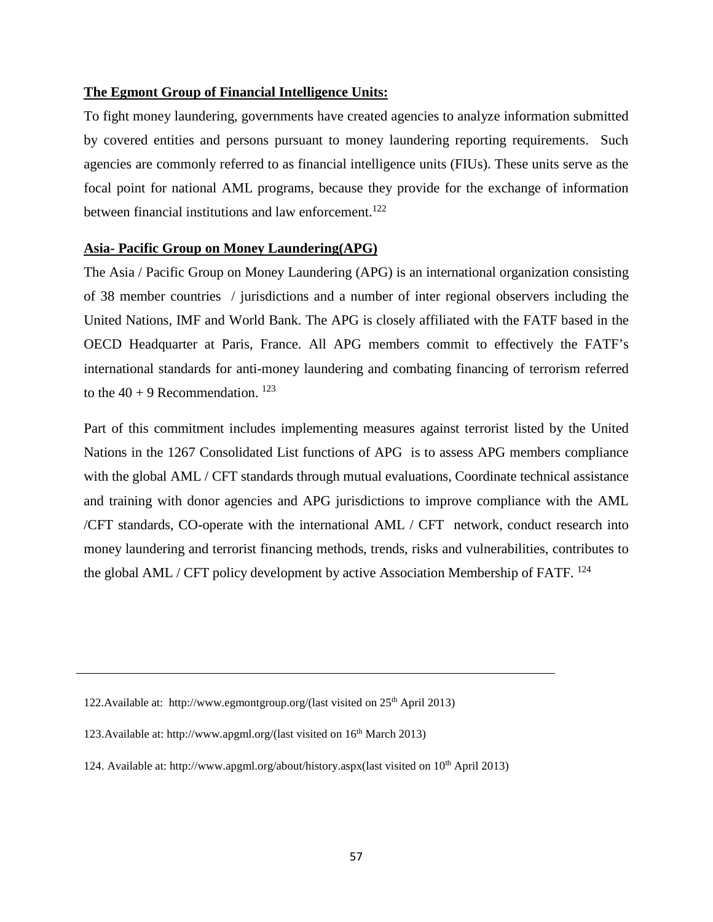## **The Egmont Group of Financial Intelligence Units:**

To fight money laundering, governments have created agencies to analyze information submitted by covered entities and persons pursuant to money laundering reporting requirements. Such agencies are commonly referred to as financial intelligence units (FIUs). These units serve as the focal point for national AML programs, because they provide for the exchange of information between financial institutions and law enforcement.<sup>122</sup>

### **Asia- Pacific Group on Money Laundering(APG)**

The Asia / Pacific Group on Money Laundering (APG) is an international organization consisting of 38 member countries / jurisdictions and a number of inter regional observers including the United Nations, IMF and World Bank. The APG is closely affiliated with the FATF based in the OECD Headquarter at Paris, France. All APG members commit to effectively the FATF's international standards for anti-money laundering and combating financing of terrorism referred to the  $40 + 9$  Recommendation. <sup>123</sup>

Part of this commitment includes implementing measures against terrorist listed by the United Nations in the 1267 Consolidated List functions of APG is to assess APG members compliance with the global AML / CFT standards through mutual evaluations, Coordinate technical assistance and training with donor agencies and APG jurisdictions to improve compliance with the AML /CFT standards, CO-operate with the international AML / CFT network, conduct research into money laundering and terrorist financing methods, trends, risks and vulnerabilities, contributes to the global AML / CFT policy development by active Association Membership of FATF. <sup>124</sup>

<sup>122.</sup>Available at: [http://www.egmontgroup.org/\(last](http://www.egmontgroup.org/(last) visited on 25<sup>th</sup> April 2013)

<sup>123.</sup>Available at: [http://www.apgml.org/\(last](http://www.apgml.org/(last) visited on 16th March 2013)

<sup>124.</sup> Available at: [http://www.apgml.org/about/history.aspx\(](http://www.apgml.org/about/history.aspx)last visited on 10<sup>th</sup> April 2013)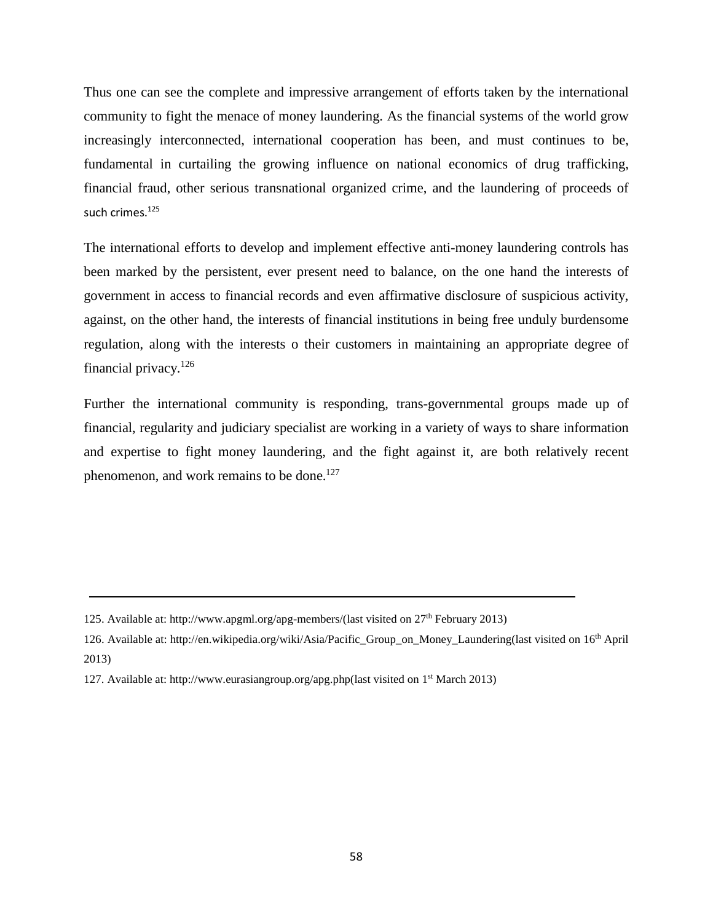Thus one can see the complete and impressive arrangement of efforts taken by the international community to fight the menace of money laundering. As the financial systems of the world grow increasingly interconnected, international cooperation has been, and must continues to be, fundamental in curtailing the growing influence on national economics of drug trafficking, financial fraud, other serious transnational organized crime, and the laundering of proceeds of such crimes.<sup>125</sup>

The international efforts to develop and implement effective anti-money laundering controls has been marked by the persistent, ever present need to balance, on the one hand the interests of government in access to financial records and even affirmative disclosure of suspicious activity, against, on the other hand, the interests of financial institutions in being free unduly burdensome regulation, along with the interests o their customers in maintaining an appropriate degree of financial privacy.126

Further the international community is responding, trans-governmental groups made up of financial, regularity and judiciary specialist are working in a variety of ways to share information and expertise to fight money laundering, and the fight against it, are both relatively recent phenomenon, and work remains to be done.<sup>127</sup>

126. Available at: [http://en.wikipedia.org/wiki/Asia/Pacific\\_Group\\_on\\_Money\\_Laundering\(last](http://en.wikipedia.org/wiki/Asia/Pacific_Group_on_Money_Laundering(last) visited on 16th April 2013)

<sup>125.</sup> Available at: [http://www.apgml.org/apg-members/\(last](http://www.apgml.org/apg-members/(last) visited on 27th February 2013)

<sup>127.</sup> Available at: [http://www.eurasiangroup.org/apg.php\(last](http://www.eurasiangroup.org/apg.php(last) visited on 1st March 2013)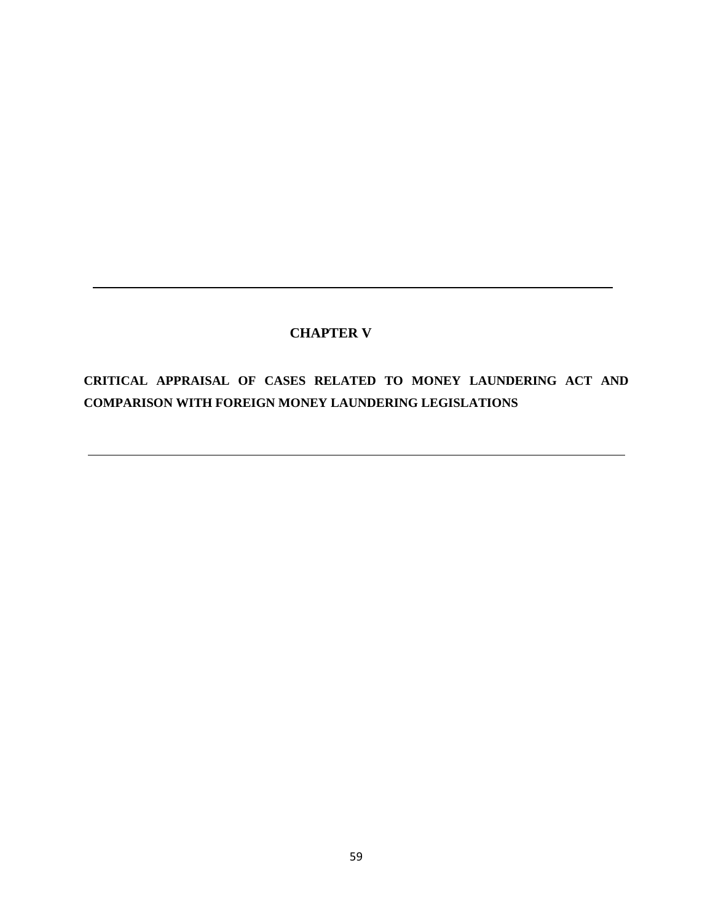# **CHAPTER V**

**CRITICAL APPRAISAL OF CASES RELATED TO MONEY LAUNDERING ACT AND COMPARISON WITH FOREIGN MONEY LAUNDERING LEGISLATIONS**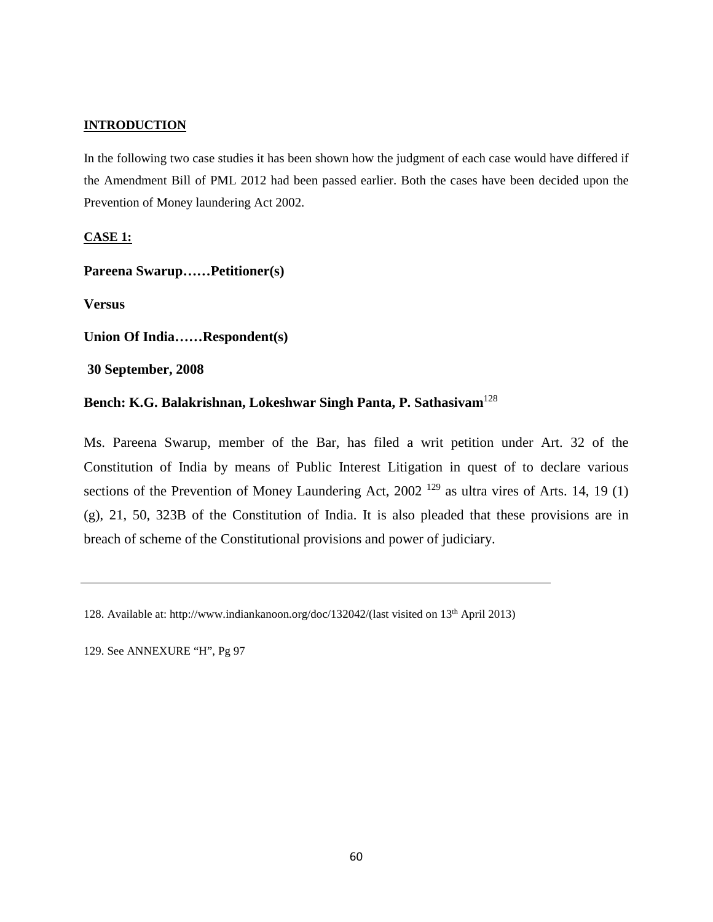## **INTRODUCTION**

In the following two case studies it has been shown how the judgment of each case would have differed if the Amendment Bill of PML 2012 had been passed earlier. Both the cases have been decided upon the Prevention of Money laundering Act 2002.

### **CASE 1:**

**Pareena Swarup……Petitioner(s)**

**Versus**

**Union Of India……Respondent(s)**

**30 September, 2008**

# **Bench: K.G. Balakrishnan, Lokeshwar Singh Panta, P. Sathasivam**<sup>128</sup>

Ms. Pareena Swarup, member of the Bar, has filed a writ petition under Art. 32 of the Constitution of India by means of Public Interest Litigation in quest of to declare various sections of the Prevention of Money Laundering Act,  $2002^{129}$  as ultra vires of Arts. 14, 19 (1) (g), 21, 50, 323B of the Constitution of India. It is also pleaded that these provisions are in breach of scheme of the Constitutional provisions and power of judiciary.

129. See ANNEXURE "H", Pg 97

<sup>128.</sup> Available at: [http://www.indiankanoon.org/doc/132042/\(last](http://www.indiankanoon.org/doc/132042/(last) visited on 13th April 2013)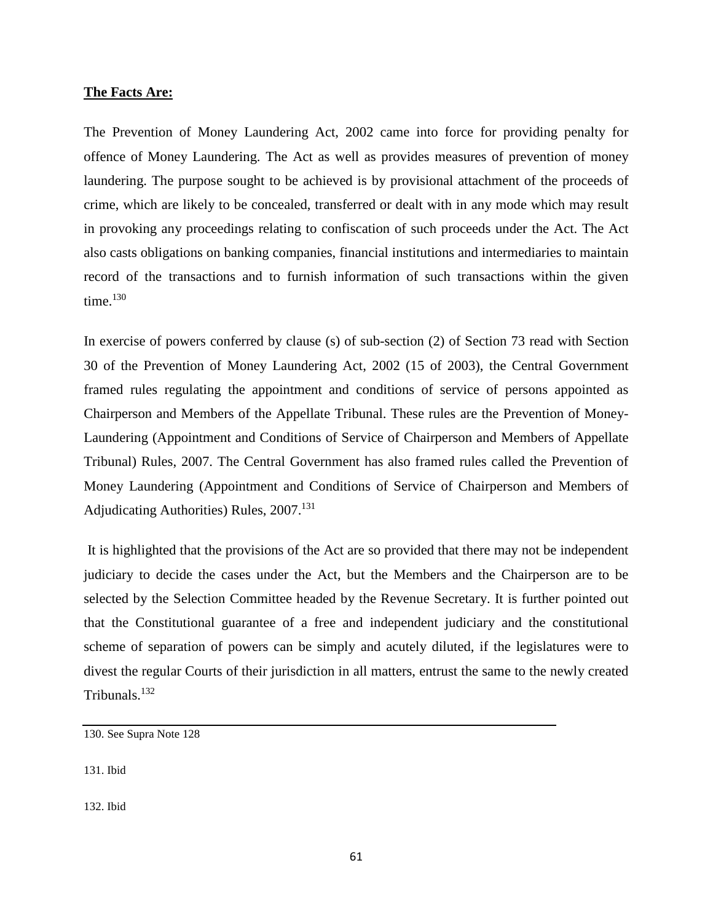#### **The Facts Are:**

The Prevention of Money Laundering Act, 2002 came into force for providing penalty for offence of Money Laundering. The Act as well as provides measures of prevention of money laundering. The purpose sought to be achieved is by provisional attachment of the proceeds of crime, which are likely to be concealed, transferred or dealt with in any mode which may result in provoking any proceedings relating to confiscation of such proceeds under the Act. The Act also casts obligations on banking companies, financial institutions and intermediaries to maintain record of the transactions and to furnish information of such transactions within the given time. $130$ 

In exercise of powers conferred by clause (s) of sub-section (2) of Section 73 read with Section 30 of the Prevention of Money Laundering Act, 2002 (15 of 2003), the Central Government framed rules regulating the appointment and conditions of service of persons appointed as Chairperson and Members of the Appellate Tribunal. These rules are the Prevention of Money-Laundering (Appointment and Conditions of Service of Chairperson and Members of Appellate Tribunal) Rules, 2007. The Central Government has also framed rules called the Prevention of Money Laundering (Appointment and Conditions of Service of Chairperson and Members of Adjudicating Authorities) Rules, 2007.<sup>131</sup>

It is highlighted that the provisions of the Act are so provided that there may not be independent judiciary to decide the cases under the Act, but the Members and the Chairperson are to be selected by the Selection Committee headed by the Revenue Secretary. It is further pointed out that the Constitutional guarantee of a free and independent judiciary and the constitutional scheme of separation of powers can be simply and acutely diluted, if the legislatures were to divest the regular Courts of their jurisdiction in all matters, entrust the same to the newly created Tribunals.<sup>132</sup>

<sup>130.</sup> See Supra Note 128

<sup>131.</sup> Ibid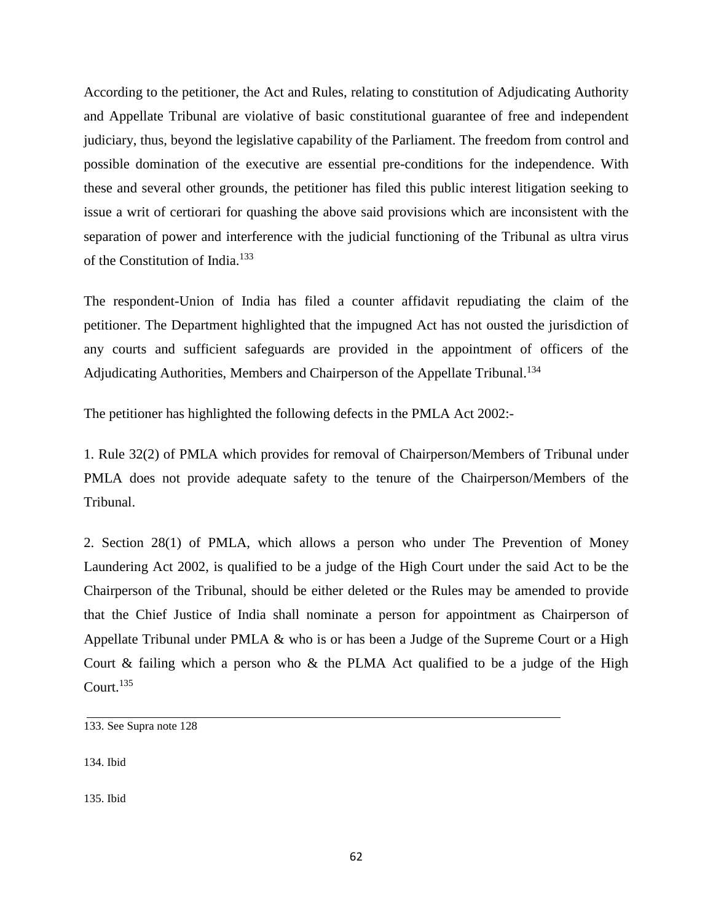According to the petitioner, the Act and Rules, relating to constitution of Adjudicating Authority and Appellate Tribunal are violative of basic constitutional guarantee of free and independent judiciary, thus, beyond the legislative capability of the Parliament. The freedom from control and possible domination of the executive are essential pre-conditions for the independence. With these and several other grounds, the petitioner has filed this public interest litigation seeking to issue a writ of certiorari for quashing the above said provisions which are inconsistent with the separation of power and interference with the judicial functioning of the Tribunal as ultra virus of the Constitution of India.<sup>133</sup>

The respondent-Union of India has filed a counter affidavit repudiating the claim of the petitioner. The Department highlighted that the impugned Act has not ousted the jurisdiction of any courts and sufficient safeguards are provided in the appointment of officers of the Adjudicating Authorities, Members and Chairperson of the Appellate Tribunal.<sup>134</sup>

The petitioner has highlighted the following defects in the PMLA Act 2002:-

1. Rule 32(2) of PMLA which provides for removal of Chairperson/Members of Tribunal under PMLA does not provide adequate safety to the tenure of the Chairperson/Members of the Tribunal.

2. Section 28(1) of PMLA, which allows a person who under The Prevention of Money Laundering Act 2002, is qualified to be a judge of the High Court under the said Act to be the Chairperson of the Tribunal, should be either deleted or the Rules may be amended to provide that the Chief Justice of India shall nominate a person for appointment as Chairperson of Appellate Tribunal under PMLA & who is or has been a Judge of the Supreme Court or a High Court  $\&$  failing which a person who  $\&$  the PLMA Act qualified to be a judge of the High Court. $^{135}$ 

134. Ibid

<sup>133.</sup> See Supra note 128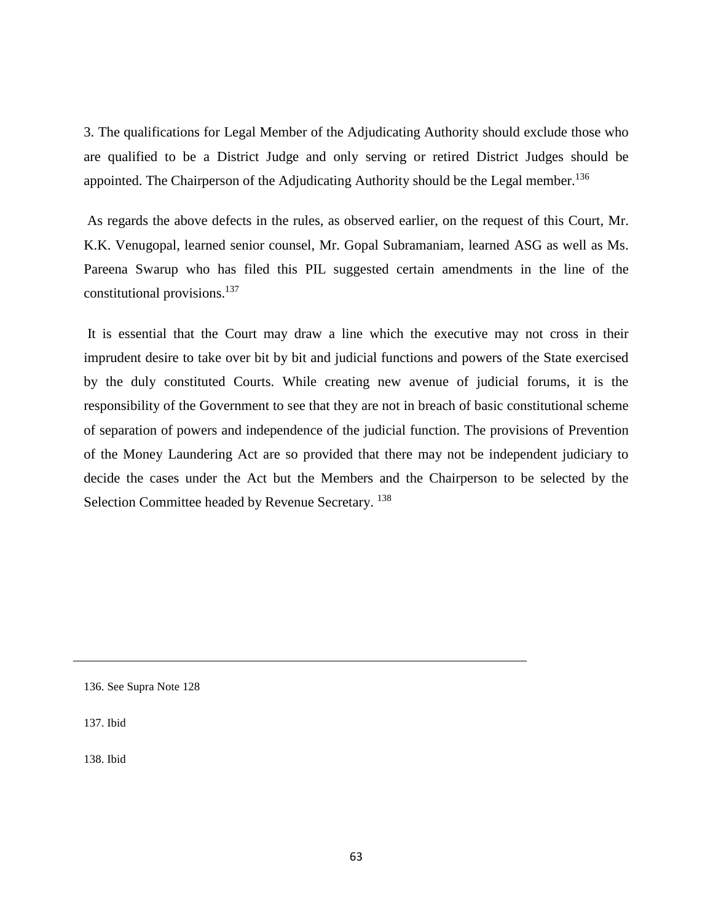3. The qualifications for Legal Member of the Adjudicating Authority should exclude those who are qualified to be a District Judge and only serving or retired District Judges should be appointed. The Chairperson of the Adjudicating Authority should be the Legal member.<sup>136</sup>

As regards the above defects in the rules, as observed earlier, on the request of this Court, Mr. K.K. Venugopal, learned senior counsel, Mr. Gopal Subramaniam, learned ASG as well as Ms. Pareena Swarup who has filed this PIL suggested certain amendments in the line of the constitutional provisions. 137

It is essential that the Court may draw a line which the executive may not cross in their imprudent desire to take over bit by bit and judicial functions and powers of the State exercised by the duly constituted Courts. While creating new avenue of judicial forums, it is the responsibility of the Government to see that they are not in breach of basic constitutional scheme of separation of powers and independence of the judicial function. The provisions of Prevention of the Money Laundering Act are so provided that there may not be independent judiciary to decide the cases under the Act but the Members and the Chairperson to be selected by the Selection Committee headed by Revenue Secretary.<sup>138</sup>

137. Ibid

<sup>136.</sup> See Supra Note 128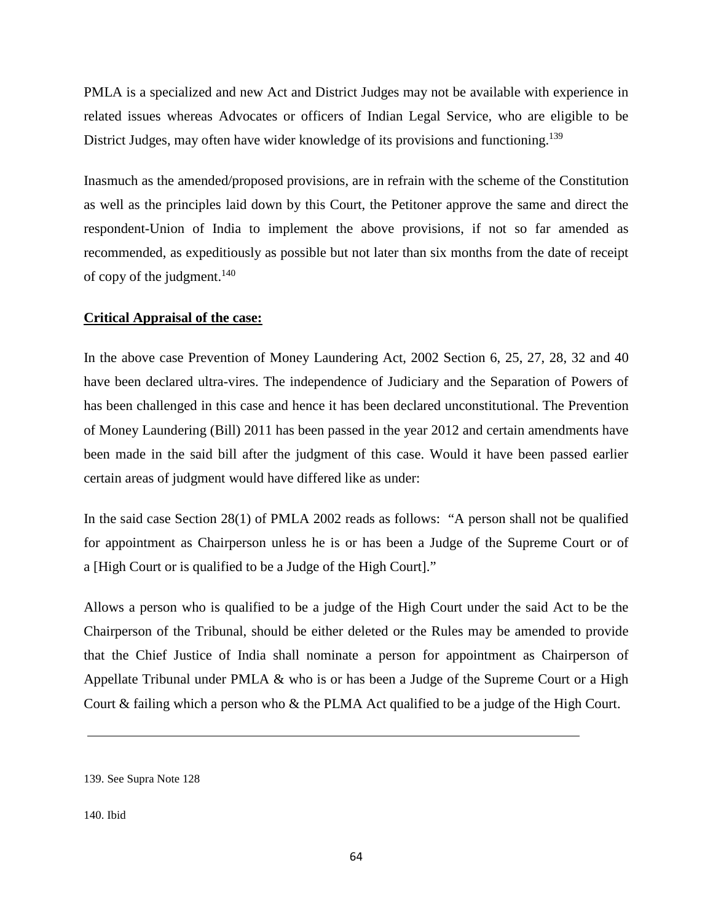PMLA is a specialized and new Act and District Judges may not be available with experience in related issues whereas Advocates or officers of Indian Legal Service, who are eligible to be District Judges, may often have wider knowledge of its provisions and functioning.<sup>139</sup>

Inasmuch as the amended/proposed provisions, are in refrain with the scheme of the Constitution as well as the principles laid down by this Court, the Petitoner approve the same and direct the respondent-Union of India to implement the above provisions, if not so far amended as recommended, as expeditiously as possible but not later than six months from the date of receipt of copy of the judgment. $140$ 

### **Critical Appraisal of the case:**

In the above case Prevention of Money Laundering Act, 2002 Section 6, 25, 27, 28, 32 and 40 have been declared ultra-vires. The independence of Judiciary and the Separation of Powers of has been challenged in this case and hence it has been declared unconstitutional. The Prevention of Money Laundering (Bill) 2011 has been passed in the year 2012 and certain amendments have been made in the said bill after the judgment of this case. Would it have been passed earlier certain areas of judgment would have differed like as under:

In the said case Section 28(1) of PMLA 2002 reads as follows: "A person shall not be qualified for appointment as Chairperson unless he is or has been a Judge of the Supreme Court or of a [High Court or is qualified to be a Judge of the High Court]."

Allows a person who is qualified to be a judge of the High Court under the said Act to be the Chairperson of the Tribunal, should be either deleted or the Rules may be amended to provide that the Chief Justice of India shall nominate a person for appointment as Chairperson of Appellate Tribunal under PMLA & who is or has been a Judge of the Supreme Court or a High Court & failing which a person who & the PLMA Act qualified to be a judge of the High Court.

<sup>139.</sup> See Supra Note 128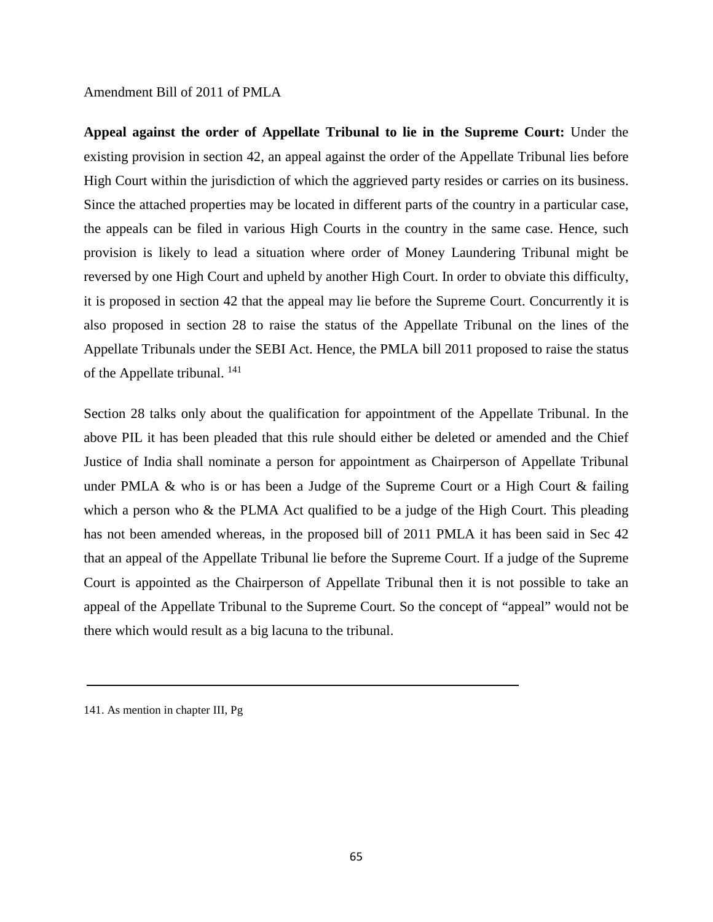#### Amendment Bill of 2011 of PMLA

**Appeal against the order of Appellate Tribunal to lie in the Supreme Court:** Under the existing provision in section 42, an appeal against the order of the Appellate Tribunal lies before High Court within the jurisdiction of which the aggrieved party resides or carries on its business. Since the attached properties may be located in different parts of the country in a particular case, the appeals can be filed in various High Courts in the country in the same case. Hence, such provision is likely to lead a situation where order of Money Laundering Tribunal might be reversed by one High Court and upheld by another High Court. In order to obviate this difficulty, it is proposed in section 42 that the appeal may lie before the Supreme Court. Concurrently it is also proposed in section 28 to raise the status of the Appellate Tribunal on the lines of the Appellate Tribunals under the SEBI Act. Hence, the PMLA bill 2011 proposed to raise the status of the Appellate tribunal. <sup>141</sup>

Section 28 talks only about the qualification for appointment of the Appellate Tribunal. In the above PIL it has been pleaded that this rule should either be deleted or amended and the Chief Justice of India shall nominate a person for appointment as Chairperson of Appellate Tribunal under PMLA & who is or has been a Judge of the Supreme Court or a High Court & failing which a person who & the PLMA Act qualified to be a judge of the High Court. This pleading has not been amended whereas, in the proposed bill of 2011 PMLA it has been said in Sec 42 that an appeal of the Appellate Tribunal lie before the Supreme Court. If a judge of the Supreme Court is appointed as the Chairperson of Appellate Tribunal then it is not possible to take an appeal of the Appellate Tribunal to the Supreme Court. So the concept of "appeal" would not be there which would result as a big lacuna to the tribunal.

<sup>141.</sup> As mention in chapter III, Pg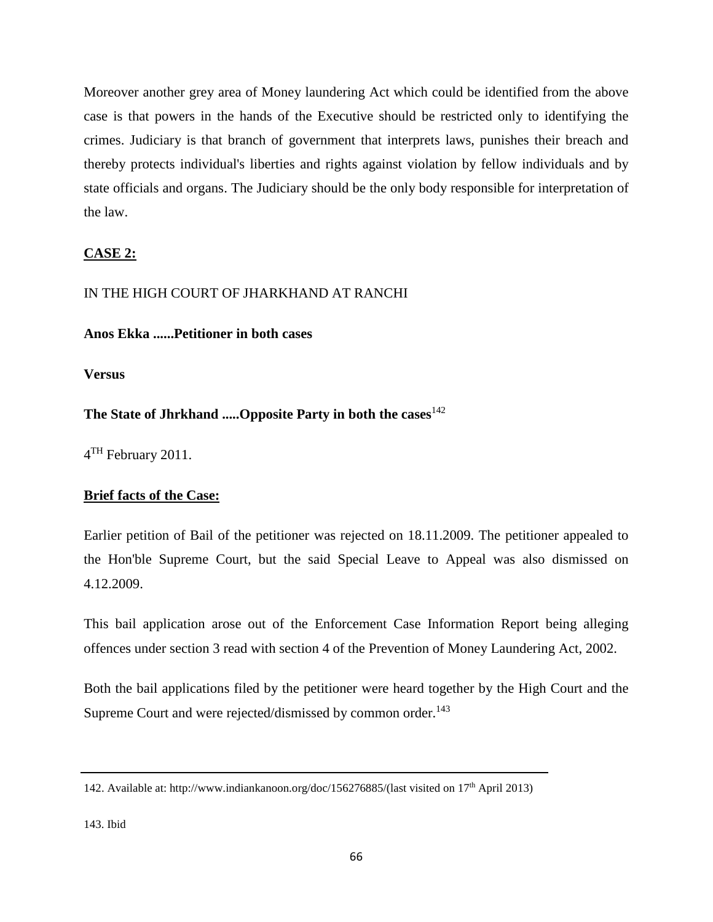Moreover another grey area of Money laundering Act which could be identified from the above case is that powers in the hands of the Executive should be restricted only to identifying the crimes. Judiciary is that branch of government that interprets laws, punishes their breach and thereby protects individual's liberties and rights against violation by fellow individuals and by state officials and organs. The Judiciary should be the only body responsible for interpretation of the law.

# **CASE 2:**

# IN THE HIGH COURT OF JHARKHAND AT RANCHI

# **Anos Ekka ......Petitioner in both cases**

**Versus**

**The State of Jhrkhand .....Opposite Party in both the cases**<sup>142</sup>

4<sup>TH</sup> February 2011.

# **Brief facts of the Case:**

Earlier petition of Bail of the petitioner was rejected on 18.11.2009. The petitioner appealed to the Hon'ble Supreme Court, but the said Special Leave to Appeal was also dismissed on 4.12.2009.

This bail application arose out of the Enforcement Case Information Report being alleging offences under section 3 read with section 4 of the Prevention of Money Laundering Act, 2002.

Both the bail applications filed by the petitioner were heard together by the High Court and the Supreme Court and were rejected/dismissed by common order.<sup>143</sup>

<sup>142.</sup> Available at: [http://www.indiankanoon.org/doc/156276885/\(last](http://www.indiankanoon.org/doc/156276885/(last) visited on 17<sup>th</sup> April 2013)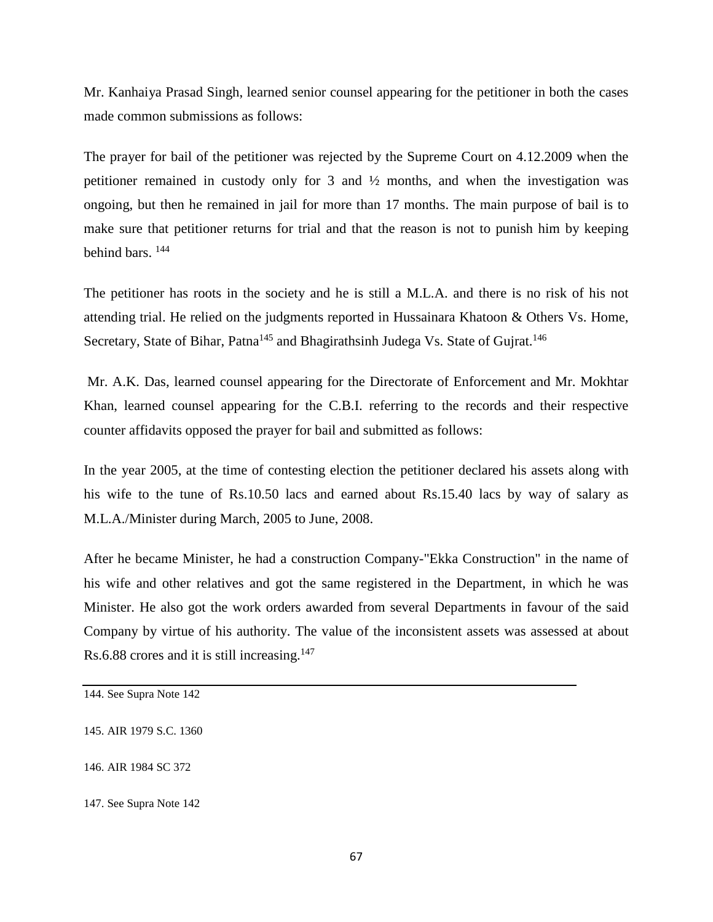Mr. Kanhaiya Prasad Singh, learned senior counsel appearing for the petitioner in both the cases made common submissions as follows:

The prayer for bail of the petitioner was rejected by the Supreme Court on 4.12.2009 when the petitioner remained in custody only for 3 and  $\frac{1}{2}$  months, and when the investigation was ongoing, but then he remained in jail for more than 17 months. The main purpose of bail is to make sure that petitioner returns for trial and that the reason is not to punish him by keeping behind bars. 144

The petitioner has roots in the society and he is still a M.L.A. and there is no risk of his not attending trial. He relied on the judgments reported in Hussainara Khatoon & Others Vs. Home, Secretary, State of Bihar, Patna<sup>145</sup> and Bhagirathsinh Judega Vs. State of Gujrat.<sup>146</sup>

Mr. A.K. Das, learned counsel appearing for the Directorate of Enforcement and Mr. Mokhtar Khan, learned counsel appearing for the C.B.I. referring to the records and their respective counter affidavits opposed the prayer for bail and submitted as follows:

In the year 2005, at the time of contesting election the petitioner declared his assets along with his wife to the tune of Rs.10.50 lacs and earned about Rs.15.40 lacs by way of salary as M.L.A./Minister during March, 2005 to June, 2008.

After he became Minister, he had a construction Company-"Ekka Construction" in the name of his wife and other relatives and got the same registered in the Department, in which he was Minister. He also got the work orders awarded from several Departments in favour of the said Company by virtue of his authority. The value of the inconsistent assets was assessed at about Rs.6.88 crores and it is still increasing.<sup>147</sup>

- 145. AIR 1979 S.C. 1360
- 146. AIR 1984 SC 372
- 147. See Supra Note 142

<sup>144.</sup> See Supra Note 142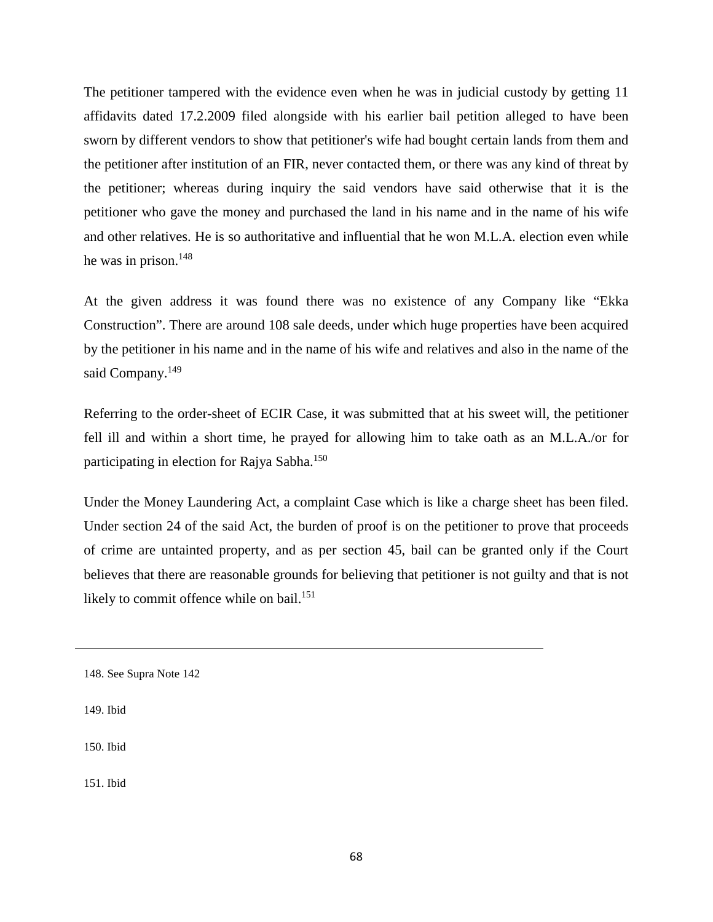The petitioner tampered with the evidence even when he was in judicial custody by getting 11 affidavits dated 17.2.2009 filed alongside with his earlier bail petition alleged to have been sworn by different vendors to show that petitioner's wife had bought certain lands from them and the petitioner after institution of an FIR, never contacted them, or there was any kind of threat by the petitioner; whereas during inquiry the said vendors have said otherwise that it is the petitioner who gave the money and purchased the land in his name and in the name of his wife and other relatives. He is so authoritative and influential that he won M.L.A. election even while he was in prison. 148

At the given address it was found there was no existence of any Company like "Ekka Construction". There are around 108 sale deeds, under which huge properties have been acquired by the petitioner in his name and in the name of his wife and relatives and also in the name of the said Company.<sup>149</sup>

Referring to the order-sheet of ECIR Case, it was submitted that at his sweet will, the petitioner fell ill and within a short time, he prayed for allowing him to take oath as an M.L.A./or for participating in election for Rajya Sabha.<sup>150</sup>

Under the Money Laundering Act, a complaint Case which is like a charge sheet has been filed. Under section 24 of the said Act, the burden of proof is on the petitioner to prove that proceeds of crime are untainted property, and as per section 45, bail can be granted only if the Court believes that there are reasonable grounds for believing that petitioner is not guilty and that is not likely to commit offence while on bail.<sup>151</sup>

149. Ibid

150. Ibid

<sup>148.</sup> See Supra Note 142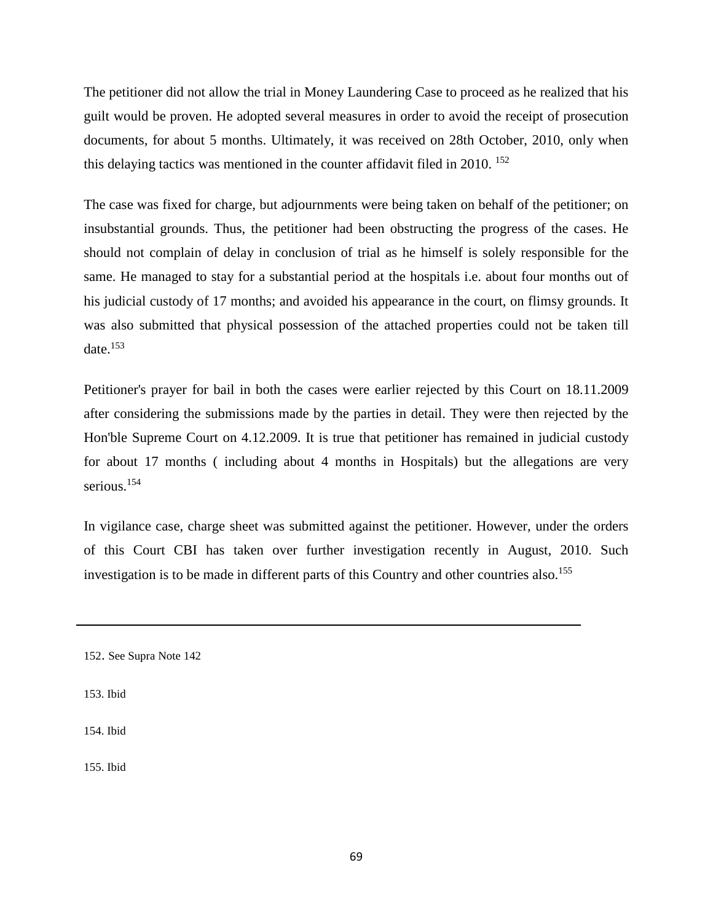The petitioner did not allow the trial in Money Laundering Case to proceed as he realized that his guilt would be proven. He adopted several measures in order to avoid the receipt of prosecution documents, for about 5 months. Ultimately, it was received on 28th October, 2010, only when this delaying tactics was mentioned in the counter affidavit filed in 2010.  $^{152}$ 

The case was fixed for charge, but adjournments were being taken on behalf of the petitioner; on insubstantial grounds. Thus, the petitioner had been obstructing the progress of the cases. He should not complain of delay in conclusion of trial as he himself is solely responsible for the same. He managed to stay for a substantial period at the hospitals i.e. about four months out of his judicial custody of 17 months; and avoided his appearance in the court, on flimsy grounds. It was also submitted that physical possession of the attached properties could not be taken till date. $153$ 

Petitioner's prayer for bail in both the cases were earlier rejected by this Court on 18.11.2009 after considering the submissions made by the parties in detail. They were then rejected by the Hon'ble Supreme Court on 4.12.2009. It is true that petitioner has remained in judicial custody for about 17 months ( including about 4 months in Hospitals) but the allegations are very serious.<sup>154</sup>

In vigilance case, charge sheet was submitted against the petitioner. However, under the orders of this Court CBI has taken over further investigation recently in August, 2010. Such investigation is to be made in different parts of this Country and other countries also.<sup>155</sup>

153. Ibid

154. Ibid

<sup>152.</sup> See Supra Note 142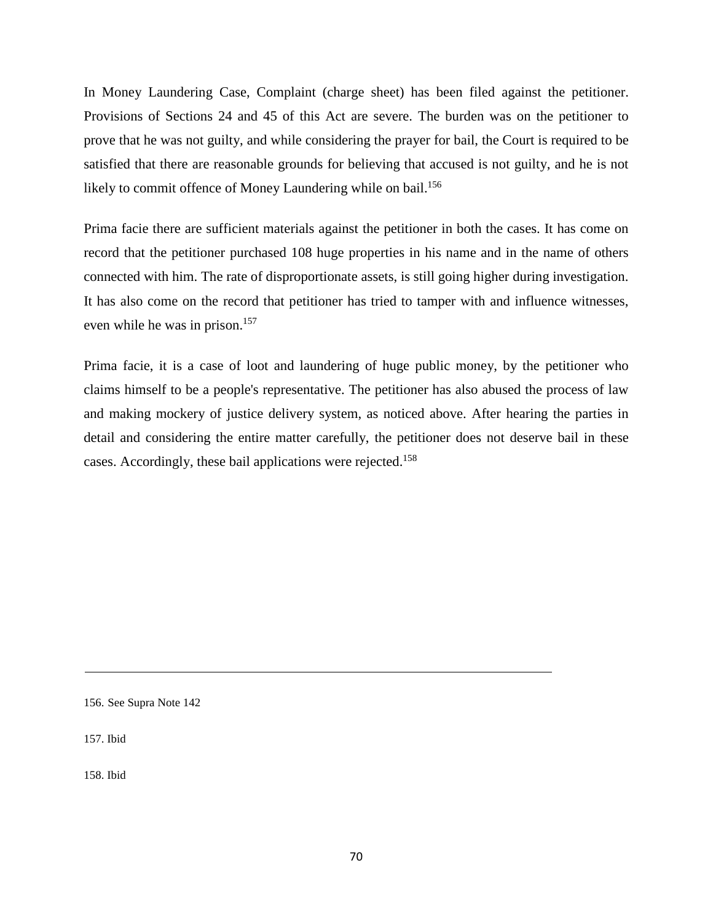In Money Laundering Case, Complaint (charge sheet) has been filed against the petitioner. Provisions of Sections 24 and 45 of this Act are severe. The burden was on the petitioner to prove that he was not guilty, and while considering the prayer for bail, the Court is required to be satisfied that there are reasonable grounds for believing that accused is not guilty, and he is not likely to commit offence of Money Laundering while on bail.<sup>156</sup>

Prima facie there are sufficient materials against the petitioner in both the cases. It has come on record that the petitioner purchased 108 huge properties in his name and in the name of others connected with him. The rate of disproportionate assets, is still going higher during investigation. It has also come on the record that petitioner has tried to tamper with and influence witnesses, even while he was in prison.<sup>157</sup>

Prima facie, it is a case of loot and laundering of huge public money, by the petitioner who claims himself to be a people's representative. The petitioner has also abused the process of law and making mockery of justice delivery system, as noticed above. After hearing the parties in detail and considering the entire matter carefully, the petitioner does not deserve bail in these cases. Accordingly, these bail applications were rejected.158

156. See Supra Note 142

157. Ibid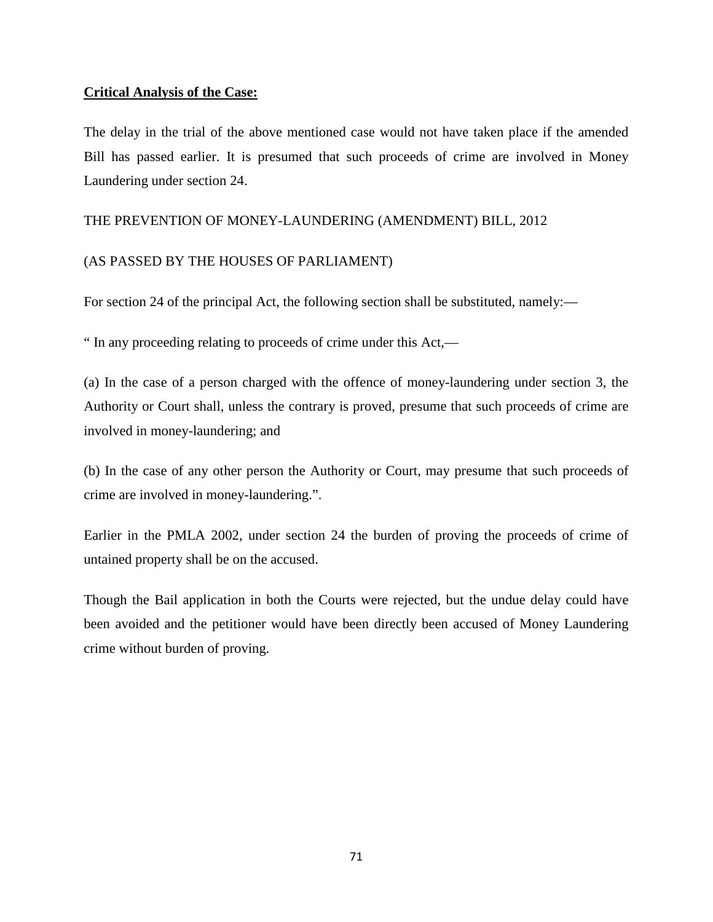# **Critical Analysis of the Case:**

The delay in the trial of the above mentioned case would not have taken place if the amended Bill has passed earlier. It is presumed that such proceeds of crime are involved in Money Laundering under section 24.

## THE PREVENTION OF MONEY-LAUNDERING (AMENDMENT) BILL, 2012

# (AS PASSED BY THE HOUSES OF PARLIAMENT)

For section 24 of the principal Act, the following section shall be substituted, namely:—

" In any proceeding relating to proceeds of crime under this Act,—

(a) In the case of a person charged with the offence of money-laundering under section 3, the Authority or Court shall, unless the contrary is proved, presume that such proceeds of crime are involved in money-laundering; and

(b) In the case of any other person the Authority or Court, may presume that such proceeds of crime are involved in money-laundering.".

Earlier in the PMLA 2002, under section 24 the burden of proving the proceeds of crime of untained property shall be on the accused.

Though the Bail application in both the Courts were rejected, but the undue delay could have been avoided and the petitioner would have been directly been accused of Money Laundering crime without burden of proving.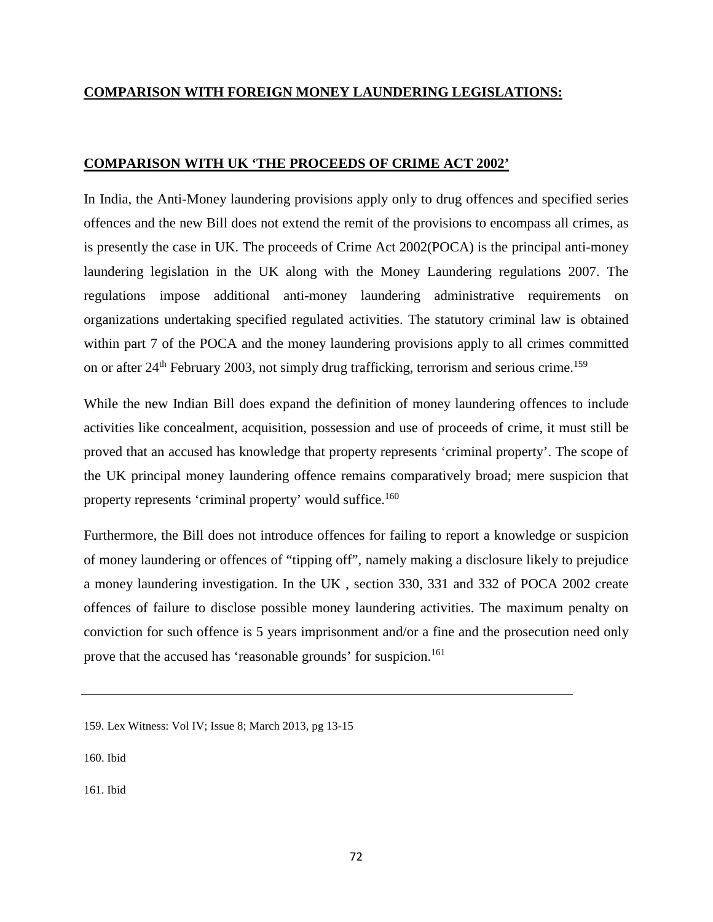# **COMPARISON WITH FOREIGN MONEY LAUNDERING LEGISLATIONS:**

## **COMPARISON WITH UK 'THE PROCEEDS OF CRIME ACT 2002'**

In India, the Anti-Money laundering provisions apply only to drug offences and specified series offences and the new Bill does not extend the remit of the provisions to encompass all crimes, as is presently the case in UK. The proceeds of Crime Act 2002(POCA) is the principal anti-money laundering legislation in the UK along with the Money Laundering regulations 2007. The regulations impose additional anti-money laundering administrative requirements on organizations undertaking specified regulated activities. The statutory criminal law is obtained within part 7 of the POCA and the money laundering provisions apply to all crimes committed on or after  $24<sup>th</sup>$  February 2003, not simply drug trafficking, terrorism and serious crime.<sup>159</sup>

While the new Indian Bill does expand the definition of money laundering offences to include activities like concealment, acquisition, possession and use of proceeds of crime, it must still be proved that an accused has knowledge that property represents 'criminal property'. The scope of the UK principal money laundering offence remains comparatively broad; mere suspicion that property represents 'criminal property' would suffice.160

Furthermore, the Bill does not introduce offences for failing to report a knowledge or suspicion of money laundering or offences of "tipping off", namely making a disclosure likely to prejudice a money laundering investigation. In the UK , section 330, 331 and 332 of POCA 2002 create offences of failure to disclose possible money laundering activities. The maximum penalty on conviction for such offence is 5 years imprisonment and/or a fine and the prosecution need only prove that the accused has 'reasonable grounds' for suspicion.<sup>161</sup>

160. Ibid

<sup>159.</sup> Lex Witness: Vol IV; Issue 8; March 2013, pg 13-15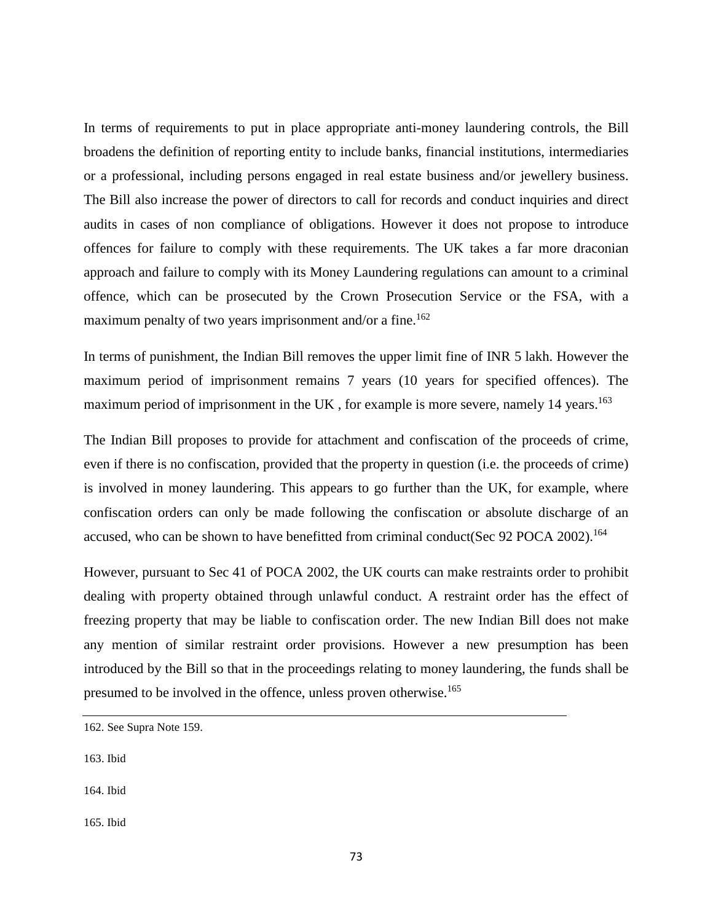In terms of requirements to put in place appropriate anti-money laundering controls, the Bill broadens the definition of reporting entity to include banks, financial institutions, intermediaries or a professional, including persons engaged in real estate business and/or jewellery business. The Bill also increase the power of directors to call for records and conduct inquiries and direct audits in cases of non compliance of obligations. However it does not propose to introduce offences for failure to comply with these requirements. The UK takes a far more draconian approach and failure to comply with its Money Laundering regulations can amount to a criminal offence, which can be prosecuted by the Crown Prosecution Service or the FSA, with a maximum penalty of two years imprisonment and/or a fine.<sup>162</sup>

In terms of punishment, the Indian Bill removes the upper limit fine of INR 5 lakh. However the maximum period of imprisonment remains 7 years (10 years for specified offences). The maximum period of imprisonment in the UK, for example is more severe, namely 14 years.<sup>163</sup>

The Indian Bill proposes to provide for attachment and confiscation of the proceeds of crime, even if there is no confiscation, provided that the property in question (i.e. the proceeds of crime) is involved in money laundering. This appears to go further than the UK, for example, where confiscation orders can only be made following the confiscation or absolute discharge of an accused, who can be shown to have benefitted from criminal conduct(Sec 92 POCA 2002).<sup>164</sup>

However, pursuant to Sec 41 of POCA 2002, the UK courts can make restraints order to prohibit dealing with property obtained through unlawful conduct. A restraint order has the effect of freezing property that may be liable to confiscation order. The new Indian Bill does not make any mention of similar restraint order provisions. However a new presumption has been introduced by the Bill so that in the proceedings relating to money laundering, the funds shall be presumed to be involved in the offence, unless proven otherwise.<sup>165</sup>

- 163. Ibid
- 164. Ibid
- 165. Ibid

<sup>162.</sup> See Supra Note 159.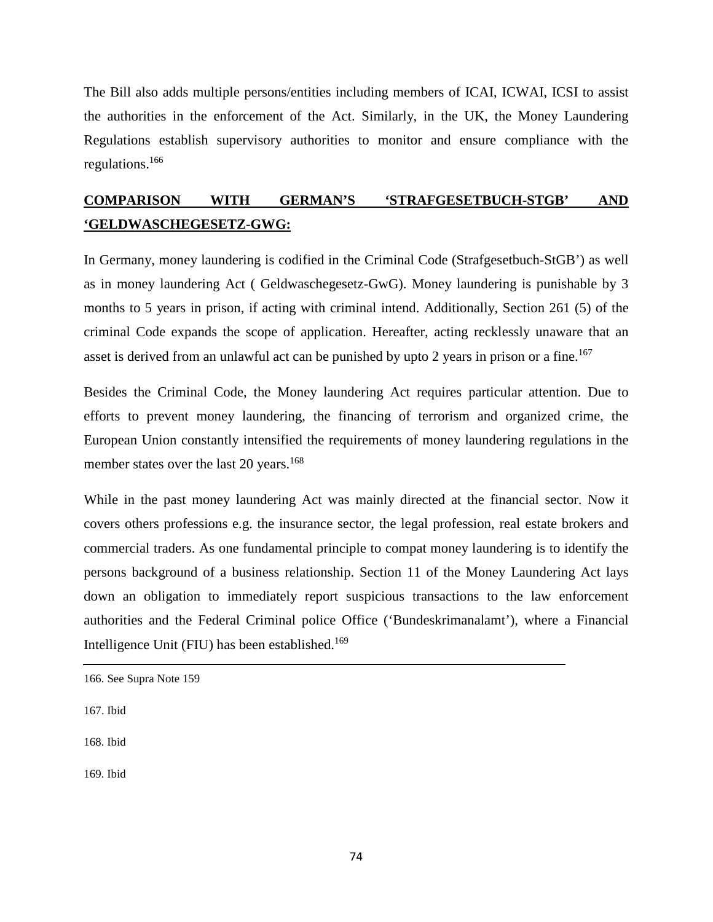The Bill also adds multiple persons/entities including members of ICAI, ICWAI, ICSI to assist the authorities in the enforcement of the Act. Similarly, in the UK, the Money Laundering Regulations establish supervisory authorities to monitor and ensure compliance with the regulations.166

# **COMPARISON WITH GERMAN'S 'STRAFGESETBUCH-STGB' AND 'GELDWASCHEGESETZ-GWG:**

In Germany, money laundering is codified in the Criminal Code (Strafgesetbuch-StGB') as well as in money laundering Act ( Geldwaschegesetz-GwG). Money laundering is punishable by 3 months to 5 years in prison, if acting with criminal intend. Additionally, Section 261 (5) of the criminal Code expands the scope of application. Hereafter, acting recklessly unaware that an asset is derived from an unlawful act can be punished by upto 2 years in prison or a fine.<sup>167</sup>

Besides the Criminal Code, the Money laundering Act requires particular attention. Due to efforts to prevent money laundering, the financing of terrorism and organized crime, the European Union constantly intensified the requirements of money laundering regulations in the member states over the last 20 years.<sup>168</sup>

While in the past money laundering Act was mainly directed at the financial sector. Now it covers others professions e.g. the insurance sector, the legal profession, real estate brokers and commercial traders. As one fundamental principle to compat money laundering is to identify the persons background of a business relationship. Section 11 of the Money Laundering Act lays down an obligation to immediately report suspicious transactions to the law enforcement authorities and the Federal Criminal police Office ('Bundeskrimanalamt'), where a Financial Intelligence Unit (FIU) has been established.<sup>169</sup>

<sup>166.</sup> See Supra Note 159

<sup>167.</sup> Ibid

<sup>168.</sup> Ibid

<sup>169.</sup> Ibid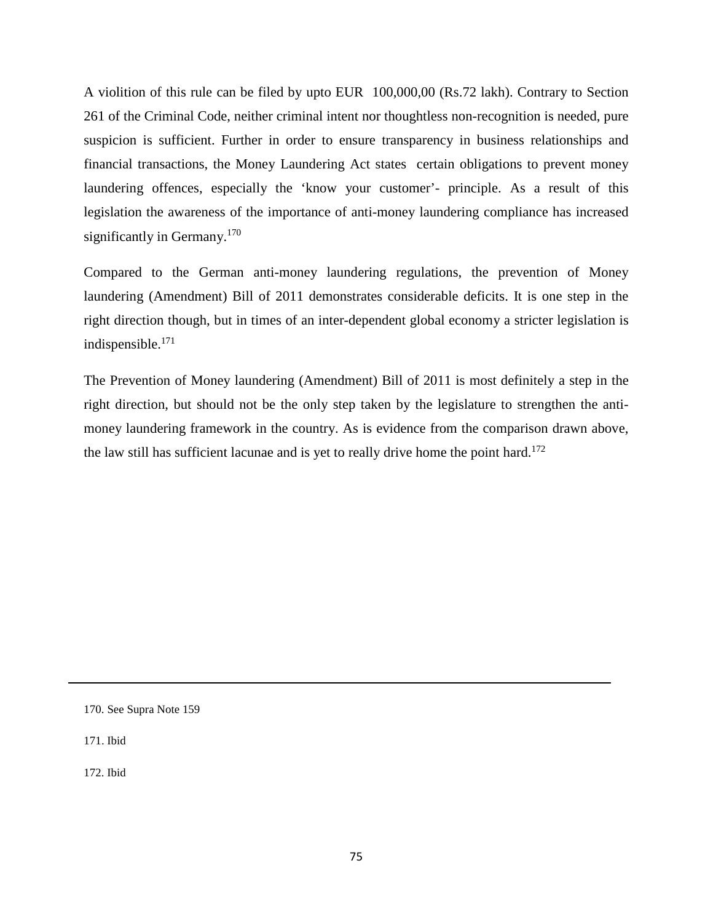A violition of this rule can be filed by upto EUR 100,000,00 (Rs.72 lakh). Contrary to Section 261 of the Criminal Code, neither criminal intent nor thoughtless non-recognition is needed, pure suspicion is sufficient. Further in order to ensure transparency in business relationships and financial transactions, the Money Laundering Act states certain obligations to prevent money laundering offences, especially the 'know your customer'- principle. As a result of this legislation the awareness of the importance of anti-money laundering compliance has increased significantly in Germany.<sup>170</sup>

Compared to the German anti-money laundering regulations, the prevention of Money laundering (Amendment) Bill of 2011 demonstrates considerable deficits. It is one step in the right direction though, but in times of an inter-dependent global economy a stricter legislation is indispensible.171

The Prevention of Money laundering (Amendment) Bill of 2011 is most definitely a step in the right direction, but should not be the only step taken by the legislature to strengthen the antimoney laundering framework in the country. As is evidence from the comparison drawn above, the law still has sufficient lacunae and is yet to really drive home the point hard.<sup>172</sup>

171. Ibid

172. Ibid

<sup>170.</sup> See Supra Note 159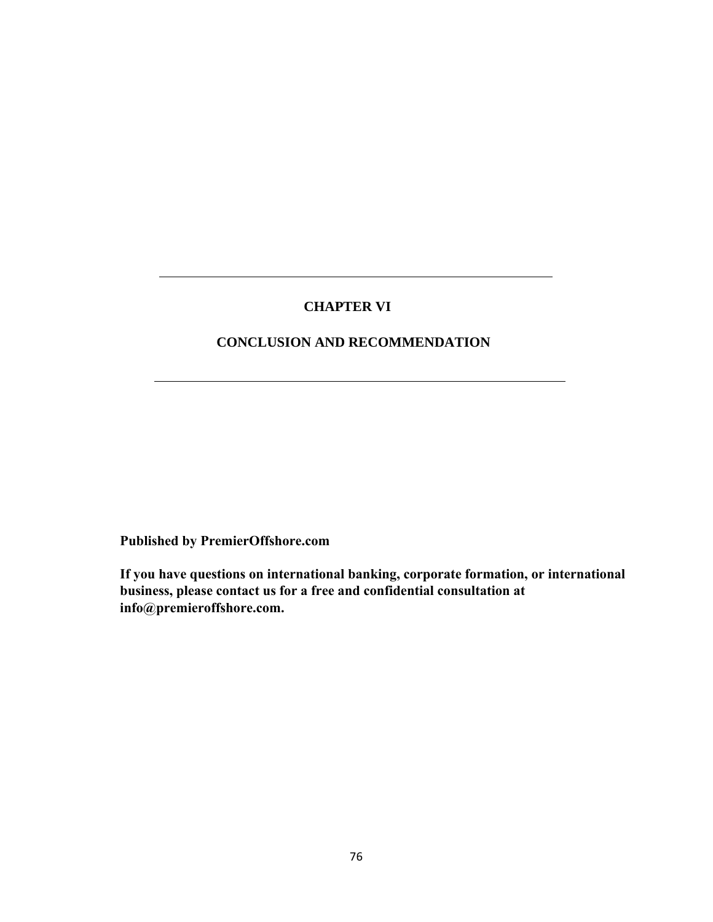## **CHAPTER VI**

## **CONCLUSION AND RECOMMENDATION**

**Published by PremierOffshore.com**

**If you have questions on international banking, corporate formation, or international business, please contact us for a free and confidential consultation at info@premieroffshore.com.**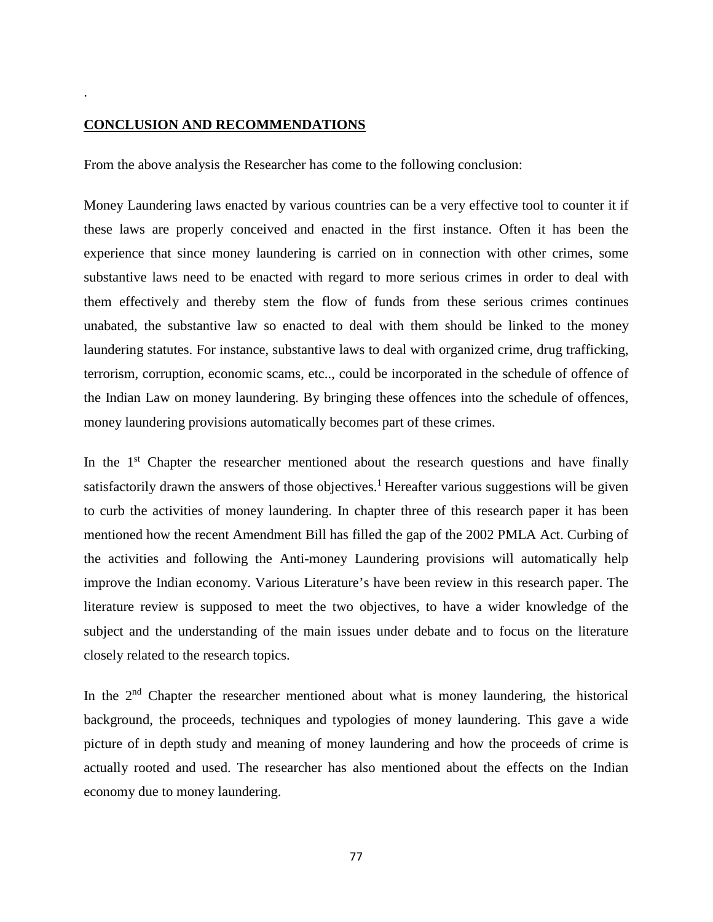## **CONCLUSION AND RECOMMENDATIONS**

.

From the above analysis the Researcher has come to the following conclusion:

Money Laundering laws enacted by various countries can be a very effective tool to counter it if these laws are properly conceived and enacted in the first instance. Often it has been the experience that since money laundering is carried on in connection with other crimes, some substantive laws need to be enacted with regard to more serious crimes in order to deal with them effectively and thereby stem the flow of funds from these serious crimes continues unabated, the substantive law so enacted to deal with them should be linked to the money laundering statutes. For instance, substantive laws to deal with organized crime, drug trafficking, terrorism, corruption, economic scams, etc.., could be incorporated in the schedule of offence of the Indian Law on money laundering. By bringing these offences into the schedule of offences, money laundering provisions automatically becomes part of these crimes.

In the  $1<sup>st</sup>$  Chapter the researcher mentioned about the research questions and have finally satisfactorily drawn the answers of those objectives.<sup>1</sup> Hereafter various suggestions will be given to curb the activities of money laundering. In chapter three of this research paper it has been mentioned how the recent Amendment Bill has filled the gap of the 2002 PMLA Act. Curbing of the activities and following the Anti-money Laundering provisions will automatically help improve the Indian economy. Various Literature's have been review in this research paper. The literature review is supposed to meet the two objectives, to have a wider knowledge of the subject and the understanding of the main issues under debate and to focus on the literature closely related to the research topics.

In the 2<sup>nd</sup> Chapter the researcher mentioned about what is money laundering, the historical background, the proceeds, techniques and typologies of money laundering. This gave a wide picture of in depth study and meaning of money laundering and how the proceeds of crime is actually rooted and used. The researcher has also mentioned about the effects on the Indian economy due to money laundering.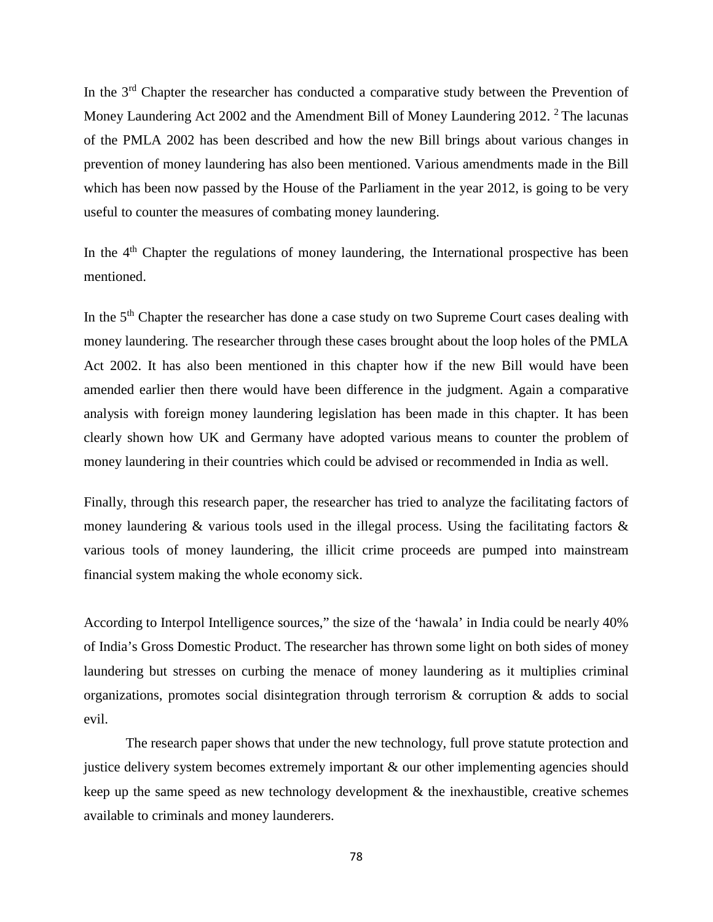In the  $3<sup>rd</sup>$  Chapter the researcher has conducted a comparative study between the Prevention of Money Laundering Act 2002 and the Amendment Bill of Money Laundering 2012. <sup>2</sup> The lacunas of the PMLA 2002 has been described and how the new Bill brings about various changes in prevention of money laundering has also been mentioned. Various amendments made in the Bill which has been now passed by the House of the Parliament in the year 2012, is going to be very useful to counter the measures of combating money laundering.

In the 4<sup>th</sup> Chapter the regulations of money laundering, the International prospective has been mentioned.

In the 5<sup>th</sup> Chapter the researcher has done a case study on two Supreme Court cases dealing with money laundering. The researcher through these cases brought about the loop holes of the PMLA Act 2002. It has also been mentioned in this chapter how if the new Bill would have been amended earlier then there would have been difference in the judgment. Again a comparative analysis with foreign money laundering legislation has been made in this chapter. It has been clearly shown how UK and Germany have adopted various means to counter the problem of money laundering in their countries which could be advised or recommended in India as well.

Finally, through this research paper, the researcher has tried to analyze the facilitating factors of money laundering & various tools used in the illegal process. Using the facilitating factors  $\&$ various tools of money laundering, the illicit crime proceeds are pumped into mainstream financial system making the whole economy sick.

According to Interpol Intelligence sources," the size of the 'hawala' in India could be nearly 40% of India's Gross Domestic Product. The researcher has thrown some light on both sides of money laundering but stresses on curbing the menace of money laundering as it multiplies criminal organizations, promotes social disintegration through terrorism  $\&$  corruption  $\&$  adds to social evil.

The research paper shows that under the new technology, full prove statute protection and justice delivery system becomes extremely important & our other implementing agencies should keep up the same speed as new technology development  $\&$  the inexhaustible, creative schemes available to criminals and money launderers.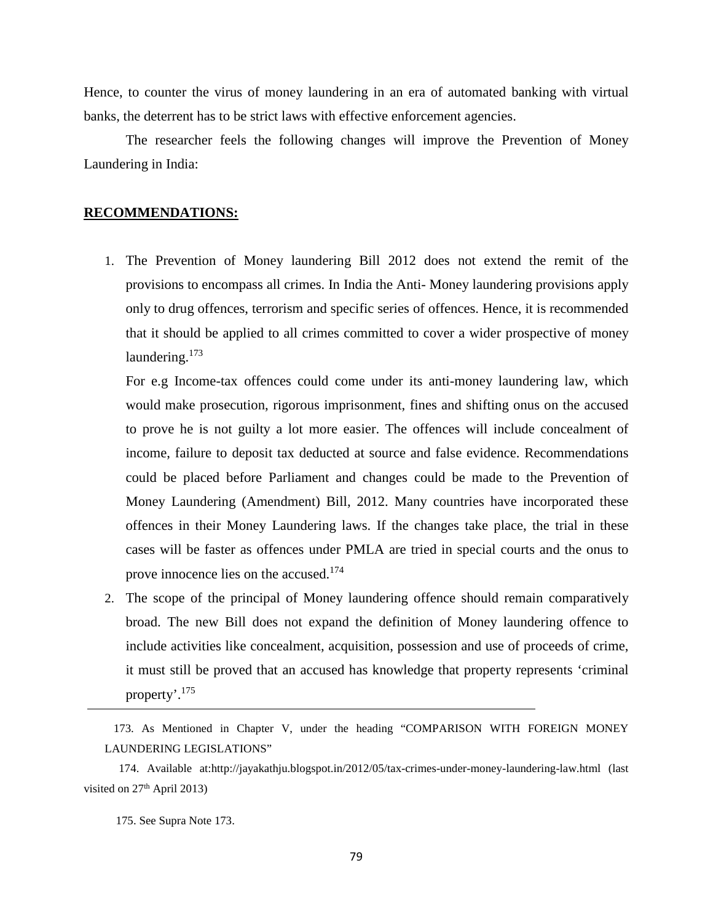Hence, to counter the virus of money laundering in an era of automated banking with virtual banks, the deterrent has to be strict laws with effective enforcement agencies.

The researcher feels the following changes will improve the Prevention of Money Laundering in India:

### **RECOMMENDATIONS:**

1. The Prevention of Money laundering Bill 2012 does not extend the remit of the provisions to encompass all crimes. In India the Anti- Money laundering provisions apply only to drug offences, terrorism and specific series of offences. Hence, it is recommended that it should be applied to all crimes committed to cover a wider prospective of money laundering. $173$ 

For e.g Income-tax offences could come under its anti-money laundering law, which would make prosecution, rigorous imprisonment, fines and shifting onus on the accused to prove he is not guilty a lot more easier. The offences will include concealment of income, failure to deposit tax deducted at source and false evidence. Recommendations could be placed before Parliament and changes could be made to the Prevention of Money Laundering (Amendment) Bill, 2012. Many countries have incorporated these offences in their Money Laundering laws. If the changes take place, the trial in these cases will be faster as offences under PMLA are tried in special courts and the onus to prove innocence lies on the accused.<sup>174</sup>

2. The scope of the principal of Money laundering offence should remain comparatively broad. The new Bill does not expand the definition of Money laundering offence to include activities like concealment, acquisition, possession and use of proceeds of crime, it must still be proved that an accused has knowledge that property represents 'criminal property'.<sup>175</sup>

175. See Supra Note 173.

<sup>173.</sup> As Mentioned in Chapter V, under the heading "COMPARISON WITH FOREIGN MONEY LAUNDERING LEGISLATIONS"

<sup>174.</sup> Available at[:http://jayakathju.blogspot.in/2012/05/tax-crimes-under-money-laundering-law.html](http://jayakathju.blogspot.in/2012/05/tax-crimes-under-money-laundering-law.html) (last visited on  $27<sup>th</sup>$  April 2013)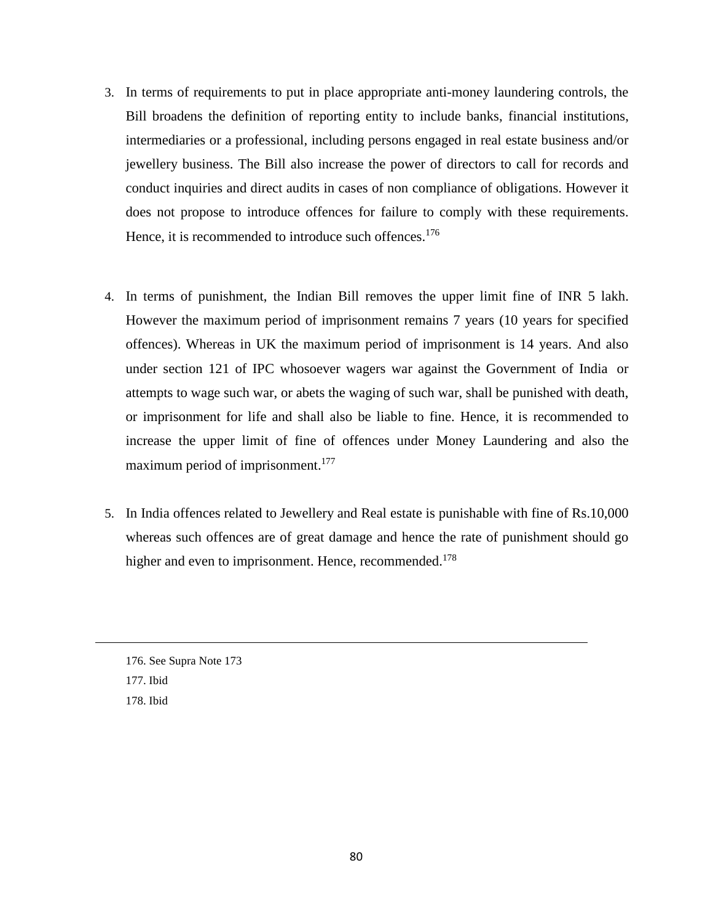- 3. In terms of requirements to put in place appropriate anti-money laundering controls, the Bill broadens the definition of reporting entity to include banks, financial institutions, intermediaries or a professional, including persons engaged in real estate business and/or jewellery business. The Bill also increase the power of directors to call for records and conduct inquiries and direct audits in cases of non compliance of obligations. However it does not propose to introduce offences for failure to comply with these requirements. Hence, it is recommended to introduce such offences.<sup>176</sup>
- 4. In terms of punishment, the Indian Bill removes the upper limit fine of INR 5 lakh. However the maximum period of imprisonment remains 7 years (10 years for specified offences). Whereas in UK the maximum period of imprisonment is 14 years. And also under section 121 of IPC whosoever wagers war against the Government of India or attempts to wage such war, or abets the waging of such war, shall be punished with death, or imprisonment for life and shall also be liable to fine. Hence, it is recommended to increase the upper limit of fine of offences under Money Laundering and also the maximum period of imprisonment.<sup>177</sup>
- 5. In India offences related to Jewellery and Real estate is punishable with fine of Rs.10,000 whereas such offences are of great damage and hence the rate of punishment should go higher and even to imprisonment. Hence, recommended.<sup>178</sup>

176. See Supra Note 173 177. Ibid 178. Ibid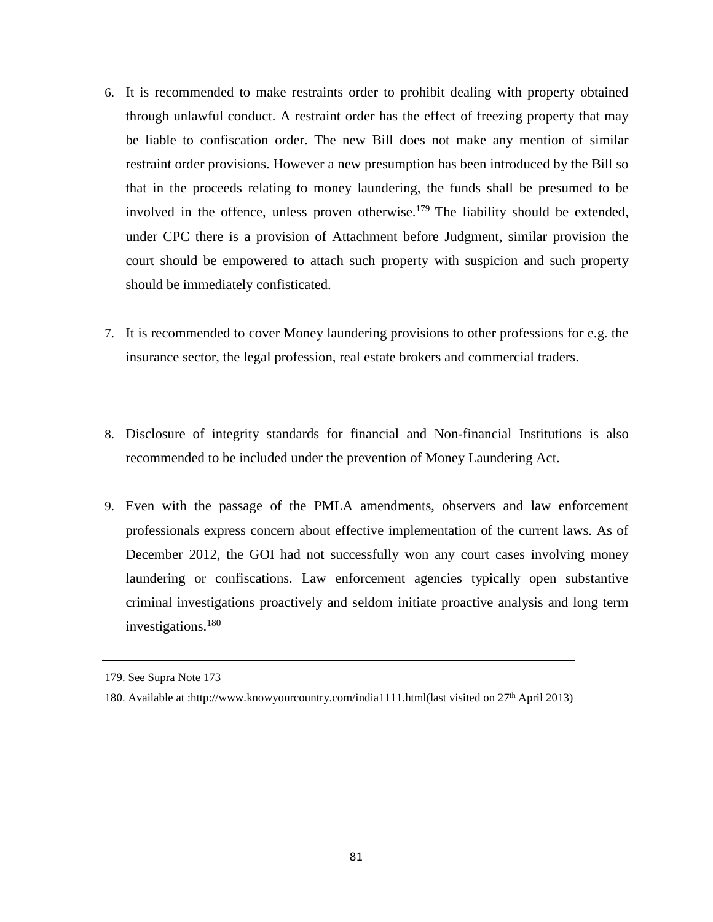- 6. It is recommended to make restraints order to prohibit dealing with property obtained through unlawful conduct. A restraint order has the effect of freezing property that may be liable to confiscation order. The new Bill does not make any mention of similar restraint order provisions. However a new presumption has been introduced by the Bill so that in the proceeds relating to money laundering, the funds shall be presumed to be involved in the offence, unless proven otherwise.<sup>179</sup> The liability should be extended, under CPC there is a provision of Attachment before Judgment, similar provision the court should be empowered to attach such property with suspicion and such property should be immediately confisticated.
- 7. It is recommended to cover Money laundering provisions to other professions for e.g. the insurance sector, the legal profession, real estate brokers and commercial traders.
- 8. Disclosure of integrity standards for financial and Non-financial Institutions is also recommended to be included under the prevention of Money Laundering Act.
- 9. Even with the passage of the PMLA amendments, observers and law enforcement professionals express concern about effective implementation of the current laws. As of December 2012, the GOI had not successfully won any court cases involving money laundering or confiscations. Law enforcement agencies typically open substantive criminal investigations proactively and seldom initiate proactive analysis and long term investigations.180

<sup>179.</sup> See Supra Note 173

<sup>180.</sup> Available at [:http://www.knowyourcountry.com/india1111.html\(](http://www.knowyourcountry.com/india1111.html)last visited on 27th April 2013)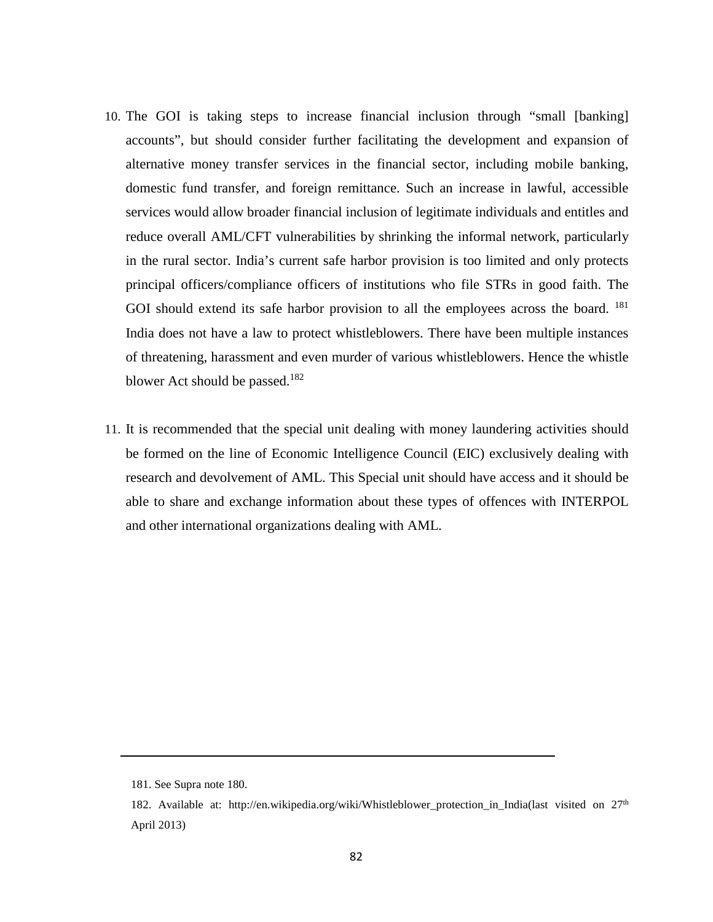- 10. The GOI is taking steps to increase financial inclusion through "small [banking] accounts", but should consider further facilitating the development and expansion of alternative money transfer services in the financial sector, including mobile banking, domestic fund transfer, and foreign remittance. Such an increase in lawful, accessible services would allow broader financial inclusion of legitimate individuals and entitles and reduce overall AML/CFT vulnerabilities by shrinking the informal network, particularly in the rural sector. India's current safe harbor provision is too limited and only protects principal officers/compliance officers of institutions who file STRs in good faith. The GOI should extend its safe harbor provision to all the employees across the board. <sup>181</sup> India does not have a law to protect whistleblowers. There have been multiple instances of threatening, harassment and even murder of various whistleblowers. Hence the whistle blower Act should be passed.<sup>182</sup>
- 11. It is recommended that the special unit dealing with money laundering activities should be formed on the line of Economic Intelligence Council (EIC) exclusively dealing with research and devolvement of AML. This Special unit should have access and it should be able to share and exchange information about these types of offences with INTERPOL and other international organizations dealing with AML.

<sup>181.</sup> See Supra note 180.

<sup>182.</sup> Available at: http://en.wikipedia.org/wiki/Whistleblower protection in India(last visited on  $27<sup>th</sup>$ April 2013)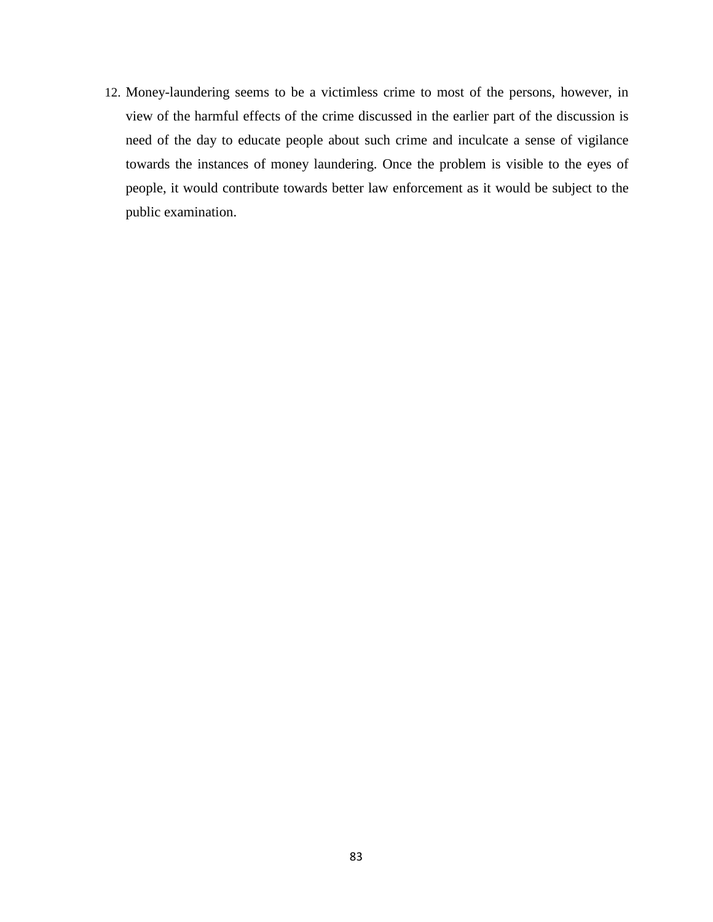12. Money-laundering seems to be a victimless crime to most of the persons, however, in view of the harmful effects of the crime discussed in the earlier part of the discussion is need of the day to educate people about such crime and inculcate a sense of vigilance towards the instances of money laundering. Once the problem is visible to the eyes of people, it would contribute towards better law enforcement as it would be subject to the public examination.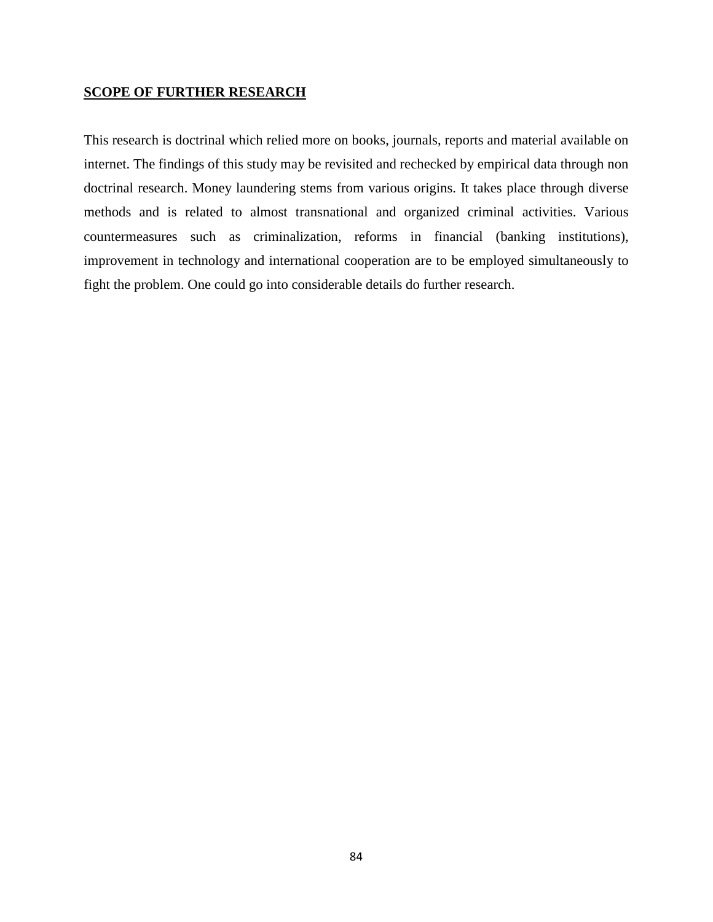## **SCOPE OF FURTHER RESEARCH**

This research is doctrinal which relied more on books, journals, reports and material available on internet. The findings of this study may be revisited and rechecked by empirical data through non doctrinal research. Money laundering stems from various origins. It takes place through diverse methods and is related to almost transnational and organized criminal activities. Various countermeasures such as criminalization, reforms in financial (banking institutions), improvement in technology and international cooperation are to be employed simultaneously to fight the problem. One could go into considerable details do further research.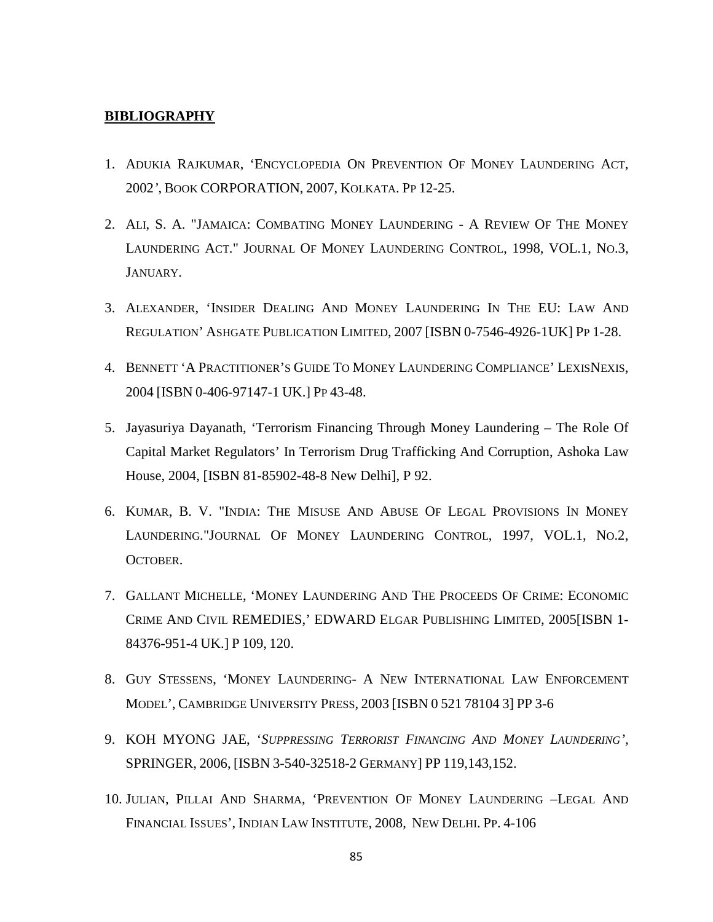### **BIBLIOGRAPHY**

- 1. ADUKIA RAJKUMAR, 'ENCYCLOPEDIA ON PREVENTION OF MONEY LAUNDERING ACT, 2002*'*, BOOK CORPORATION, 2007, KOLKATA. PP 12-25.
- 2. ALI, S. A. "JAMAICA: COMBATING MONEY LAUNDERING A REVIEW OF THE MONEY LAUNDERING ACT." JOURNAL OF MONEY LAUNDERING CONTROL, 1998, VOL.1, NO.3, JANUARY.
- 3. ALEXANDER, 'INSIDER DEALING AND MONEY LAUNDERING IN THE EU: LAW AND REGULATION' ASHGATE PUBLICATION LIMITED, 2007 [ISBN 0-7546-4926-1UK] PP 1-28.
- 4. BENNETT 'A PRACTITIONER'S GUIDE TO MONEY LAUNDERING COMPLIANCE' LEXISNEXIS, 2004 [ISBN 0-406-97147-1 UK.] PP 43-48.
- 5. Jayasuriya Dayanath, 'Terrorism Financing Through Money Laundering The Role Of Capital Market Regulators' In Terrorism Drug Trafficking And Corruption, Ashoka Law House, 2004, [ISBN 81-85902-48-8 New Delhi], P 92.
- 6. KUMAR, B. V. "INDIA: THE MISUSE AND ABUSE OF LEGAL PROVISIONS IN MONEY LAUNDERING."JOURNAL OF MONEY LAUNDERING CONTROL, 1997, VOL.1, NO.2, **OCTOBER**
- 7. GALLANT MICHELLE, 'MONEY LAUNDERING AND THE PROCEEDS OF CRIME: ECONOMIC CRIME AND CIVIL REMEDIES,' EDWARD ELGAR PUBLISHING LIMITED, 2005[ISBN 1- 84376-951-4 UK.] P 109, 120.
- 8. GUY STESSENS, 'MONEY LAUNDERING- A NEW INTERNATIONAL LAW ENFORCEMENT MODEL', CAMBRIDGE UNIVERSITY PRESS, 2003 [ISBN 0 521 78104 3] PP 3-6
- 9. KOH MYONG JAE, '*SUPPRESSING TERRORIST FINANCING AND MONEY LAUNDERING',* SPRINGER, 2006, [ISBN 3-540-32518-2 GERMANY] PP 119,143,152.
- 10. JULIAN, PILLAI AND SHARMA, 'PREVENTION OF MONEY LAUNDERING –LEGAL AND FINANCIAL ISSUES', INDIAN LAW INSTITUTE, 2008, NEW DELHI. PP. 4-106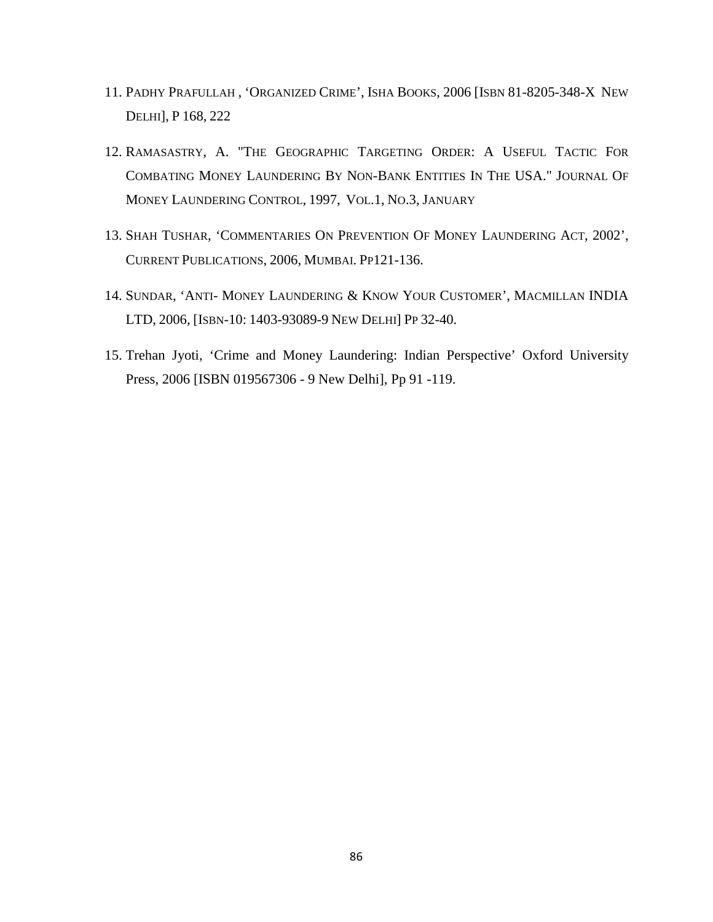- 11. PADHY PRAFULLAH , 'ORGANIZED CRIME', ISHA BOOKS, 2006 [ISBN 81-8205-348-X NEW DELHI], P 168, 222
- 12. RAMASASTRY, A. "THE GEOGRAPHIC TARGETING ORDER: A USEFUL TACTIC FOR COMBATING MONEY LAUNDERING BY NON-BANK ENTITIES IN THE USA." JOURNAL OF MONEY LAUNDERING CONTROL, 1997, VOL.1, NO.3, JANUARY
- 13. SHAH TUSHAR, 'COMMENTARIES ON PREVENTION OF MONEY LAUNDERING ACT, 2002', CURRENT PUBLICATIONS, 2006, MUMBAI. PP121-136.
- 14. SUNDAR, 'ANTI- MONEY LAUNDERING & KNOW YOUR CUSTOMER', MACMILLAN INDIA LTD, 2006, [ISBN-10: 1403-93089-9 NEW DELHI] PP 32-40.
- 15. Trehan Jyoti, 'Crime and Money Laundering: Indian Perspective' Oxford University Press, 2006 [ISBN 019567306 - 9 New Delhi], Pp 91 -119.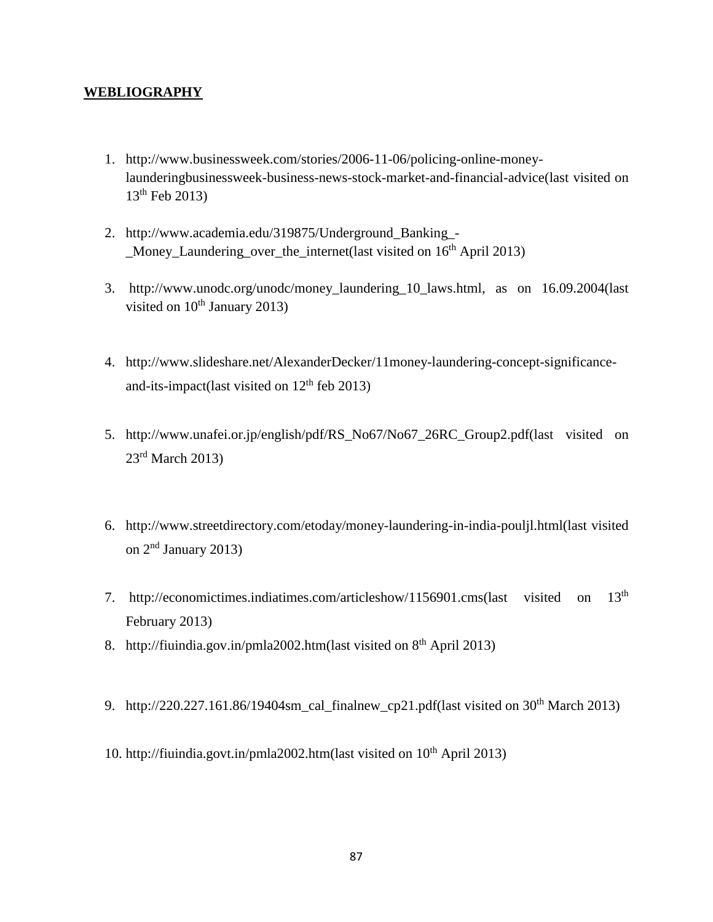## **WEBLIOGRAPHY**

- 1. [http://www.businessweek.com/stories/2006-11-06/policing-online-money](http://www.businessweek.com/stories/2006-11-06/policing-online-money-launderingbusinessweek-business-news-stock-market-and-financial-advice(last)[launderingbusinessweek-business-news-stock-market-and-financial-advice\(last](http://www.businessweek.com/stories/2006-11-06/policing-online-money-launderingbusinessweek-business-news-stock-market-and-financial-advice(last) visited on  $13^{th}$  Feb 2013)
- 2. [http://www.academia.edu/319875/Underground\\_Banking\\_-](http://www.academia.edu/319875/Underground_Banking_-_Money_Laundering_over_the_internet(last) Money Laundering over the internet (last visited on  $16<sup>th</sup>$  April 2013)
- 3. [http://www.unodc.org/unodc/money\\_laundering\\_10\\_laws.html,](http://www.unodc.org/unodc/money_laundering_10_laws.html) as on 16.09.2004(last visited on  $10^{th}$  January 2013)
- 4. [http://www.slideshare.net/AlexanderDecker/11money-laundering-concept-significance](http://www.slideshare.net/AlexanderDecker/11money-laundering-concept-significance-and-its-impact(last)[and-its-impact\(last](http://www.slideshare.net/AlexanderDecker/11money-laundering-concept-significance-and-its-impact(last) visited on  $12<sup>th</sup>$  feb 2013)
- 5. [http://www.unafei.or.jp/english/pdf/RS\\_No67/No67\\_26RC\\_Group2.pdf\(last](http://www.unafei.or.jp/english/pdf/RS_No67/No67_26RC_Group2.pdf(last) visited on  $23<sup>rd</sup>$  March 2013)
- 6. [http://www.streetdirectory.com/etoday/money-laundering-in-india-pouljl.html\(last](http://www.streetdirectory.com/etoday/money-laundering-in-india-pouljl.html(last) visited on 2nd January 2013)
- 7. [http://economictimes.indiatimes.com/articleshow/1156901.cms\(last](http://economictimes.indiatimes.com/articleshow/1156901.cms(last) visited on 13th February 2013)
- 8. [http://fiuindia.gov.in/pmla2002.htm\(last](http://fiuindia.gov.in/pmla2002.htm(last) visited on 8<sup>th</sup> April 2013)
- 9. http://220.227.161.86/19404sm cal\_finalnew\_cp21.pdf(last visited on  $30<sup>th</sup>$  March 2013)
- 10. http://fiuindia.govt.in/pmla2002.htm(last visited on 10<sup>th</sup> April 2013)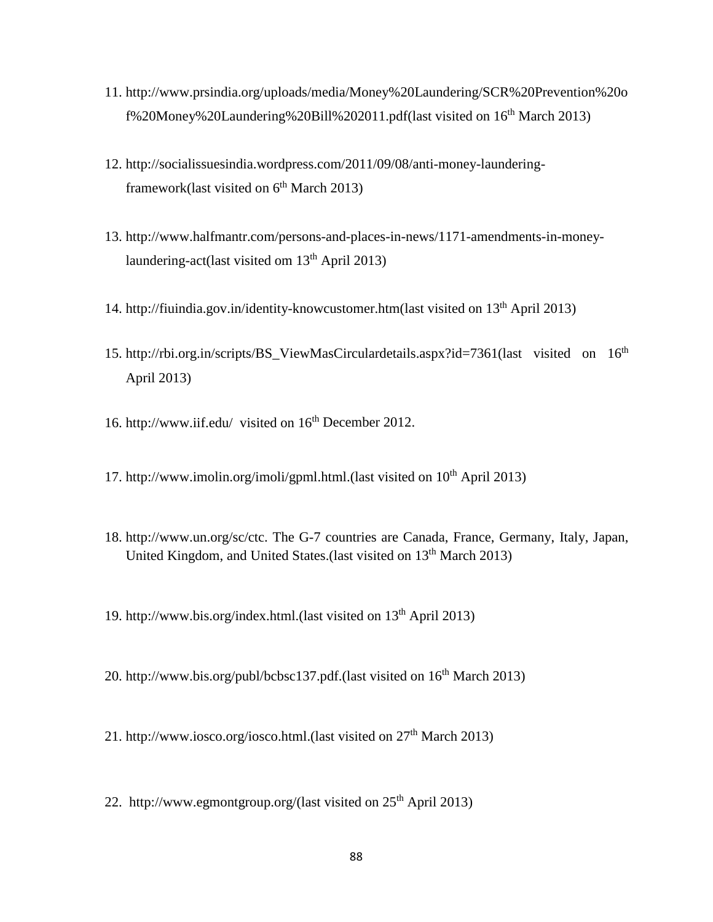- 11. [http://www.prsindia.org/uploads/media/Money%20Laundering/SCR%20Prevention%20o](http://www.prsindia.org/uploads/media/Money%20Laundering/SCR%20Prevention%20of%20Money%20Laundering%20Bill%202011.pdf) [f%20Money%20Laundering%20Bill%202011.pdf](http://www.prsindia.org/uploads/media/Money%20Laundering/SCR%20Prevention%20of%20Money%20Laundering%20Bill%202011.pdf)[\(last](http://indiagovernance.gov.in/news.php?id=1851(last) visited on 16th March 2013)
- 12. [http://socialissuesindia.wordpress.com/2011/09/08/anti-money-laundering](http://socialissuesindia.wordpress.com/2011/09/08/anti-money-laundering-framework(last)[framework\(last](http://socialissuesindia.wordpress.com/2011/09/08/anti-money-laundering-framework(last) visited on  $6<sup>th</sup>$  March 2013)
- 13. [http://www.halfmantr.com/persons-and-places-in-news/1171-amendments-in-money](http://www.halfmantr.com/persons-and-places-in-news/1171-amendments-in-money-laundering-act)[laundering-act\(](http://www.halfmantr.com/persons-and-places-in-news/1171-amendments-in-money-laundering-act)last visited om  $13<sup>th</sup>$  April 2013)
- 14. [http://fiuindia.gov.in/identity-knowcustomer.htm\(](http://fiuindia.gov.in/identity-knowcustomer.htm)last visited on 13th April 2013)
- 15. [http://rbi.org.in/scripts/BS\\_ViewMasCirculardetails.aspx?id=7361\(](http://rbi.org.in/scripts/BS_ViewMasCirculardetails.aspx?id=7361)last visited on 16<sup>th</sup> April 2013)
- 16. <http://www.iif.edu/>visited on 16<sup>th</sup> December 2012.
- 17. [http://www.imolin.org/imoli/gpml.html.\(last](http://www.imolin.org/imoli/gpml.html.(last) visited on  $10<sup>th</sup>$  April 2013)
- 18. http://www.un.org/sc/ctc. The G-7 countries are Canada, France, Germany, Italy, Japan, United Kingdom, and United States.(last visited on 13<sup>th</sup> March 2013)
- 19. http://www.bis.org/index.html.(last visited on 13th April 2013)
- 20. [http://www.bis.org/publ/bcbsc137.pdf.\(last](http://www.bis.org/publ/bcbsc137.pdf.(last) visited on 16<sup>th</sup> March 2013)
- 21. http://www.iosco.org/iosco.html.(last visited on  $27<sup>th</sup>$  March 2013)
- 22. [http://www.egmontgroup.org/\(last](http://www.egmontgroup.org/(last) visited on  $25<sup>th</sup>$  April 2013)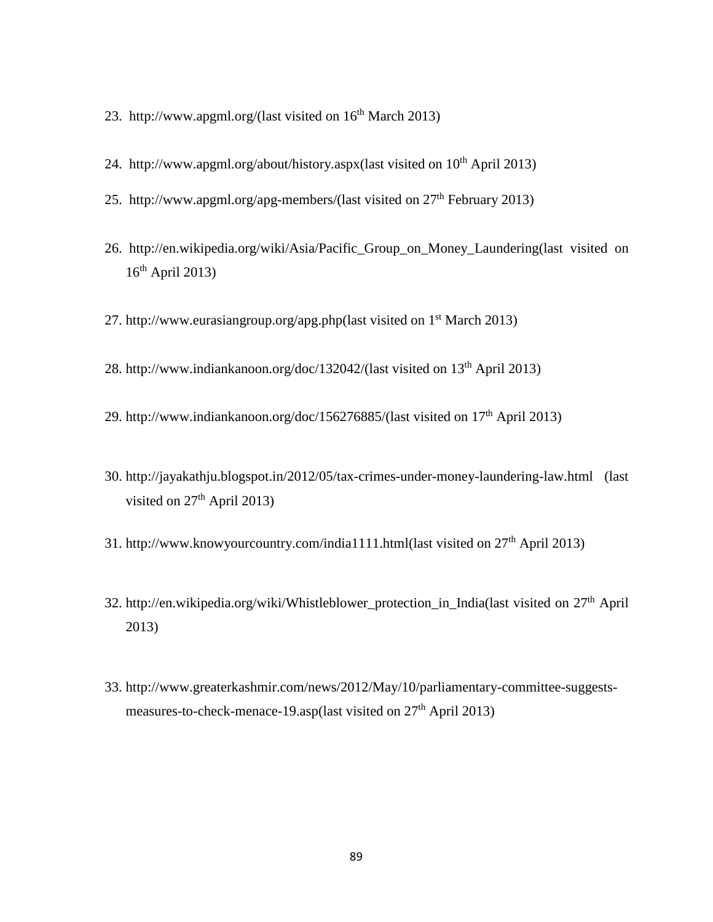- 23. [http://www.apgml.org/\(last](http://www.apgml.org/(last) visited on 16th March 2013)
- 24. [http://www.apgml.org/about/history.aspx\(](http://www.apgml.org/about/history.aspx)last visited on 10<sup>th</sup> April 2013)
- 25. [http://www.apgml.org/apg-members/\(last](http://www.apgml.org/apg-members/(last) visited on  $27<sup>th</sup>$  February 2013)
- 26. [http://en.wikipedia.org/wiki/Asia/Pacific\\_Group\\_on\\_Money\\_Laundering\(last](http://en.wikipedia.org/wiki/Asia/Pacific_Group_on_Money_Laundering(last) visited on  $16<sup>th</sup>$  April 2013)
- 27. [http://www.eurasiangroup.org/apg.php\(last](http://www.eurasiangroup.org/apg.php(last) visited on  $1<sup>st</sup>$  March 2013)
- 28. [http://www.indiankanoon.org/doc/132042/\(last](http://www.indiankanoon.org/doc/132042/(last) visited on 13th April 2013)
- 29. [http://www.indiankanoon.org/doc/156276885/\(last](http://www.indiankanoon.org/doc/156276885/(last) visited on 17th April 2013)
- 30.<http://jayakathju.blogspot.in/2012/05/tax-crimes-under-money-laundering-law.html> (last visited on  $27<sup>th</sup>$  April 2013)
- 31. [http://www.knowyourcountry.com/india1111.html\(](http://www.knowyourcountry.com/india1111.html)last visited on 27th April 2013)
- 32. http://en.wikipedia.org/wiki/Whistleblower protection in India(last visited on  $27<sup>th</sup>$  April 2013)
- 33. [http://www.greaterkashmir.com/news/2012/May/10/parliamentary-committee-suggests](http://www.greaterkashmir.com/news/2012/May/10/parliamentary-committee-suggests-measures-to-check-menace-19.asp(last)[measures-to-check-menace-19.asp\(last](http://www.greaterkashmir.com/news/2012/May/10/parliamentary-committee-suggests-measures-to-check-menace-19.asp(last) visited on  $27<sup>th</sup>$  April 2013)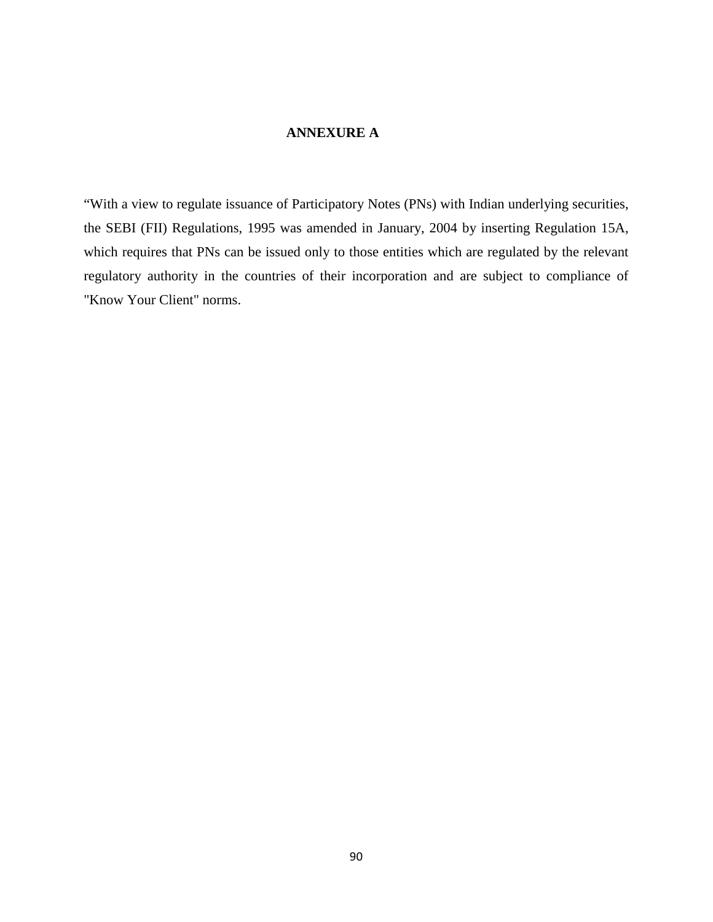## **ANNEXURE A**

"With a view to regulate issuance of Participatory Notes (PNs) with Indian underlying securities, the SEBI (FII) Regulations, 1995 was amended in January, 2004 by inserting Regulation 15A, which requires that PNs can be issued only to those entities which are regulated by the relevant regulatory authority in the countries of their incorporation and are subject to compliance of "Know Your Client" norms.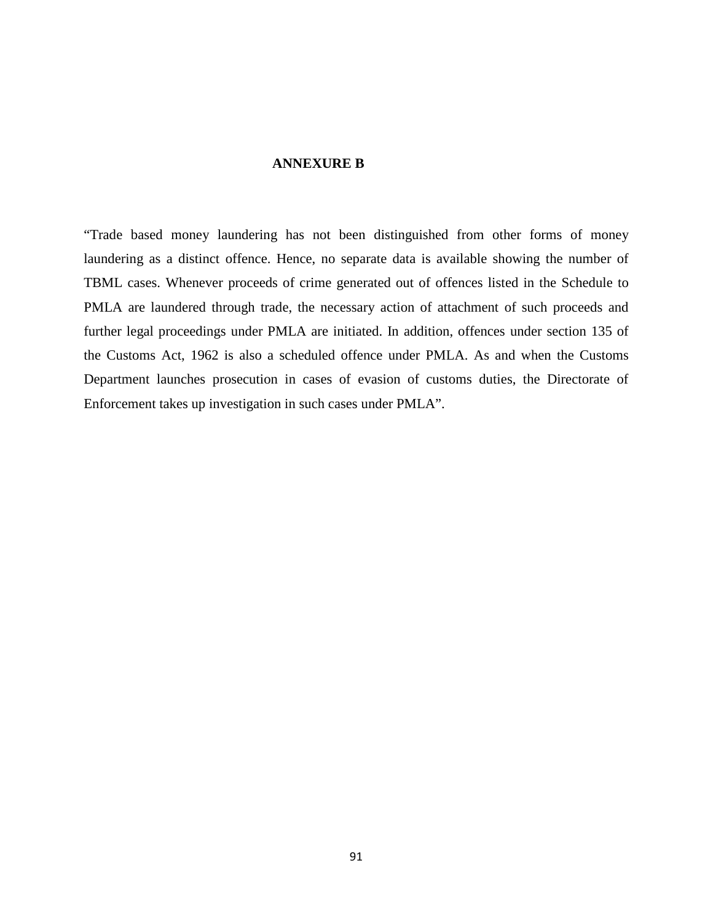#### **ANNEXURE B**

"Trade based money laundering has not been distinguished from other forms of money laundering as a distinct offence. Hence, no separate data is available showing the number of TBML cases. Whenever proceeds of crime generated out of offences listed in the Schedule to PMLA are laundered through trade, the necessary action of attachment of such proceeds and further legal proceedings under PMLA are initiated. In addition, offences under section 135 of the Customs Act, 1962 is also a scheduled offence under PMLA. As and when the Customs Department launches prosecution in cases of evasion of customs duties, the Directorate of Enforcement takes up investigation in such cases under PMLA".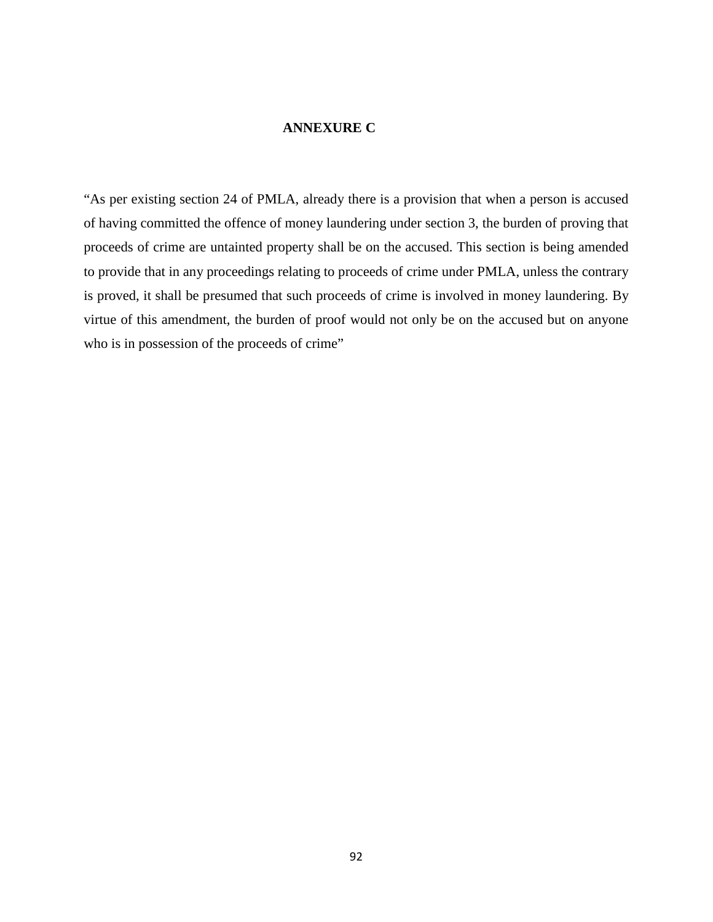## **ANNEXURE C**

"As per existing section 24 of PMLA, already there is a provision that when a person is accused of having committed the offence of money laundering under section 3, the burden of proving that proceeds of crime are untainted property shall be on the accused. This section is being amended to provide that in any proceedings relating to proceeds of crime under PMLA, unless the contrary is proved, it shall be presumed that such proceeds of crime is involved in money laundering. By virtue of this amendment, the burden of proof would not only be on the accused but on anyone who is in possession of the proceeds of crime"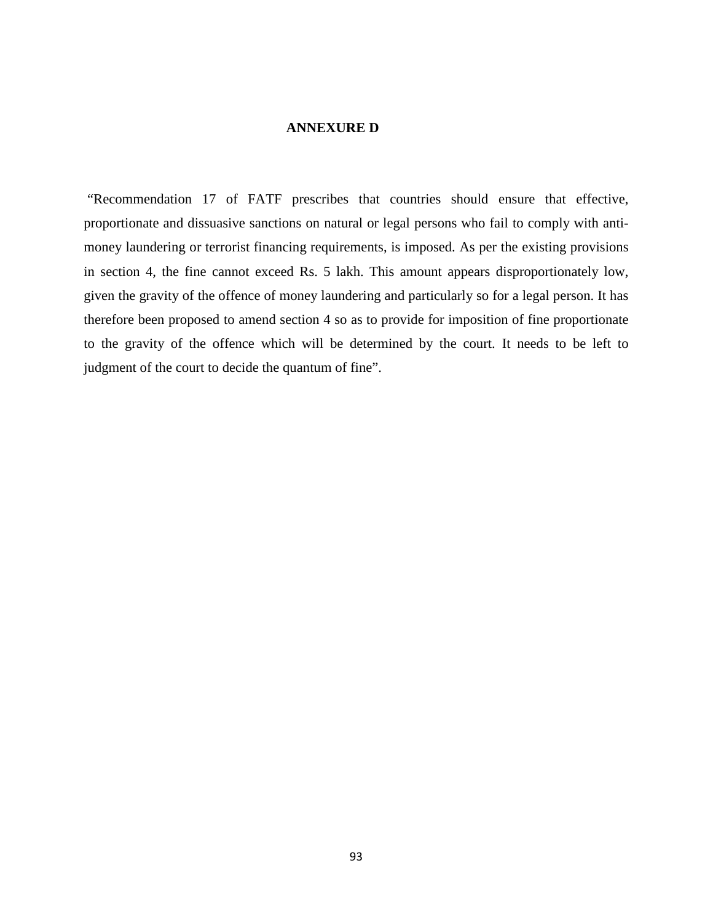## **ANNEXURE D**

"Recommendation 17 of FATF prescribes that countries should ensure that effective, proportionate and dissuasive sanctions on natural or legal persons who fail to comply with antimoney laundering or terrorist financing requirements, is imposed. As per the existing provisions in section 4, the fine cannot exceed Rs. 5 lakh. This amount appears disproportionately low, given the gravity of the offence of money laundering and particularly so for a legal person. It has therefore been proposed to amend section 4 so as to provide for imposition of fine proportionate to the gravity of the offence which will be determined by the court. It needs to be left to judgment of the court to decide the quantum of fine".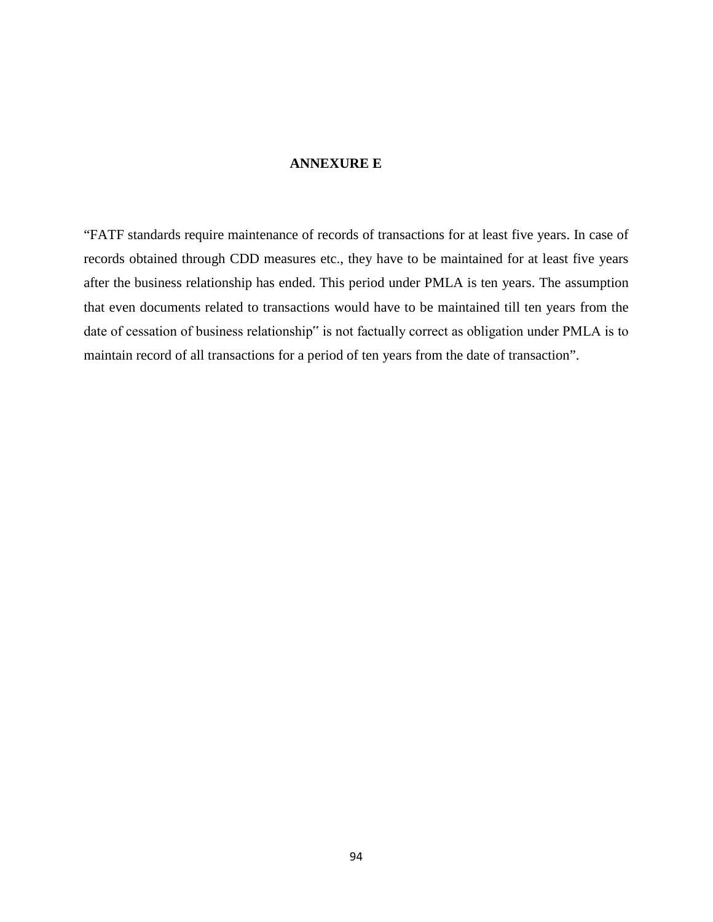### **ANNEXURE E**

"FATF standards require maintenance of records of transactions for at least five years. In case of records obtained through CDD measures etc., they have to be maintained for at least five years after the business relationship has ended. This period under PMLA is ten years. The assumption that even documents related to transactions would have to be maintained till ten years from the date of cessation of business relationship" is not factually correct as obligation under PMLA is to maintain record of all transactions for a period of ten years from the date of transaction".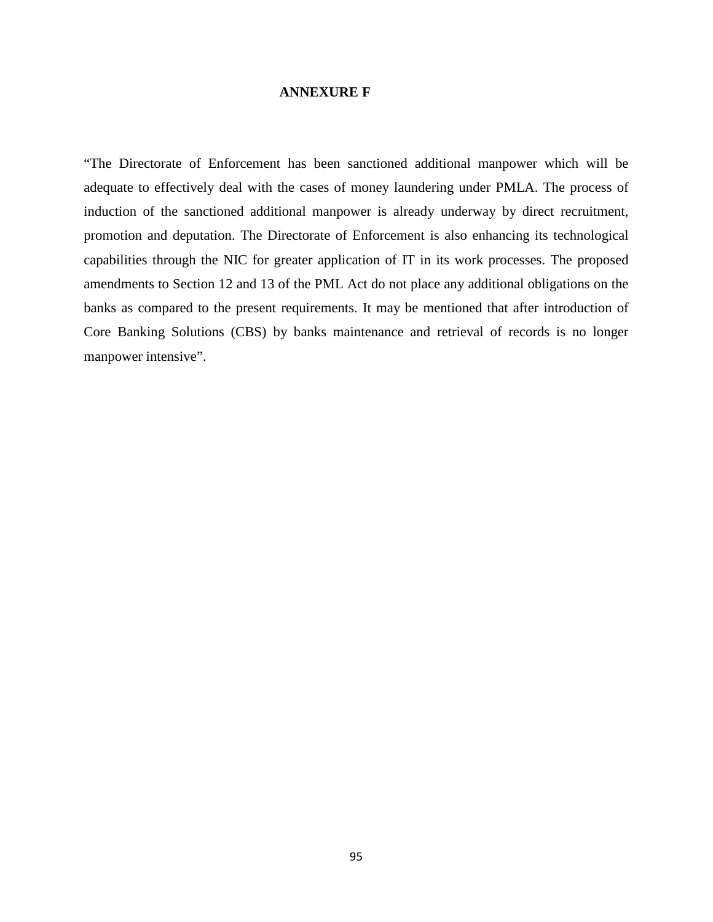### **ANNEXURE F**

"The Directorate of Enforcement has been sanctioned additional manpower which will be adequate to effectively deal with the cases of money laundering under PMLA. The process of induction of the sanctioned additional manpower is already underway by direct recruitment, promotion and deputation. The Directorate of Enforcement is also enhancing its technological capabilities through the NIC for greater application of IT in its work processes. The proposed amendments to Section 12 and 13 of the PML Act do not place any additional obligations on the banks as compared to the present requirements. It may be mentioned that after introduction of Core Banking Solutions (CBS) by banks maintenance and retrieval of records is no longer manpower intensive".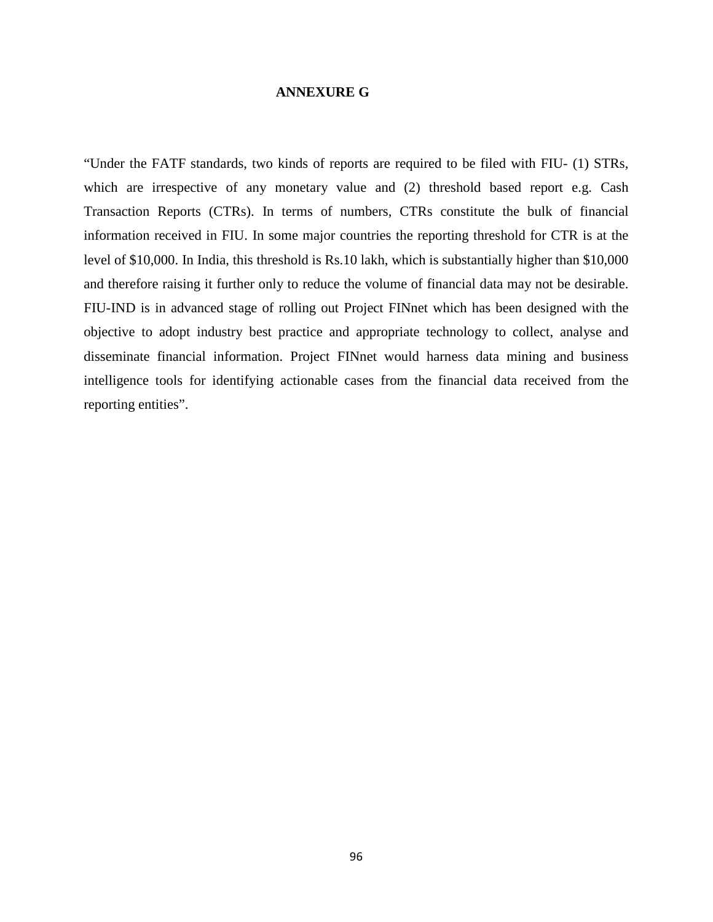#### **ANNEXURE G**

"Under the FATF standards, two kinds of reports are required to be filed with FIU- (1) STRs, which are irrespective of any monetary value and (2) threshold based report e.g. Cash Transaction Reports (CTRs). In terms of numbers, CTRs constitute the bulk of financial information received in FIU. In some major countries the reporting threshold for CTR is at the level of \$10,000. In India, this threshold is Rs.10 lakh, which is substantially higher than \$10,000 and therefore raising it further only to reduce the volume of financial data may not be desirable. FIU-IND is in advanced stage of rolling out Project FINnet which has been designed with the objective to adopt industry best practice and appropriate technology to collect, analyse and disseminate financial information. Project FINnet would harness data mining and business intelligence tools for identifying actionable cases from the financial data received from the reporting entities".